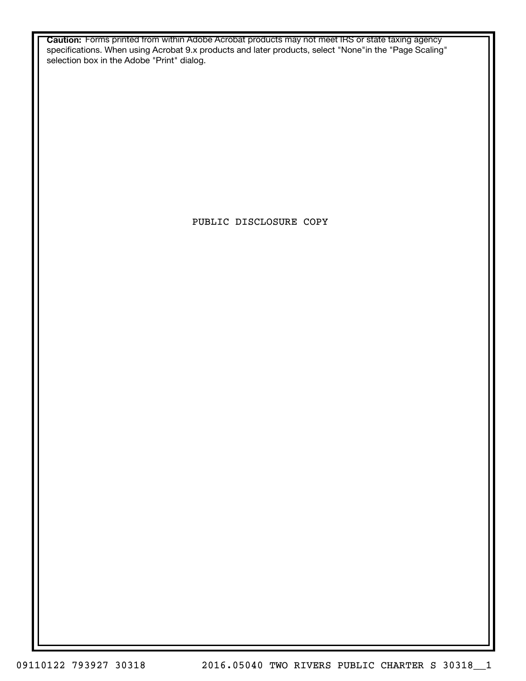**Caution:** Forms printed from within Adobe Acrobat products may not meet IRS or state taxing agency specifications. When using Acrobat 9.x products and later products, select "None"in the "Page Scaling" selection box in the Adobe "Print" dialog.

PUBLIC DISCLOSURE COPY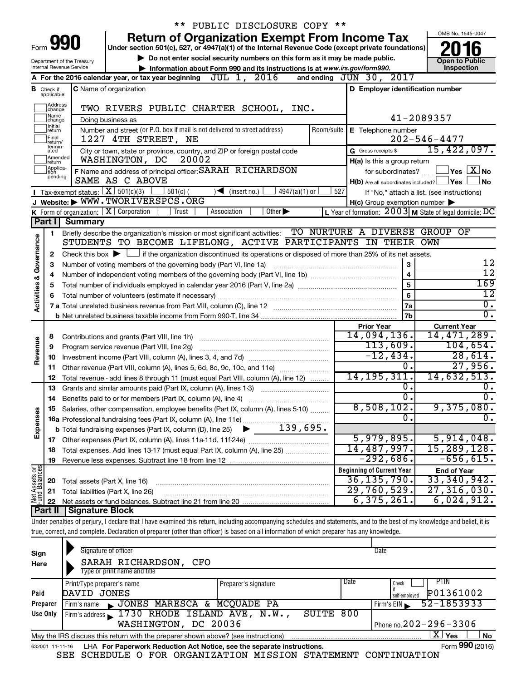|                                                                                                                                       |                                                                                                                                                                                                                            |                                                                   | PUBLIC DISCLOSURE COPY **                                                                                                                                                  |                         |                                                     |                                                                    |  |  |  |  |
|---------------------------------------------------------------------------------------------------------------------------------------|----------------------------------------------------------------------------------------------------------------------------------------------------------------------------------------------------------------------------|-------------------------------------------------------------------|----------------------------------------------------------------------------------------------------------------------------------------------------------------------------|-------------------------|-----------------------------------------------------|--------------------------------------------------------------------|--|--|--|--|
|                                                                                                                                       |                                                                                                                                                                                                                            |                                                                   | <b>Return of Organization Exempt From Income Tax</b>                                                                                                                       |                         |                                                     | OMB No. 1545-0047                                                  |  |  |  |  |
| Form                                                                                                                                  |                                                                                                                                                                                                                            | 990                                                               | Under section 501(c), 527, or 4947(a)(1) of the Internal Revenue Code (except private foundations)                                                                         |                         |                                                     |                                                                    |  |  |  |  |
|                                                                                                                                       | Do not enter social security numbers on this form as it may be made public.<br>Department of the Treasury<br><b>Internal Revenue Service</b><br>Information about Form 990 and its instructions is at www.irs.gov/form990. |                                                                   |                                                                                                                                                                            |                         |                                                     |                                                                    |  |  |  |  |
| <b>Open to Public</b><br>Inspection<br>and ending JUN 30, 2017<br>A For the 2016 calendar year, or tax year beginning $JUL$ 1, $2016$ |                                                                                                                                                                                                                            |                                                                   |                                                                                                                                                                            |                         |                                                     |                                                                    |  |  |  |  |
|                                                                                                                                       |                                                                                                                                                                                                                            |                                                                   |                                                                                                                                                                            |                         |                                                     |                                                                    |  |  |  |  |
|                                                                                                                                       | <b>B</b> Check if<br>applicable:                                                                                                                                                                                           |                                                                   | C Name of organization                                                                                                                                                     |                         | D Employer identification number                    |                                                                    |  |  |  |  |
|                                                                                                                                       | Address<br> change                                                                                                                                                                                                         |                                                                   | TWO RIVERS PUBLIC CHARTER SCHOOL, INC.                                                                                                                                     |                         |                                                     |                                                                    |  |  |  |  |
|                                                                                                                                       | Name                                                                                                                                                                                                                       |                                                                   |                                                                                                                                                                            |                         |                                                     | 41-2089357                                                         |  |  |  |  |
|                                                                                                                                       | change<br>Initial                                                                                                                                                                                                          |                                                                   | Doing business as<br>Number and street (or P.O. box if mail is not delivered to street address)                                                                            | Room/suite              | <b>E</b> Telephone number                           |                                                                    |  |  |  |  |
|                                                                                                                                       | return<br>Final                                                                                                                                                                                                            |                                                                   | 1227 4TH STREET, NE                                                                                                                                                        |                         |                                                     | $202 - 546 - 4477$                                                 |  |  |  |  |
|                                                                                                                                       | return/<br>termin-<br>ated                                                                                                                                                                                                 |                                                                   | City or town, state or province, country, and ZIP or foreign postal code                                                                                                   |                         | G Gross receipts \$                                 | 15,422,097.                                                        |  |  |  |  |
|                                                                                                                                       | Amended<br>return                                                                                                                                                                                                          |                                                                   | 20002<br>WASHINGTON, DC                                                                                                                                                    |                         | H(a) Is this a group return                         |                                                                    |  |  |  |  |
|                                                                                                                                       | Applica-<br>tion                                                                                                                                                                                                           |                                                                   | F Name and address of principal officer: SARAH RICHARDSON                                                                                                                  |                         | for subordinates?                                   | $\sqrt{\mathsf{Yes}\mathord{\;\mathbb{X}}\mathord{\;\mathsf{No}}}$ |  |  |  |  |
|                                                                                                                                       | pending                                                                                                                                                                                                                    |                                                                   | SAME AS C ABOVE                                                                                                                                                            |                         | $H(b)$ Are all subordinates included? $\Box$ Yes    | l No                                                               |  |  |  |  |
|                                                                                                                                       |                                                                                                                                                                                                                            | <b>I</b> Tax-exempt status: $X \ 501(c)(3)$                       | $\vert$ 501(c) (<br>$\sqrt{\frac{1}{1}}$ (insert no.)<br>$4947(a)(1)$ or                                                                                                   | 527                     |                                                     | If "No," attach a list. (see instructions)                         |  |  |  |  |
|                                                                                                                                       |                                                                                                                                                                                                                            |                                                                   | J Website: WWW.TWORIVERSPCS.ORG                                                                                                                                            |                         | $H(c)$ Group exemption number $\blacktriangleright$ |                                                                    |  |  |  |  |
|                                                                                                                                       |                                                                                                                                                                                                                            |                                                                   | K Form of organization: $X$ Corporation<br>Trust<br>Association<br>Other $\blacktriangleright$                                                                             |                         |                                                     | L Year of formation: $2003$ M State of legal domicile: DC          |  |  |  |  |
|                                                                                                                                       | Part I                                                                                                                                                                                                                     | Summary                                                           |                                                                                                                                                                            |                         |                                                     |                                                                    |  |  |  |  |
|                                                                                                                                       | 1.                                                                                                                                                                                                                         |                                                                   | Briefly describe the organization's mission or most significant activities:                                                                                                |                         | TO NURTURE A DIVERSE GROUP OF                       |                                                                    |  |  |  |  |
|                                                                                                                                       |                                                                                                                                                                                                                            |                                                                   | STUDENTS TO BECOME LIFELONG, ACTIVE PARTICIPANTS IN THEIR OWN                                                                                                              |                         |                                                     |                                                                    |  |  |  |  |
| Governance                                                                                                                            | 2                                                                                                                                                                                                                          |                                                                   | Check this box $\blacktriangleright \Box$ if the organization discontinued its operations or disposed of more than 25% of its net assets.                                  |                         |                                                     |                                                                    |  |  |  |  |
|                                                                                                                                       | 3                                                                                                                                                                                                                          | Number of voting members of the governing body (Part VI, line 1a) | 3                                                                                                                                                                          | 12                      |                                                     |                                                                    |  |  |  |  |
|                                                                                                                                       | 4                                                                                                                                                                                                                          |                                                                   |                                                                                                                                                                            | $\overline{\mathbf{4}}$ | $\overline{12}$                                     |                                                                    |  |  |  |  |
| <b>Activities &amp;</b>                                                                                                               | 5                                                                                                                                                                                                                          |                                                                   |                                                                                                                                                                            |                         | 5                                                   | 169                                                                |  |  |  |  |
|                                                                                                                                       | 6                                                                                                                                                                                                                          |                                                                   |                                                                                                                                                                            | 6                       | $\overline{12}$<br>$\overline{\mathfrak{o}}$ .      |                                                                    |  |  |  |  |
|                                                                                                                                       |                                                                                                                                                                                                                            |                                                                   |                                                                                                                                                                            | 7a                      | σ.                                                  |                                                                    |  |  |  |  |
|                                                                                                                                       |                                                                                                                                                                                                                            |                                                                   |                                                                                                                                                                            | 7b                      |                                                     |                                                                    |  |  |  |  |
|                                                                                                                                       |                                                                                                                                                                                                                            |                                                                   |                                                                                                                                                                            |                         | <b>Prior Year</b><br>14,094,136.                    | <b>Current Year</b><br>14,471,289.                                 |  |  |  |  |
| Revenue                                                                                                                               | 8<br>9                                                                                                                                                                                                                     |                                                                   | Program service revenue (Part VIII, line 2g)                                                                                                                               |                         | 113,609.                                            | 104,654.                                                           |  |  |  |  |
|                                                                                                                                       | 10                                                                                                                                                                                                                         |                                                                   |                                                                                                                                                                            |                         | $-12,434.$                                          | 28,614.                                                            |  |  |  |  |
|                                                                                                                                       | 11                                                                                                                                                                                                                         |                                                                   | Other revenue (Part VIII, column (A), lines 5, 6d, 8c, 9c, 10c, and 11e)                                                                                                   |                         | 0.                                                  | 27,956.                                                            |  |  |  |  |
|                                                                                                                                       | 12                                                                                                                                                                                                                         |                                                                   | Total revenue - add lines 8 through 11 (must equal Part VIII, column (A), line 12)                                                                                         |                         | 14, 195, 311.                                       | 14,632,513.                                                        |  |  |  |  |
|                                                                                                                                       | 13                                                                                                                                                                                                                         |                                                                   | Grants and similar amounts paid (Part IX, column (A), lines 1-3)                                                                                                           |                         | $\overline{\mathfrak{0}}$ .                         | υ.                                                                 |  |  |  |  |
|                                                                                                                                       | 14                                                                                                                                                                                                                         |                                                                   | Benefits paid to or for members (Part IX, column (A), line 4)                                                                                                              |                         | $\overline{0}$ .                                    | σ.                                                                 |  |  |  |  |
|                                                                                                                                       |                                                                                                                                                                                                                            |                                                                   | 15 Salaries, other compensation, employee benefits (Part IX, column (A), lines 5-10)                                                                                       |                         | 8,508,102.                                          | 9,375,080.                                                         |  |  |  |  |
|                                                                                                                                       |                                                                                                                                                                                                                            |                                                                   |                                                                                                                                                                            |                         | 0.                                                  | Ο.                                                                 |  |  |  |  |
| Expenses                                                                                                                              |                                                                                                                                                                                                                            |                                                                   |                                                                                                                                                                            |                         |                                                     |                                                                    |  |  |  |  |
|                                                                                                                                       |                                                                                                                                                                                                                            |                                                                   |                                                                                                                                                                            |                         | 5,979,895.                                          | 5,914,048.                                                         |  |  |  |  |
|                                                                                                                                       | 18                                                                                                                                                                                                                         |                                                                   | Total expenses. Add lines 13-17 (must equal Part IX, column (A), line 25)                                                                                                  |                         | 14,487,997.                                         | 15, 289, 128.                                                      |  |  |  |  |
|                                                                                                                                       | 19                                                                                                                                                                                                                         |                                                                   |                                                                                                                                                                            |                         | $-292,686$ .                                        | $-656, 615$ .                                                      |  |  |  |  |
| Net Assets or                                                                                                                         |                                                                                                                                                                                                                            |                                                                   |                                                                                                                                                                            |                         | <b>Beginning of Current Year</b>                    | <b>End of Year</b>                                                 |  |  |  |  |
|                                                                                                                                       | 20                                                                                                                                                                                                                         | Total assets (Part X, line 16)                                    |                                                                                                                                                                            |                         | 36,135,790.                                         | 33,340,942.                                                        |  |  |  |  |
|                                                                                                                                       | 21                                                                                                                                                                                                                         |                                                                   | Total liabilities (Part X, line 26)                                                                                                                                        |                         | 29,760,529.                                         | 27, 316, 030.                                                      |  |  |  |  |
|                                                                                                                                       | 22                                                                                                                                                                                                                         |                                                                   |                                                                                                                                                                            |                         | 6,375,261.                                          | 6,024,912.                                                         |  |  |  |  |
|                                                                                                                                       | Part II                                                                                                                                                                                                                    | <b>Signature Block</b>                                            |                                                                                                                                                                            |                         |                                                     |                                                                    |  |  |  |  |
|                                                                                                                                       |                                                                                                                                                                                                                            |                                                                   | Under penalties of perjury, I declare that I have examined this return, including accompanying schedules and statements, and to the best of my knowledge and belief, it is |                         |                                                     |                                                                    |  |  |  |  |
|                                                                                                                                       |                                                                                                                                                                                                                            |                                                                   | true, correct, and complete. Declaration of preparer (other than officer) is based on all information of which preparer has any knowledge.                                 |                         |                                                     |                                                                    |  |  |  |  |

| Sign<br>Here | Signature of officer<br>SARAH RICHARDSON,<br>CFO<br>Type or print name and title                             |                      |      | Date                       |  |  |  |  |  |  |
|--------------|--------------------------------------------------------------------------------------------------------------|----------------------|------|----------------------------|--|--|--|--|--|--|
|              | Print/Type preparer's name                                                                                   | Preparer's signature | Date | PTIN<br>Check              |  |  |  |  |  |  |
| Paid         | JONES<br>DAVID                                                                                               |                      |      | P01361002<br>self-employed |  |  |  |  |  |  |
| Preparer     | JONES MARESCA & MCQUADE PA<br>Firm's name                                                                    |                      |      | 52-1853933<br>Firm's EIN   |  |  |  |  |  |  |
| Use Only     | Firm's address 1730 RHODE ISLAND AVE, N.W.,                                                                  | SUITE                | 800  |                            |  |  |  |  |  |  |
|              | Phone no. $202 - 296 - 3306$<br>WASHINGTON, DC 20036                                                         |                      |      |                            |  |  |  |  |  |  |
|              | May the IRS discuss this return with the preparer shown above? (see instructions)                            |                      |      | ΧI<br>Yes<br>No            |  |  |  |  |  |  |
|              | Form 990 (2016)<br>LHA For Paperwork Reduction Act Notice, see the separate instructions.<br>632001 11-11-16 |                      |      |                            |  |  |  |  |  |  |

SEE SCHEDULE O FOR ORGANIZATION MISSION STATEMENT CONTINUATION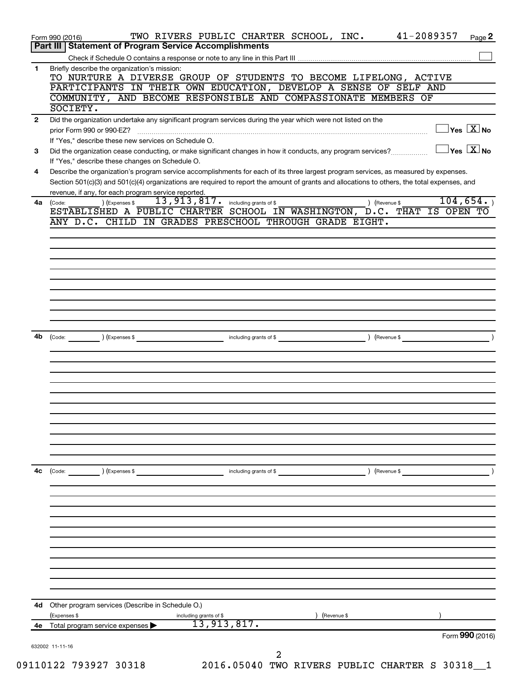|              | Form 990 (2016)                                                                                                                                                                         |
|--------------|-----------------------------------------------------------------------------------------------------------------------------------------------------------------------------------------|
| 4e           | 13,913,817.<br>Total program service expenses                                                                                                                                           |
|              | 4d Other program services (Describe in Schedule O.)<br>(Expenses \$<br>including grants of \$<br>) (Revenue \$                                                                          |
|              |                                                                                                                                                                                         |
|              |                                                                                                                                                                                         |
|              |                                                                                                                                                                                         |
|              |                                                                                                                                                                                         |
|              |                                                                                                                                                                                         |
|              |                                                                                                                                                                                         |
|              |                                                                                                                                                                                         |
|              |                                                                                                                                                                                         |
| 4с           | $\left(\text{Code:} \right) \left(\text{Expenses } \$\right)$<br>) (Revenue \$<br>including grants of \$                                                                                |
|              |                                                                                                                                                                                         |
|              |                                                                                                                                                                                         |
|              |                                                                                                                                                                                         |
|              |                                                                                                                                                                                         |
|              |                                                                                                                                                                                         |
|              |                                                                                                                                                                                         |
|              |                                                                                                                                                                                         |
| 4b           | $\int$ including grants of \$<br>(Code: ) (Expenses \$                                                                                                                                  |
|              |                                                                                                                                                                                         |
|              |                                                                                                                                                                                         |
|              |                                                                                                                                                                                         |
|              |                                                                                                                                                                                         |
|              |                                                                                                                                                                                         |
|              |                                                                                                                                                                                         |
|              |                                                                                                                                                                                         |
|              | ESTABLISHED A PUBLIC CHARTER SCHOOL IN WASHINGTON, D.C. THAT IS OPEN TO<br>ANY D.C. CHILD IN GRADES PRESCHOOL THROUGH GRADE EIGHT.                                                      |
| 4a           | revenue, if any, for each program service reported.<br>104,654.<br>13,913,817.<br>) (Revenue \$<br>) (Expenses \$<br>including grants of \$<br>(Code:                                   |
|              | Section 501(c)(3) and 501(c)(4) organizations are required to report the amount of grants and allocations to others, the total expenses, and                                            |
| 4            | If "Yes," describe these changes on Schedule O.<br>Describe the organization's program service accomplishments for each of its three largest program services, as measured by expenses. |
| 3            | $\overline{\ }$ Yes $\overline{\rm X}$ No<br>Did the organization cease conducting, or make significant changes in how it conducts, any program services?                               |
|              | prior Form 990 or 990-EZ?<br>If "Yes," describe these new services on Schedule O.                                                                                                       |
| $\mathbf{2}$ | Did the organization undertake any significant program services during the year which were not listed on the<br>$\overline{\ }$ Yes $\overline{\rm X}$ No                               |
|              | SOCIETY.                                                                                                                                                                                |
|              | PARTICIPANTS IN THEIR OWN EDUCATION, DEVELOP A SENSE OF SELF AND<br>COMMUNITY, AND BECOME RESPONSIBLE AND COMPASSIONATE MEMBERS OF                                                      |
| 1            | Briefly describe the organization's mission:<br>TO NURTURE A DIVERSE GROUP OF STUDENTS TO BECOME LIFELONG, ACTIVE                                                                       |
|              |                                                                                                                                                                                         |
|              | Part III   Statement of Program Service Accomplishments                                                                                                                                 |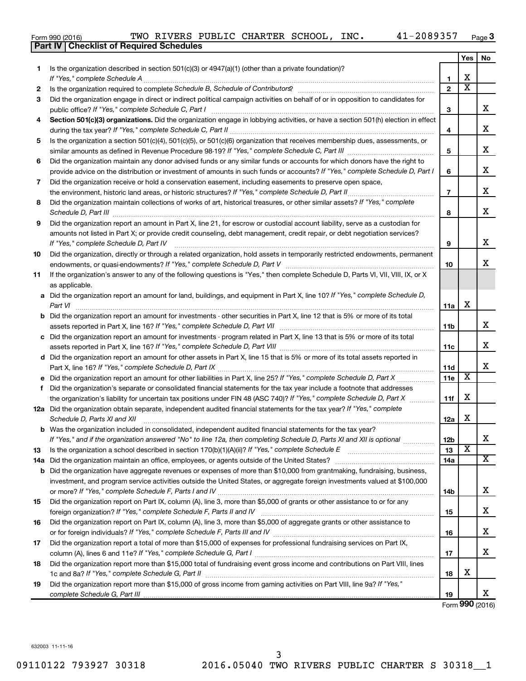|  | Form 990 (2016) |
|--|-----------------|
|  |                 |

|     | Part IV   Checklist of Required Schedules                                                                                                                                                                                                                                                                                                                            |                 |                         |                         |
|-----|----------------------------------------------------------------------------------------------------------------------------------------------------------------------------------------------------------------------------------------------------------------------------------------------------------------------------------------------------------------------|-----------------|-------------------------|-------------------------|
|     |                                                                                                                                                                                                                                                                                                                                                                      |                 | Yes                     | No.                     |
| 1   | Is the organization described in section 501(c)(3) or 4947(a)(1) (other than a private foundation)?                                                                                                                                                                                                                                                                  |                 |                         |                         |
|     |                                                                                                                                                                                                                                                                                                                                                                      | 1               | х                       |                         |
| 2   |                                                                                                                                                                                                                                                                                                                                                                      | $\mathbf{2}$    | $\overline{\text{x}}$   |                         |
| З   | Did the organization engage in direct or indirect political campaign activities on behalf of or in opposition to candidates for                                                                                                                                                                                                                                      |                 |                         |                         |
|     |                                                                                                                                                                                                                                                                                                                                                                      | 3               |                         | x                       |
| 4   | Section 501(c)(3) organizations. Did the organization engage in lobbying activities, or have a section 501(h) election in effect                                                                                                                                                                                                                                     |                 |                         |                         |
|     |                                                                                                                                                                                                                                                                                                                                                                      | 4               |                         | x                       |
| 5   | Is the organization a section 501(c)(4), 501(c)(5), or 501(c)(6) organization that receives membership dues, assessments, or                                                                                                                                                                                                                                         |                 |                         |                         |
|     |                                                                                                                                                                                                                                                                                                                                                                      | 5               |                         | x                       |
| 6   | Did the organization maintain any donor advised funds or any similar funds or accounts for which donors have the right to                                                                                                                                                                                                                                            |                 |                         |                         |
|     | provide advice on the distribution or investment of amounts in such funds or accounts? If "Yes," complete Schedule D, Part I                                                                                                                                                                                                                                         | 6               |                         | x                       |
| 7   | Did the organization receive or hold a conservation easement, including easements to preserve open space,                                                                                                                                                                                                                                                            |                 |                         |                         |
|     |                                                                                                                                                                                                                                                                                                                                                                      | $\overline{7}$  |                         | x                       |
| 8   | Did the organization maintain collections of works of art, historical treasures, or other similar assets? If "Yes," complete                                                                                                                                                                                                                                         |                 |                         |                         |
|     |                                                                                                                                                                                                                                                                                                                                                                      | 8               |                         | x                       |
| 9   | Schedule D, Part III <b>Martin Communication</b> and the Communication of the Communication of the Communication of the Communication of the Communication of the Communication of the Communication of the Communication of the Co<br>Did the organization report an amount in Part X, line 21, for escrow or custodial account liability, serve as a custodian for |                 |                         |                         |
|     | amounts not listed in Part X; or provide credit counseling, debt management, credit repair, or debt negotiation services?                                                                                                                                                                                                                                            |                 |                         |                         |
|     |                                                                                                                                                                                                                                                                                                                                                                      | 9               |                         | x                       |
| 10  | Did the organization, directly or through a related organization, hold assets in temporarily restricted endowments, permanent                                                                                                                                                                                                                                        |                 |                         |                         |
|     |                                                                                                                                                                                                                                                                                                                                                                      | 10              |                         | x.                      |
| 11  | If the organization's answer to any of the following questions is "Yes," then complete Schedule D, Parts VI, VII, VIII, IX, or X                                                                                                                                                                                                                                     |                 |                         |                         |
|     | as applicable.                                                                                                                                                                                                                                                                                                                                                       |                 |                         |                         |
|     | a Did the organization report an amount for land, buildings, and equipment in Part X, line 10? If "Yes," complete Schedule D,                                                                                                                                                                                                                                        |                 |                         |                         |
|     |                                                                                                                                                                                                                                                                                                                                                                      |                 | X                       |                         |
|     | Part VI                                                                                                                                                                                                                                                                                                                                                              | 11a             |                         |                         |
|     | <b>b</b> Did the organization report an amount for investments - other securities in Part X, line 12 that is 5% or more of its total                                                                                                                                                                                                                                 |                 |                         | x                       |
|     |                                                                                                                                                                                                                                                                                                                                                                      | 11 <sub>b</sub> |                         |                         |
|     | c Did the organization report an amount for investments - program related in Part X, line 13 that is 5% or more of its total                                                                                                                                                                                                                                         |                 |                         | x                       |
|     |                                                                                                                                                                                                                                                                                                                                                                      | 11c             |                         |                         |
|     | d Did the organization report an amount for other assets in Part X, line 15 that is 5% or more of its total assets reported in                                                                                                                                                                                                                                       |                 |                         |                         |
|     |                                                                                                                                                                                                                                                                                                                                                                      | <b>11d</b>      | $\overline{\mathbf{X}}$ | x                       |
|     |                                                                                                                                                                                                                                                                                                                                                                      | 11e             |                         |                         |
| f   | Did the organization's separate or consolidated financial statements for the tax year include a footnote that addresses                                                                                                                                                                                                                                              |                 |                         |                         |
|     | the organization's liability for uncertain tax positions under FIN 48 (ASC 740)? If "Yes," complete Schedule D, Part X                                                                                                                                                                                                                                               | 11f             | X                       |                         |
|     | 12a Did the organization obtain separate, independent audited financial statements for the tax year? If "Yes," complete                                                                                                                                                                                                                                              |                 |                         |                         |
|     | Schedule D, Parts XI and XII                                                                                                                                                                                                                                                                                                                                         | 12a             | х                       |                         |
|     | <b>b</b> Was the organization included in consolidated, independent audited financial statements for the tax year?                                                                                                                                                                                                                                                   |                 |                         |                         |
|     | If "Yes," and if the organization answered "No" to line 12a, then completing Schedule D, Parts XI and XII is optional <i></i>                                                                                                                                                                                                                                        | 12 <sub>b</sub> |                         | x                       |
| 13  |                                                                                                                                                                                                                                                                                                                                                                      | 13              | X                       |                         |
| 14a |                                                                                                                                                                                                                                                                                                                                                                      | 14a             |                         | $\overline{\mathbf{x}}$ |
| b   | Did the organization have aggregate revenues or expenses of more than \$10,000 from grantmaking, fundraising, business,                                                                                                                                                                                                                                              |                 |                         |                         |
|     | investment, and program service activities outside the United States, or aggregate foreign investments valued at \$100,000                                                                                                                                                                                                                                           |                 |                         |                         |
|     |                                                                                                                                                                                                                                                                                                                                                                      | 14 <sub>b</sub> |                         | x                       |
| 15  | Did the organization report on Part IX, column (A), line 3, more than \$5,000 of grants or other assistance to or for any                                                                                                                                                                                                                                            |                 |                         |                         |
|     |                                                                                                                                                                                                                                                                                                                                                                      | 15              |                         | х                       |
| 16  | Did the organization report on Part IX, column (A), line 3, more than \$5,000 of aggregate grants or other assistance to                                                                                                                                                                                                                                             |                 |                         |                         |
|     |                                                                                                                                                                                                                                                                                                                                                                      | 16              |                         | х                       |
| 17  | Did the organization report a total of more than \$15,000 of expenses for professional fundraising services on Part IX,                                                                                                                                                                                                                                              |                 |                         |                         |
|     |                                                                                                                                                                                                                                                                                                                                                                      | 17              |                         | х                       |
| 18  | Did the organization report more than \$15,000 total of fundraising event gross income and contributions on Part VIII. lines                                                                                                                                                                                                                                         |                 |                         |                         |
|     |                                                                                                                                                                                                                                                                                                                                                                      | 18              | x                       |                         |
| 19  | Did the organization report more than \$15,000 of gross income from gaming activities on Part VIII, line 9a? If "Yes,"                                                                                                                                                                                                                                               |                 |                         |                         |
|     |                                                                                                                                                                                                                                                                                                                                                                      | 19              |                         | x                       |

Form (2016) **990**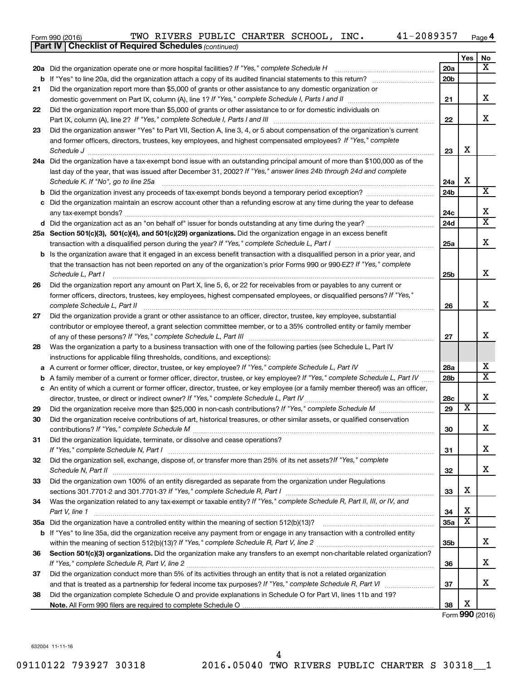| Form 990 (2016) |  |  |  |  |  | TWO RIVERS PUBLIC CHARTER SCHOOL, 1 | INC. | 41-2089357 | Page |
|-----------------|--|--|--|--|--|-------------------------------------|------|------------|------|
|-----------------|--|--|--|--|--|-------------------------------------|------|------------|------|

|     | <b>Part IV   Checklist of Required Schedules (continued)</b>                                                                        |                 |                         |                         |
|-----|-------------------------------------------------------------------------------------------------------------------------------------|-----------------|-------------------------|-------------------------|
|     |                                                                                                                                     |                 | Yes                     | No.                     |
|     | 20a Did the organization operate one or more hospital facilities? If "Yes," complete Schedule H                                     | 20a             |                         | $\overline{\mathbf{X}}$ |
|     |                                                                                                                                     | 20 <sub>b</sub> |                         |                         |
| 21  | Did the organization report more than \$5,000 of grants or other assistance to any domestic organization or                         |                 |                         |                         |
|     |                                                                                                                                     | 21              |                         | x                       |
| 22  | Did the organization report more than \$5,000 of grants or other assistance to or for domestic individuals on                       |                 |                         |                         |
|     |                                                                                                                                     | 22              |                         | x                       |
| 23  | Did the organization answer "Yes" to Part VII, Section A, line 3, 4, or 5 about compensation of the organization's current          |                 |                         |                         |
|     | and former officers, directors, trustees, key employees, and highest compensated employees? If "Yes," complete                      |                 |                         |                         |
|     | Schedule J <b>Execute Schedule J Execute Schedule J</b>                                                                             | 23              | х                       |                         |
|     | 24a Did the organization have a tax-exempt bond issue with an outstanding principal amount of more than \$100,000 as of the         |                 |                         |                         |
|     | last day of the year, that was issued after December 31, 2002? If "Yes," answer lines 24b through 24d and complete                  |                 |                         |                         |
|     | Schedule K. If "No", go to line 25a                                                                                                 | 24a             | X                       |                         |
| b   |                                                                                                                                     | 24 <sub>b</sub> |                         | $\overline{\text{X}}$   |
|     | Did the organization maintain an escrow account other than a refunding escrow at any time during the year to defease                |                 |                         |                         |
|     |                                                                                                                                     | 24c             |                         | х                       |
|     |                                                                                                                                     | 24d             |                         | $\overline{\textbf{x}}$ |
|     | 25a Section 501(c)(3), 501(c)(4), and 501(c)(29) organizations. Did the organization engage in an excess benefit                    |                 |                         |                         |
|     | transaction with a disqualified person during the year? If "Yes," complete Schedule L, Part I manumumumum                           | 25a             |                         | X                       |
|     | <b>b</b> Is the organization aware that it engaged in an excess benefit transaction with a disqualified person in a prior year, and |                 |                         |                         |
|     | that the transaction has not been reported on any of the organization's prior Forms 990 or 990-EZ? If "Yes," complete               |                 |                         |                         |
|     | Schedule L, Part I                                                                                                                  | 25b             |                         | x                       |
| 26  | Did the organization report any amount on Part X, line 5, 6, or 22 for receivables from or payables to any current or               |                 |                         |                         |
|     | former officers, directors, trustees, key employees, highest compensated employees, or disqualified persons? If "Yes,"              |                 |                         |                         |
|     | complete Schedule L, Part II                                                                                                        | 26              |                         | x                       |
| 27  | Did the organization provide a grant or other assistance to an officer, director, trustee, key employee, substantial                |                 |                         |                         |
|     | contributor or employee thereof, a grant selection committee member, or to a 35% controlled entity or family member                 |                 |                         |                         |
|     |                                                                                                                                     | 27              |                         | x                       |
| 28  | Was the organization a party to a business transaction with one of the following parties (see Schedule L, Part IV                   |                 |                         |                         |
|     | instructions for applicable filing thresholds, conditions, and exceptions):                                                         |                 |                         |                         |
| а   | A current or former officer, director, trustee, or key employee? If "Yes," complete Schedule L, Part IV                             | 28a             |                         | x                       |
| b   | A family member of a current or former officer, director, trustee, or key employee? If "Yes," complete Schedule L, Part IV          | 28 <sub>b</sub> |                         | $\overline{\text{X}}$   |
|     | c An entity of which a current or former officer, director, trustee, or key employee (or a family member thereof) was an officer,   |                 |                         |                         |
|     | director, trustee, or direct or indirect owner? If "Yes," complete Schedule L, Part IV                                              | 28c             |                         | х                       |
| 29  |                                                                                                                                     | 29              | $\overline{\textbf{x}}$ |                         |
| 30  | Did the organization receive contributions of art, historical treasures, or other similar assets, or qualified conservation         |                 |                         |                         |
|     |                                                                                                                                     | 30              |                         | ▵                       |
| 31  | Did the organization liquidate, terminate, or dissolve and cease operations?                                                        |                 |                         |                         |
|     |                                                                                                                                     | 31              |                         | x                       |
| 32  | Did the organization sell, exchange, dispose of, or transfer more than 25% of its net assets?/f "Yes," complete                     |                 |                         |                         |
|     |                                                                                                                                     | 32              |                         | x                       |
| 33  | Did the organization own 100% of an entity disregarded as separate from the organization under Regulations                          |                 |                         |                         |
|     |                                                                                                                                     | 33              | х                       |                         |
| 34  | Was the organization related to any tax-exempt or taxable entity? If "Yes," complete Schedule R, Part II, III, or IV, and           |                 |                         |                         |
|     | Part V, line 1                                                                                                                      | 34              | х                       |                         |
| 35а |                                                                                                                                     | 35a             | $\overline{\textbf{x}}$ |                         |
|     | b If "Yes" to line 35a, did the organization receive any payment from or engage in any transaction with a controlled entity         |                 |                         |                         |
|     |                                                                                                                                     | 35b             |                         | x                       |
| 36  | Section 501(c)(3) organizations. Did the organization make any transfers to an exempt non-charitable related organization?          |                 |                         |                         |
|     |                                                                                                                                     | 36              |                         | x                       |
| 37  | Did the organization conduct more than 5% of its activities through an entity that is not a related organization                    |                 |                         |                         |
|     |                                                                                                                                     | 37              |                         | x                       |
| 38  | Did the organization complete Schedule O and provide explanations in Schedule O for Part VI, lines 11b and 19?                      |                 |                         |                         |
|     |                                                                                                                                     | 38              | х                       |                         |

Form (2016) **990**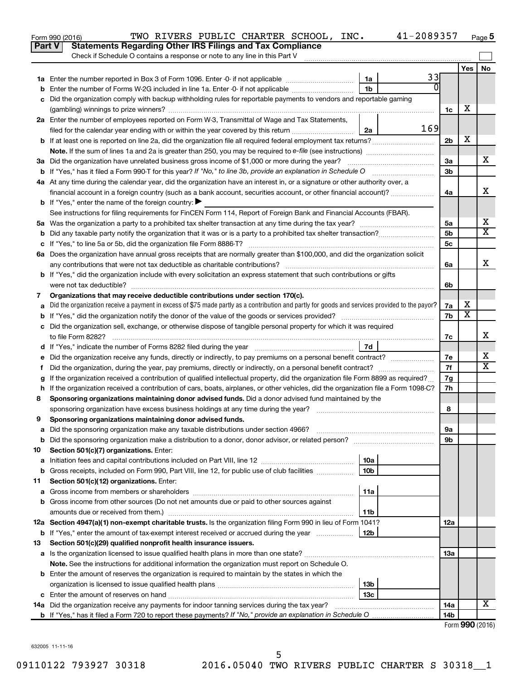|               | 41-2089357<br>TWO RIVERS PUBLIC CHARTER SCHOOL, INC.<br>Form 990 (2016)                                                                         |                 |                         | Page 5 |
|---------------|-------------------------------------------------------------------------------------------------------------------------------------------------|-----------------|-------------------------|--------|
| <b>Part V</b> | <b>Statements Regarding Other IRS Filings and Tax Compliance</b>                                                                                |                 |                         |        |
|               | Check if Schedule O contains a response or note to any line in this Part V                                                                      |                 |                         |        |
|               |                                                                                                                                                 |                 | Yes                     | No     |
|               | 33<br>1a                                                                                                                                        |                 |                         |        |
| b             | $\Omega$<br>1 <sub>b</sub><br>Enter the number of Forms W-2G included in line 1a. Enter -0- if not applicable                                   |                 |                         |        |
|               | c Did the organization comply with backup withholding rules for reportable payments to vendors and reportable gaming                            |                 |                         |        |
|               |                                                                                                                                                 | 1c              | х                       |        |
|               | 2a Enter the number of employees reported on Form W-3, Transmittal of Wage and Tax Statements,                                                  |                 |                         |        |
|               | 169<br>filed for the calendar year ending with or within the year covered by this return<br>2a                                                  |                 |                         |        |
|               | <b>b</b> If at least one is reported on line 2a, did the organization file all required federal employment tax returns?                         | 2 <sub>b</sub>  | х                       |        |
|               |                                                                                                                                                 |                 |                         |        |
|               | 3a Did the organization have unrelated business gross income of \$1,000 or more during the year?                                                | За              |                         | х      |
|               |                                                                                                                                                 | 3 <sub>b</sub>  |                         |        |
|               | 4a At any time during the calendar year, did the organization have an interest in, or a signature or other authority over, a                    |                 |                         |        |
|               | financial account in a foreign country (such as a bank account, securities account, or other financial account)?                                | 4a              |                         | x      |
|               | <b>b</b> If "Yes," enter the name of the foreign country: $\blacktriangleright$                                                                 |                 |                         |        |
|               | See instructions for filing requirements for FinCEN Form 114, Report of Foreign Bank and Financial Accounts (FBAR).                             |                 |                         |        |
|               |                                                                                                                                                 | 5a              |                         | х      |
|               |                                                                                                                                                 | 5 <sub>b</sub>  |                         | X      |
|               |                                                                                                                                                 | 5 <sub>c</sub>  |                         |        |
|               | 6a Does the organization have annual gross receipts that are normally greater than \$100,000, and did the organization solicit                  |                 |                         |        |
|               |                                                                                                                                                 | 6a              |                         | х      |
|               | <b>b</b> If "Yes," did the organization include with every solicitation an express statement that such contributions or gifts                   |                 |                         |        |
|               |                                                                                                                                                 | 6b              |                         |        |
| 7             | Organizations that may receive deductible contributions under section 170(c).                                                                   |                 |                         |        |
| a             | Did the organization receive a payment in excess of \$75 made partly as a contribution and partly for goods and services provided to the payor? | 7a              | х                       |        |
|               |                                                                                                                                                 | 7b              | $\overline{\mathbf{X}}$ |        |
|               | c Did the organization sell, exchange, or otherwise dispose of tangible personal property for which it was required                             |                 |                         |        |
|               |                                                                                                                                                 | 7с              |                         | х      |
|               | 7d                                                                                                                                              |                 |                         |        |
| е             |                                                                                                                                                 | 7e              |                         | Х      |
| f.            | Did the organization, during the year, pay premiums, directly or indirectly, on a personal benefit contract?                                    | 7f              |                         | X      |
|               | If the organization received a contribution of qualified intellectual property, did the organization file Form 8899 as required?                | 7g              |                         |        |
|               | h If the organization received a contribution of cars, boats, airplanes, or other vehicles, did the organization file a Form 1098-C?            | 7h              |                         |        |
| 8             | Sponsoring organizations maintaining donor advised funds. Did a donor advised fund maintained by the                                            |                 |                         |        |
|               |                                                                                                                                                 | 8               |                         |        |
|               | Sponsoring organizations maintaining donor advised funds.                                                                                       |                 |                         |        |
| а             | Did the sponsoring organization make any taxable distributions under section 4966?                                                              | 9а              |                         |        |
| b             | Did the sponsoring organization make a distribution to a donor, donor advisor, or related person?                                               | 9b              |                         |        |
| 10            | Section 501(c)(7) organizations. Enter:                                                                                                         |                 |                         |        |
| a             | 10a                                                                                                                                             |                 |                         |        |
| b             | 10 <sub>b</sub><br>Gross receipts, included on Form 990, Part VIII, line 12, for public use of club facilities                                  |                 |                         |        |
| 11            | Section 501(c)(12) organizations. Enter:                                                                                                        |                 |                         |        |
| а             | 11a                                                                                                                                             |                 |                         |        |
|               | b Gross income from other sources (Do not net amounts due or paid to other sources against                                                      |                 |                         |        |
|               | amounts due or received from them.)<br>11b                                                                                                      |                 |                         |        |
|               | 12a Section 4947(a)(1) non-exempt charitable trusts. Is the organization filing Form 990 in lieu of Form 1041?                                  | 12a             |                         |        |
|               | 12b                                                                                                                                             |                 |                         |        |
|               | <b>b</b> If "Yes," enter the amount of tax-exempt interest received or accrued during the year                                                  |                 |                         |        |
| 13            | Section 501(c)(29) qualified nonprofit health insurance issuers.                                                                                |                 |                         |        |
|               | a Is the organization licensed to issue qualified health plans in more than one state?                                                          | 13a             |                         |        |
|               | Note. See the instructions for additional information the organization must report on Schedule O.                                               |                 |                         |        |
|               | <b>b</b> Enter the amount of reserves the organization is required to maintain by the states in which the                                       |                 |                         |        |
|               | 13b                                                                                                                                             |                 |                         |        |
|               | 13c                                                                                                                                             |                 |                         | x      |
|               | 14a Did the organization receive any payments for indoor tanning services during the tax year?                                                  | 14a             |                         |        |
|               |                                                                                                                                                 | 14 <sub>b</sub> |                         |        |
|               |                                                                                                                                                 |                 | Form 990 (2016)         |        |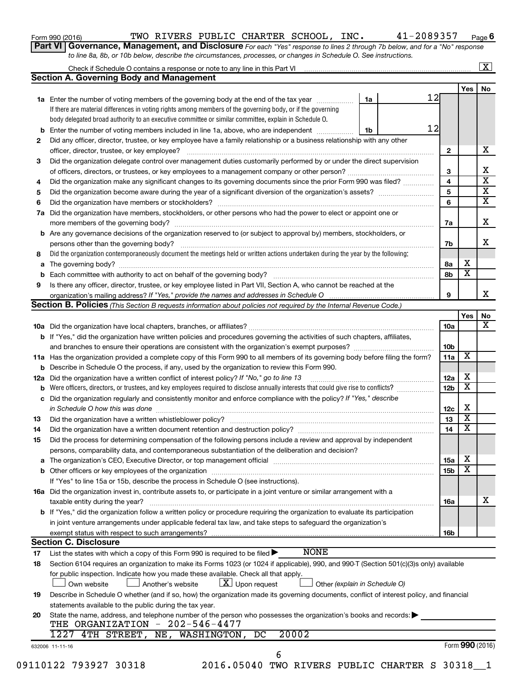| Form 990 (2016) |  |
|-----------------|--|
|-----------------|--|

## Form 990 (2016) Page TWO RIVERS PUBLIC CHARTER SCHOOL, INC. 41-2089357

**6**

**Part VI** Governance, Management, and Disclosure For each "Yes" response to lines 2 through 7b below, and for a "No" response *to line 8a, 8b, or 10b below, describe the circumstances, processes, or changes in Schedule O. See instructions.*

|                      |                                                                                                                                                                                                                                |                               |                 |                 | $\mathbf{X}$            |
|----------------------|--------------------------------------------------------------------------------------------------------------------------------------------------------------------------------------------------------------------------------|-------------------------------|-----------------|-----------------|-------------------------|
|                      | <b>Section A. Governing Body and Management</b>                                                                                                                                                                                |                               |                 |                 |                         |
|                      |                                                                                                                                                                                                                                |                               |                 | Yes             | No                      |
|                      | <b>1a</b> Enter the number of voting members of the governing body at the end of the tax year                                                                                                                                  | 1a                            | 12              |                 |                         |
|                      | If there are material differences in voting rights among members of the governing body, or if the governing                                                                                                                    |                               |                 |                 |                         |
|                      | body delegated broad authority to an executive committee or similar committee, explain in Schedule O.                                                                                                                          |                               |                 |                 |                         |
| b                    | Enter the number of voting members included in line 1a, above, who are independent <i>manners</i>                                                                                                                              | 1b                            | 12              |                 |                         |
| 2                    | Did any officer, director, trustee, or key employee have a family relationship or a business relationship with any other                                                                                                       |                               |                 |                 |                         |
|                      | officer, director, trustee, or key employee?                                                                                                                                                                                   |                               | 2               |                 | х                       |
| 3                    | Did the organization delegate control over management duties customarily performed by or under the direct supervision                                                                                                          |                               |                 |                 |                         |
|                      |                                                                                                                                                                                                                                |                               | 3               |                 | х                       |
| 4                    | Did the organization make any significant changes to its governing documents since the prior Form 990 was filed?                                                                                                               |                               | 4               |                 | $\overline{\mathbf{x}}$ |
| 5                    |                                                                                                                                                                                                                                |                               | 5               |                 | $\overline{\mathbf{x}}$ |
| 6                    |                                                                                                                                                                                                                                |                               | 6               |                 | $\overline{\mathbf{X}}$ |
| 7a                   | Did the organization have members, stockholders, or other persons who had the power to elect or appoint one or                                                                                                                 |                               |                 |                 |                         |
|                      |                                                                                                                                                                                                                                |                               | 7a              |                 | X                       |
| b                    | Are any governance decisions of the organization reserved to (or subject to approval by) members, stockholders, or                                                                                                             |                               |                 |                 |                         |
|                      |                                                                                                                                                                                                                                |                               | 7b              |                 | x                       |
| 8                    | Did the organization contemporaneously document the meetings held or written actions undertaken during the year by the following:                                                                                              |                               |                 |                 |                         |
|                      |                                                                                                                                                                                                                                |                               |                 | X               |                         |
| a                    |                                                                                                                                                                                                                                |                               | 8а              | х               |                         |
| b                    |                                                                                                                                                                                                                                |                               | 8b              |                 |                         |
| 9                    | Is there any officer, director, trustee, or key employee listed in Part VII, Section A, who cannot be reached at the                                                                                                           |                               |                 |                 |                         |
|                      |                                                                                                                                                                                                                                |                               | 9               |                 | х                       |
|                      | <b>Section B. Policies</b> (This Section B requests information about policies not required by the Internal Revenue Code.)                                                                                                     |                               |                 |                 |                         |
|                      |                                                                                                                                                                                                                                |                               |                 | Yes             | No                      |
|                      |                                                                                                                                                                                                                                |                               | 10a             |                 | х                       |
|                      | <b>b</b> If "Yes," did the organization have written policies and procedures governing the activities of such chapters, affiliates,                                                                                            |                               |                 |                 |                         |
|                      |                                                                                                                                                                                                                                |                               | 10b             |                 |                         |
|                      | 11a Has the organization provided a complete copy of this Form 990 to all members of its governing body before filing the form?                                                                                                |                               | 11a             | X               |                         |
|                      | <b>b</b> Describe in Schedule O the process, if any, used by the organization to review this Form 990.                                                                                                                         |                               |                 |                 |                         |
| 12a                  | Did the organization have a written conflict of interest policy? If "No," go to line 13                                                                                                                                        |                               | 12a             | х               |                         |
| b                    | Were officers, directors, or trustees, and key employees required to disclose annually interests that could give rise to conflicts?                                                                                            |                               | 12 <sub>b</sub> | X               |                         |
| с                    | Did the organization regularly and consistently monitor and enforce compliance with the policy? If "Yes," describe                                                                                                             |                               |                 |                 |                         |
|                      | in Schedule O how this was done manufactured and continuum and contact the state of the state of the state of                                                                                                                  |                               | 12c             | X               |                         |
| 13                   |                                                                                                                                                                                                                                |                               | 13              | X               |                         |
| 14                   | Did the organization have a written document retention and destruction policy? [11] manufaction model of the organization have a written document retention and destruction policy?                                            |                               | 14              | X               |                         |
| 15                   | Did the process for determining compensation of the following persons include a review and approval by independent                                                                                                             |                               |                 |                 |                         |
|                      | persons, comparability data, and contemporaneous substantiation of the deliberation and decision?                                                                                                                              |                               |                 |                 |                         |
|                      |                                                                                                                                                                                                                                |                               |                 |                 |                         |
|                      | The organization's CEO, Executive Director, or top management official manufactured content content of the organization's CEO, Executive Director, or top management official manufactured content of the original manufacture |                               |                 |                 |                         |
| а                    |                                                                                                                                                                                                                                |                               | <b>15a</b>      | х               |                         |
|                      |                                                                                                                                                                                                                                |                               | 15 <sub>b</sub> | X               |                         |
|                      | If "Yes" to line 15a or 15b, describe the process in Schedule O (see instructions).                                                                                                                                            |                               |                 |                 |                         |
|                      | 16a Did the organization invest in, contribute assets to, or participate in a joint venture or similar arrangement with a                                                                                                      |                               |                 |                 |                         |
|                      | taxable entity during the year?                                                                                                                                                                                                |                               | 16a             |                 |                         |
|                      | b If "Yes," did the organization follow a written policy or procedure requiring the organization to evaluate its participation                                                                                                 |                               |                 |                 |                         |
|                      | in joint venture arrangements under applicable federal tax law, and take steps to safeguard the organization's                                                                                                                 |                               |                 |                 |                         |
|                      | exempt status with respect to such arrangements?                                                                                                                                                                               |                               | 16b             |                 |                         |
|                      | <b>Section C. Disclosure</b>                                                                                                                                                                                                   |                               |                 |                 |                         |
|                      | <b>NONE</b><br>List the states with which a copy of this Form 990 is required to be filed $\blacktriangleright$                                                                                                                |                               |                 |                 |                         |
|                      | Section 6104 requires an organization to make its Forms 1023 (or 1024 if applicable), 990, and 990-T (Section 501(c)(3)s only) available                                                                                       |                               |                 |                 |                         |
|                      | for public inspection. Indicate how you made these available. Check all that apply.                                                                                                                                            |                               |                 |                 |                         |
|                      | Own website<br>Another's website                                                                                                                                                                                               | Other (explain in Schedule O) |                 |                 |                         |
|                      | $\lfloor x \rfloor$ Upon request                                                                                                                                                                                               |                               |                 |                 |                         |
|                      | Describe in Schedule O whether (and if so, how) the organization made its governing documents, conflict of interest policy, and financial                                                                                      |                               |                 |                 |                         |
|                      | statements available to the public during the tax year.                                                                                                                                                                        |                               |                 |                 |                         |
|                      | State the name, address, and telephone number of the person who possesses the organization's books and records:                                                                                                                |                               |                 |                 |                         |
|                      | THE ORGANIZATION - 202-546-4477                                                                                                                                                                                                |                               |                 |                 |                         |
|                      | 20002<br>1227 4TH STREET,<br>NE, WASHINGTON,<br>DC                                                                                                                                                                             |                               |                 |                 | x                       |
| 17<br>18<br>19<br>20 | 632006 11-11-16<br>6                                                                                                                                                                                                           |                               |                 | Form 990 (2016) |                         |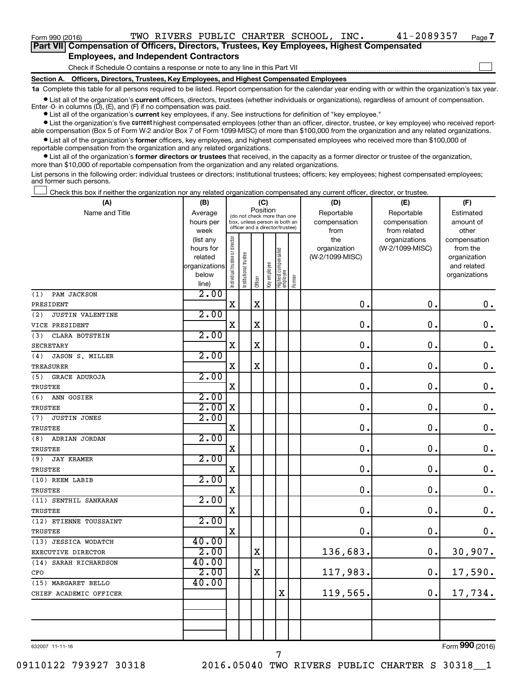$\Box$ 

| Part VII Compensation of Officers, Directors, Trustees, Key Employees, Highest Compensated |
|--------------------------------------------------------------------------------------------|
| <b>Employees, and Independent Contractors</b>                                              |

Check if Schedule O contains a response or note to any line in this Part VII

**Section A. Officers, Directors, Trustees, Key Employees, and Highest Compensated Employees**

**1a**  Complete this table for all persons required to be listed. Report compensation for the calendar year ending with or within the organization's tax year.

**•** List all of the organization's current officers, directors, trustees (whether individuals or organizations), regardless of amount of compensation. Enter -0- in columns  $(D)$ ,  $(E)$ , and  $(F)$  if no compensation was paid.

**•** List all of the organization's **current** key employees, if any. See instructions for definition of "key employee."

**•** List the organization's five current highest compensated employees (other than an officer, director, trustee, or key employee) who received report-

**•** List all of the organization's former officers, key employees, and highest compensated employees who received more than \$100,000 of able compensation (Box 5 of Form W-2 and/or Box 7 of Form 1099-MISC) of more than \$100,000 from the organization and any related organizations. reportable compensation from the organization and any related organizations.

**•** List all of the organization's former directors or trustees that received, in the capacity as a former director or trustee of the organization, more than \$10,000 of reportable compensation from the organization and any related organizations.

List persons in the following order: individual trustees or directors; institutional trustees; officers; key employees; highest compensated employees; and former such persons.

Check this box if neither the organization nor any related organization compensated any current officer, director, or trustee.  $\Box$ 

| (A)                            | (B)                    | (C)                            |                                                                  |             |              |                                 |        | (D)             | (E)             | (F)           |
|--------------------------------|------------------------|--------------------------------|------------------------------------------------------------------|-------------|--------------|---------------------------------|--------|-----------------|-----------------|---------------|
| Name and Title                 | Average                |                                | Position<br>(do not check more than one                          |             |              |                                 |        | Reportable      | Reportable      | Estimated     |
|                                | hours per              |                                | box, unless person is both an<br>officer and a director/trustee) |             |              |                                 |        | compensation    | compensation    | amount of     |
|                                | week                   |                                |                                                                  |             |              |                                 |        | from            | from related    | other         |
|                                | (list any              |                                |                                                                  |             |              |                                 |        | the             | organizations   | compensation  |
|                                | hours for              |                                |                                                                  |             |              |                                 |        | organization    | (W-2/1099-MISC) | from the      |
|                                | related                |                                |                                                                  |             |              |                                 |        | (W-2/1099-MISC) |                 | organization  |
|                                | organizations<br>below |                                |                                                                  |             |              |                                 |        |                 |                 | and related   |
|                                | line)                  | Individual trustee or director | Institutional trustee                                            | Officer     | Key employee | Highest compensated<br>employee | Former |                 |                 | organizations |
| PAM JACKSON<br>(1)             | 2.00                   |                                |                                                                  |             |              |                                 |        |                 |                 |               |
| PRESIDENT                      |                        | $\mathbf X$                    |                                                                  | $\mathbf X$ |              |                                 |        | $\mathbf 0$ .   | $\mathbf 0$ .   | $\mathbf 0$ . |
| (2)<br><b>JUSTIN VALENTINE</b> | 2.00                   |                                |                                                                  |             |              |                                 |        |                 |                 |               |
| VICE PRESIDENT                 |                        | $\mathbf X$                    |                                                                  | $\mathbf X$ |              |                                 |        | $\mathbf 0$     | $\mathbf 0$ .   | $\mathbf 0$ . |
| CLARA BOTSTEIN<br>(3)          | 2.00                   |                                |                                                                  |             |              |                                 |        |                 |                 |               |
| <b>SECRETARY</b>               |                        | $\mathbf X$                    |                                                                  | $\mathbf X$ |              |                                 |        | $\mathbf 0$     | $\mathbf 0$ .   | $\mathbf 0$ . |
| JASON S. MILLER<br>(4)         | 2.00                   |                                |                                                                  |             |              |                                 |        |                 |                 |               |
| <b>TREASURER</b>               |                        | $\mathbf X$                    |                                                                  | $\mathbf X$ |              |                                 |        | $\mathbf 0$ .   | $\mathbf 0$ .   | $\mathbf 0$ . |
| GRACE ADUROJA<br>(5)           | 2.00                   |                                |                                                                  |             |              |                                 |        |                 |                 |               |
| <b>TRUSTEE</b>                 |                        | $\mathbf X$                    |                                                                  |             |              |                                 |        | $\mathbf 0$ .   | $\mathbf 0$ .   | $\mathbf 0$ . |
| (6)<br>ANN GOSIER              | 2.00                   |                                |                                                                  |             |              |                                 |        |                 |                 |               |
| <b>TRUSTEE</b>                 | 2.00                   | X                              |                                                                  |             |              |                                 |        | $\mathbf 0$ .   | $\mathbf 0$ .   | $\mathbf 0$ . |
| <b>JUSTIN JONES</b><br>(7)     | 2.00                   |                                |                                                                  |             |              |                                 |        |                 |                 |               |
| <b>TRUSTEE</b>                 |                        | $\mathbf X$                    |                                                                  |             |              |                                 |        | $\mathbf 0$ .   | $\mathbf 0$ .   | $\mathbf 0$ . |
| ADRIAN JORDAN<br>(8)           | 2.00                   |                                |                                                                  |             |              |                                 |        |                 |                 |               |
| <b>TRUSTEE</b>                 |                        | $\mathbf X$                    |                                                                  |             |              |                                 |        | $\mathbf 0$ .   | $\mathbf 0$ .   | $\mathbf 0$ . |
| <b>JAY KRAMER</b><br>(9)       | 2.00                   |                                |                                                                  |             |              |                                 |        |                 |                 |               |
| TRUSTEE                        |                        | $\mathbf X$                    |                                                                  |             |              |                                 |        | 0.              | $\mathbf 0$ .   | $\mathbf 0$ . |
| (10) REEM LABIB                | 2.00                   |                                |                                                                  |             |              |                                 |        |                 |                 |               |
| TRUSTEE                        |                        | $\mathbf X$                    |                                                                  |             |              |                                 |        | $\mathbf 0$ .   | $\mathbf 0$ .   | $\mathbf 0$ . |
| (11) SENTHIL SANKARAN          | 2.00                   |                                |                                                                  |             |              |                                 |        |                 |                 |               |
| <b>TRUSTEE</b>                 |                        | $\mathbf X$                    |                                                                  |             |              |                                 |        | 0.              | $\mathbf 0$ .   | $\mathbf 0$ . |
| (12) ETIENNE TOUSSAINT         | 2.00                   |                                |                                                                  |             |              |                                 |        |                 |                 |               |
| TRUSTEE                        |                        | $\mathbf X$                    |                                                                  |             |              |                                 |        | 0.              | $\mathbf 0$ .   | $\mathbf 0$ . |
| (13) JESSICA WODATCH           | 40.00                  |                                |                                                                  |             |              |                                 |        |                 |                 |               |
| EXECUTIVE DIRECTOR             | 2.00                   |                                |                                                                  | $\mathbf X$ |              |                                 |        | 136,683.        | 0.              | 30,907.       |
| SARAH RICHARDSON<br>(14)       | 40.00                  |                                |                                                                  |             |              |                                 |        |                 |                 |               |
| CFO                            | 2.00                   |                                |                                                                  | $\mathbf X$ |              |                                 |        | 117,983.        | 0.              | 17,590.       |
| (15) MARGARET BELLO            | 40.00                  |                                |                                                                  |             |              |                                 |        |                 |                 |               |
| CHIEF ACADEMIC OFFICER         |                        |                                |                                                                  |             |              | $\mathbf X$                     |        | 119,565.        | 0.              | 17,734.       |
|                                |                        |                                |                                                                  |             |              |                                 |        |                 |                 |               |
|                                |                        |                                |                                                                  |             |              |                                 |        |                 |                 |               |
|                                |                        |                                |                                                                  |             |              |                                 |        |                 |                 |               |
|                                |                        |                                |                                                                  |             |              |                                 |        |                 |                 |               |

632007 11-11-16

Form (2016) **990**

09110122 793927 30318 2016.05040 TWO RIVERS PUBLIC CHARTER S 30318 1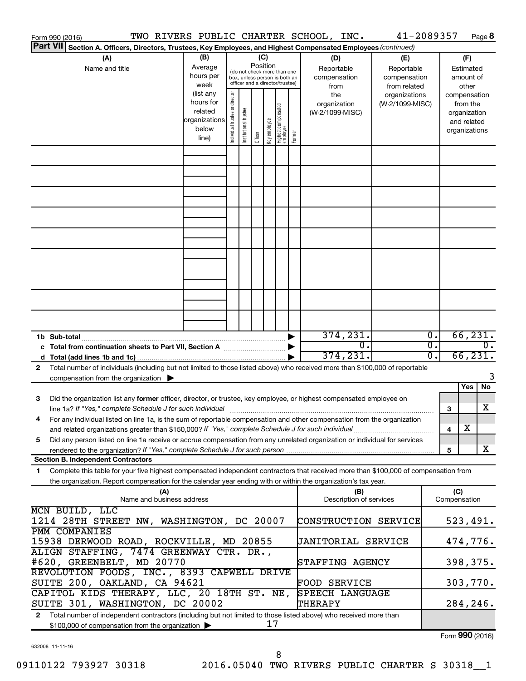|    | TWO RIVERS PUBLIC CHARTER SCHOOL, INC.<br>Form 990 (2016)                                                                                                                                                                       |                        |                                |                       |          |              |                                                                  |                                   |                         |                      | 41-2089357       |                          | Page 8           |
|----|---------------------------------------------------------------------------------------------------------------------------------------------------------------------------------------------------------------------------------|------------------------|--------------------------------|-----------------------|----------|--------------|------------------------------------------------------------------|-----------------------------------|-------------------------|----------------------|------------------|--------------------------|------------------|
|    | Part VII Section A. Officers, Directors, Trustees, Key Employees, and Highest Compensated Employees (continued)                                                                                                                 |                        |                                |                       |          |              |                                                                  |                                   |                         |                      |                  |                          |                  |
|    | (A)                                                                                                                                                                                                                             | (B)                    |                                |                       | (C)      |              |                                                                  | (D)                               |                         | (E)                  |                  | (F)                      |                  |
|    | Name and title                                                                                                                                                                                                                  | Average                |                                |                       | Position |              | (do not check more than one                                      | Reportable                        |                         | Reportable           |                  | Estimated                |                  |
|    |                                                                                                                                                                                                                                 | hours per              |                                |                       |          |              | box, unless person is both an<br>officer and a director/trustee) | compensation                      |                         | compensation         |                  | amount of                |                  |
|    |                                                                                                                                                                                                                                 | week                   |                                |                       |          |              |                                                                  | from                              |                         | from related         |                  | other                    |                  |
|    |                                                                                                                                                                                                                                 | (list any<br>hours for |                                |                       |          |              |                                                                  | the                               |                         | organizations        |                  | compensation             |                  |
|    |                                                                                                                                                                                                                                 | related                |                                |                       |          |              |                                                                  | organization<br>(W-2/1099-MISC)   |                         | (W-2/1099-MISC)      |                  | from the<br>organization |                  |
|    |                                                                                                                                                                                                                                 | organizations          | Individual trustee or director | Institutional trustee |          |              |                                                                  |                                   |                         |                      |                  | and related              |                  |
|    |                                                                                                                                                                                                                                 | below                  |                                |                       |          |              |                                                                  |                                   |                         |                      |                  | organizations            |                  |
|    |                                                                                                                                                                                                                                 | line)                  |                                |                       | Officer  | Key employee | Highest compensated<br> employee<br>Former                       |                                   |                         |                      |                  |                          |                  |
|    |                                                                                                                                                                                                                                 |                        |                                |                       |          |              |                                                                  |                                   |                         |                      |                  |                          |                  |
|    |                                                                                                                                                                                                                                 |                        |                                |                       |          |              |                                                                  |                                   |                         |                      |                  |                          |                  |
|    |                                                                                                                                                                                                                                 |                        |                                |                       |          |              |                                                                  |                                   |                         |                      |                  |                          |                  |
|    |                                                                                                                                                                                                                                 |                        |                                |                       |          |              |                                                                  |                                   |                         |                      |                  |                          |                  |
|    |                                                                                                                                                                                                                                 |                        |                                |                       |          |              |                                                                  |                                   |                         |                      |                  |                          |                  |
|    |                                                                                                                                                                                                                                 |                        |                                |                       |          |              |                                                                  |                                   |                         |                      |                  |                          |                  |
|    |                                                                                                                                                                                                                                 |                        |                                |                       |          |              |                                                                  |                                   |                         |                      |                  |                          |                  |
|    |                                                                                                                                                                                                                                 |                        |                                |                       |          |              |                                                                  |                                   |                         |                      |                  |                          |                  |
|    |                                                                                                                                                                                                                                 |                        |                                |                       |          |              |                                                                  |                                   |                         |                      |                  |                          |                  |
|    |                                                                                                                                                                                                                                 |                        |                                |                       |          |              |                                                                  |                                   |                         |                      |                  |                          |                  |
|    |                                                                                                                                                                                                                                 |                        |                                |                       |          |              |                                                                  |                                   |                         |                      |                  |                          |                  |
|    |                                                                                                                                                                                                                                 |                        |                                |                       |          |              |                                                                  |                                   |                         |                      |                  |                          |                  |
|    |                                                                                                                                                                                                                                 |                        |                                |                       |          |              |                                                                  |                                   |                         |                      |                  |                          |                  |
|    |                                                                                                                                                                                                                                 |                        |                                |                       |          |              |                                                                  |                                   |                         |                      |                  |                          |                  |
|    |                                                                                                                                                                                                                                 |                        |                                |                       |          |              |                                                                  |                                   |                         |                      |                  |                          |                  |
|    |                                                                                                                                                                                                                                 |                        |                                |                       |          |              |                                                                  |                                   |                         |                      |                  |                          |                  |
|    |                                                                                                                                                                                                                                 |                        |                                |                       |          |              |                                                                  |                                   |                         |                      |                  |                          |                  |
|    |                                                                                                                                                                                                                                 |                        |                                |                       |          |              |                                                                  |                                   | 374, 231.               |                      | $\overline{0}$ . |                          | 66, 231.         |
|    | c Total from continuation sheets to Part VII, Section A manuscription of                                                                                                                                                        |                        |                                |                       |          |              |                                                                  |                                   | σ.                      |                      | $\overline{0}$ . |                          | $\overline{0}$ . |
|    |                                                                                                                                                                                                                                 |                        |                                |                       |          |              |                                                                  |                                   | 374, 231.               |                      | $\overline{0}$ . |                          | 66, 231.         |
| 2  | Total number of individuals (including but not limited to those listed above) who received more than \$100,000 of reportable                                                                                                    |                        |                                |                       |          |              |                                                                  |                                   |                         |                      |                  |                          |                  |
|    | compensation from the organization $\blacktriangleright$                                                                                                                                                                        |                        |                                |                       |          |              |                                                                  |                                   |                         |                      |                  |                          |                  |
|    |                                                                                                                                                                                                                                 |                        |                                |                       |          |              |                                                                  |                                   |                         |                      |                  | Yes                      | No               |
| 3  | Did the organization list any former officer, director, or trustee, key employee, or highest compensated employee on                                                                                                            |                        |                                |                       |          |              |                                                                  |                                   |                         |                      |                  |                          | х                |
|    | line 1a? If "Yes," complete Schedule J for such individual manufactured contains and the set of the schedule J                                                                                                                  |                        |                                |                       |          |              |                                                                  |                                   |                         |                      |                  | 3                        |                  |
|    | For any individual listed on line 1a, is the sum of reportable compensation and other compensation from the organization<br>and related organizations greater than \$150,000? If "Yes," complete Schedule J for such individual |                        |                                |                       |          |              |                                                                  |                                   |                         |                      |                  | X<br>4                   |                  |
| 5  | Did any person listed on line 1a receive or accrue compensation from any unrelated organization or individual for services                                                                                                      |                        |                                |                       |          |              |                                                                  |                                   |                         |                      |                  |                          |                  |
|    |                                                                                                                                                                                                                                 |                        |                                |                       |          |              |                                                                  |                                   |                         |                      | 5                |                          | х                |
|    | <b>Section B. Independent Contractors</b>                                                                                                                                                                                       |                        |                                |                       |          |              |                                                                  |                                   |                         |                      |                  |                          |                  |
| 1. | Complete this table for your five highest compensated independent contractors that received more than \$100,000 of compensation from                                                                                            |                        |                                |                       |          |              |                                                                  |                                   |                         |                      |                  |                          |                  |
|    | the organization. Report compensation for the calendar year ending with or within the organization's tax year.                                                                                                                  |                        |                                |                       |          |              |                                                                  |                                   |                         |                      |                  |                          |                  |
|    | (A)                                                                                                                                                                                                                             |                        |                                |                       |          |              |                                                                  |                                   | (B)                     |                      |                  | (C)                      |                  |
|    | Name and business address                                                                                                                                                                                                       |                        |                                |                       |          |              |                                                                  |                                   | Description of services |                      |                  | Compensation             |                  |
|    | MCN BUILD, LLC                                                                                                                                                                                                                  |                        |                                |                       |          |              |                                                                  |                                   |                         |                      |                  |                          |                  |
|    | 1214 28TH STREET NW, WASHINGTON, DC 20007                                                                                                                                                                                       |                        |                                |                       |          |              |                                                                  |                                   |                         | CONSTRUCTION SERVICE |                  | 523,491.                 |                  |
|    | PMM COMPANIES                                                                                                                                                                                                                   |                        |                                |                       |          |              |                                                                  |                                   |                         |                      |                  |                          |                  |
|    | 15938 DERWOOD ROAD, ROCKVILLE, MD 20855                                                                                                                                                                                         |                        |                                |                       |          |              |                                                                  | JANITORIAL SERVICE                |                         |                      |                  | 474,776.                 |                  |
|    | ALIGN STAFFING, 7474 GREENWAY CTR. DR.,                                                                                                                                                                                         |                        |                                |                       |          |              |                                                                  |                                   |                         |                      |                  |                          |                  |
|    | #620, GREENBELT, MD 20770                                                                                                                                                                                                       |                        |                                |                       |          |              |                                                                  | STAFFING AGENCY                   |                         |                      |                  | 398,375.                 |                  |
|    | REVOLUTION FOODS, INC., 8393 CAPWELL DRIVE                                                                                                                                                                                      |                        |                                |                       |          |              |                                                                  |                                   |                         |                      |                  |                          |                  |
|    | SUITE 200, OAKLAND, CA 94621                                                                                                                                                                                                    |                        |                                |                       |          |              |                                                                  | <b>FOOD SERVICE</b>               |                         |                      |                  | 303,770.                 |                  |
|    | CAPITOL KIDS THERAPY, LLC, 20 18TH ST. NE,<br>SUITE 301, WASHINGTON, DC 20002                                                                                                                                                   |                        |                                |                       |          |              |                                                                  | <b>SPEECH LANGUAGE</b><br>THERAPY |                         |                      |                  |                          |                  |
|    |                                                                                                                                                                                                                                 |                        |                                |                       |          |              |                                                                  |                                   |                         |                      |                  | 284,246.                 |                  |
| 2  | Total number of independent contractors (including but not limited to those listed above) who received more than                                                                                                                |                        |                                |                       |          | 17           |                                                                  |                                   |                         |                      |                  |                          |                  |
|    | \$100,000 of compensation from the organization                                                                                                                                                                                 |                        |                                |                       |          |              |                                                                  |                                   |                         |                      |                  |                          |                  |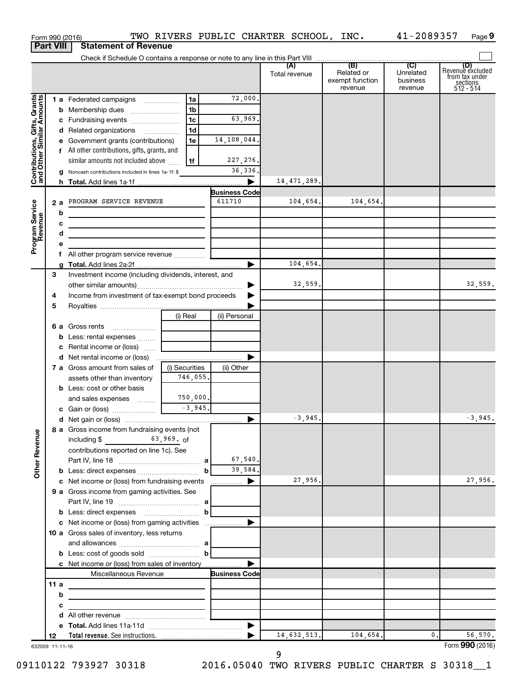|                                                           | Form 990 (2016)  |                                                                         |                            |                      | TWO RIVERS PUBLIC CHARTER SCHOOL, INC. |                                          | 41-2089357                       | Page 9                                                             |
|-----------------------------------------------------------|------------------|-------------------------------------------------------------------------|----------------------------|----------------------|----------------------------------------|------------------------------------------|----------------------------------|--------------------------------------------------------------------|
|                                                           | <b>Part VIII</b> | <b>Statement of Revenue</b>                                             |                            |                      |                                        |                                          |                                  |                                                                    |
|                                                           |                  |                                                                         |                            |                      | (A)                                    | (B)                                      | (C)                              |                                                                    |
|                                                           |                  |                                                                         |                            |                      | Total revenue                          | Related or<br>exempt function<br>revenue | Unrelated<br>business<br>revenue | (D)<br>Revenue excluded<br>from tax under<br>sections<br>512 - 514 |
|                                                           |                  | 1 a Federated campaigns                                                 | 1a                         | 72,000.              |                                        |                                          |                                  |                                                                    |
|                                                           |                  |                                                                         | 1 <sub>b</sub>             |                      |                                        |                                          |                                  |                                                                    |
|                                                           |                  | c Fundraising events                                                    | 1c                         | 63,969.              |                                        |                                          |                                  |                                                                    |
|                                                           |                  | d Related organizations                                                 | 1d                         |                      |                                        |                                          |                                  |                                                                    |
|                                                           |                  | e Government grants (contributions)                                     | 1e                         | 14,108,044.          |                                        |                                          |                                  |                                                                    |
|                                                           |                  | f All other contributions, gifts, grants, and                           |                            |                      |                                        |                                          |                                  |                                                                    |
|                                                           |                  | similar amounts not included above                                      | 1f                         | 227, 276.            |                                        |                                          |                                  |                                                                    |
| Contributions, Gifts, Grants<br>and Other Similar Amounts |                  | g Noncash contributions included in lines 1a-1f: \$                     |                            | 36, 336.             | 14, 471, 289.                          |                                          |                                  |                                                                    |
|                                                           |                  |                                                                         |                            | <b>Business Code</b> |                                        |                                          |                                  |                                                                    |
|                                                           |                  | 2 a PROGRAM SERVICE REVENUE                                             |                            | 611710               | 104, 654.                              | 104,654.                                 |                                  |                                                                    |
|                                                           | b                |                                                                         |                            |                      |                                        |                                          |                                  |                                                                    |
|                                                           | с                |                                                                         |                            |                      |                                        |                                          |                                  |                                                                    |
|                                                           | d                |                                                                         |                            |                      |                                        |                                          |                                  |                                                                    |
| Program Service<br>Revenue                                | е                |                                                                         |                            |                      |                                        |                                          |                                  |                                                                    |
|                                                           |                  | f All other program service revenue                                     |                            |                      |                                        |                                          |                                  |                                                                    |
|                                                           |                  |                                                                         |                            |                      | 104,654.                               |                                          |                                  |                                                                    |
|                                                           | 3                | Investment income (including dividends, interest, and                   |                            |                      | 32,559.                                |                                          |                                  | 32,559.                                                            |
|                                                           | 4                | Income from investment of tax-exempt bond proceeds                      |                            |                      |                                        |                                          |                                  |                                                                    |
|                                                           | 5                |                                                                         |                            |                      |                                        |                                          |                                  |                                                                    |
|                                                           |                  |                                                                         | (i) Real                   | (ii) Personal        |                                        |                                          |                                  |                                                                    |
|                                                           |                  | 6 a Gross rents                                                         |                            |                      |                                        |                                          |                                  |                                                                    |
|                                                           |                  | <b>b</b> Less: rental expenses                                          |                            |                      |                                        |                                          |                                  |                                                                    |
|                                                           |                  | <b>c</b> Rental income or (loss)                                        |                            |                      |                                        |                                          |                                  |                                                                    |
|                                                           |                  | d Net rental income or (loss)                                           |                            |                      |                                        |                                          |                                  |                                                                    |
|                                                           |                  | 7 a Gross amount from sales of                                          | (i) Securities<br>746,055. | (ii) Other           |                                        |                                          |                                  |                                                                    |
|                                                           |                  | assets other than inventory<br><b>b</b> Less: cost or other basis       |                            |                      |                                        |                                          |                                  |                                                                    |
|                                                           |                  | and sales expenses                                                      | 750,000.                   |                      |                                        |                                          |                                  |                                                                    |
|                                                           |                  | c Gain or (loss)                                                        | $-3,945.$                  |                      |                                        |                                          |                                  |                                                                    |
|                                                           |                  |                                                                         |                            |                      | $-3,945.$                              |                                          |                                  | $-3,945$ .                                                         |
|                                                           |                  | 8 a Gross income from fundraising events (not                           |                            |                      |                                        |                                          |                                  |                                                                    |
|                                                           |                  | including $\frac{2}{3}$ 63,969. of                                      |                            |                      |                                        |                                          |                                  |                                                                    |
|                                                           |                  | contributions reported on line 1c). See                                 |                            |                      |                                        |                                          |                                  |                                                                    |
| <b>Other Revenue</b>                                      |                  |                                                                         | b                          | 67,540.<br>39,584.   |                                        |                                          |                                  |                                                                    |
|                                                           |                  | c Net income or (loss) from fundraising events                          |                            | ▶                    | 27,956.                                |                                          |                                  | 27,956.                                                            |
|                                                           |                  | 9 a Gross income from gaming activities. See                            |                            | .                    |                                        |                                          |                                  |                                                                    |
|                                                           |                  |                                                                         |                            |                      |                                        |                                          |                                  |                                                                    |
|                                                           |                  |                                                                         | b                          |                      |                                        |                                          |                                  |                                                                    |
|                                                           |                  |                                                                         |                            |                      |                                        |                                          |                                  |                                                                    |
|                                                           |                  | <b>10 a</b> Gross sales of inventory, less returns                      |                            |                      |                                        |                                          |                                  |                                                                    |
|                                                           |                  |                                                                         |                            |                      |                                        |                                          |                                  |                                                                    |
|                                                           |                  |                                                                         | b                          |                      |                                        |                                          |                                  |                                                                    |
|                                                           |                  | c Net income or (loss) from sales of inventory<br>Miscellaneous Revenue |                            | <b>Business Code</b> |                                        |                                          |                                  |                                                                    |
|                                                           | 11a              |                                                                         |                            |                      |                                        |                                          |                                  |                                                                    |
|                                                           | b                |                                                                         |                            |                      |                                        |                                          |                                  |                                                                    |
|                                                           | c                |                                                                         |                            |                      |                                        |                                          |                                  |                                                                    |
|                                                           | d                |                                                                         |                            |                      |                                        |                                          |                                  |                                                                    |
|                                                           |                  |                                                                         |                            |                      |                                        |                                          |                                  |                                                                    |
|                                                           | 12               |                                                                         |                            |                      | 14,632,513.                            | 104,654.                                 | 0.                               | 56, 570.                                                           |
|                                                           | 632009 11-11-16  |                                                                         |                            |                      | 9                                      |                                          |                                  | Form 990 (2016)                                                    |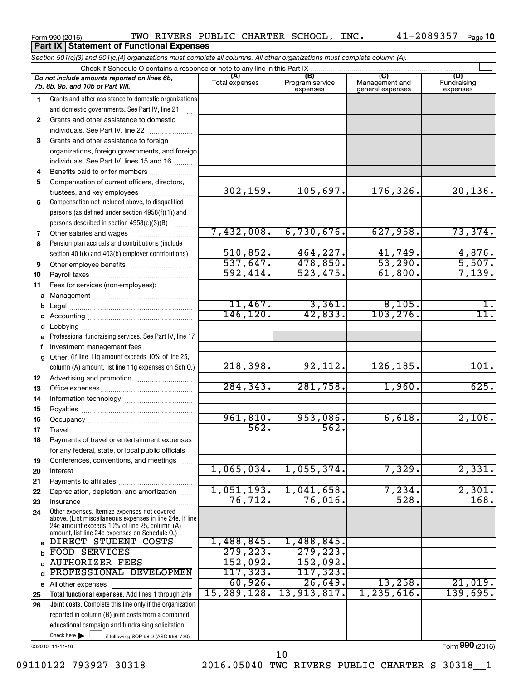**Part IX Statement of Functional Expenses** 

Form 990 (2016)  $\,$  TWO RIVERS PUBLIC CHARTER SCHOOL, INC.  $\,$  41-2089357  $\,$  Page

|              | Section 501(c)(3) and 501(c)(4) organizations must complete all columns. All other organizations must complete column (A).                                |                       |                                    |                                           |                                |  |  |  |  |
|--------------|-----------------------------------------------------------------------------------------------------------------------------------------------------------|-----------------------|------------------------------------|-------------------------------------------|--------------------------------|--|--|--|--|
|              |                                                                                                                                                           |                       |                                    |                                           |                                |  |  |  |  |
|              | Do not include amounts reported on lines 6b,<br>7b, 8b, 9b, and 10b of Part VIII.                                                                         | (A)<br>Total expenses | (B)<br>Program service<br>expenses | (C)<br>Management and<br>general expenses | (D)<br>Fundraising<br>expenses |  |  |  |  |
| 1            | Grants and other assistance to domestic organizations                                                                                                     |                       |                                    |                                           |                                |  |  |  |  |
|              | and domestic governments. See Part IV, line 21                                                                                                            |                       |                                    |                                           |                                |  |  |  |  |
| $\mathbf{2}$ | Grants and other assistance to domestic                                                                                                                   |                       |                                    |                                           |                                |  |  |  |  |
|              | individuals. See Part IV, line 22                                                                                                                         |                       |                                    |                                           |                                |  |  |  |  |
| 3            | Grants and other assistance to foreign                                                                                                                    |                       |                                    |                                           |                                |  |  |  |  |
|              | organizations, foreign governments, and foreign                                                                                                           |                       |                                    |                                           |                                |  |  |  |  |
|              | individuals. See Part IV, lines 15 and 16                                                                                                                 |                       |                                    |                                           |                                |  |  |  |  |
| 4            | Benefits paid to or for members                                                                                                                           |                       |                                    |                                           |                                |  |  |  |  |
| 5            | Compensation of current officers, directors,                                                                                                              |                       |                                    |                                           |                                |  |  |  |  |
|              | trustees, and key employees                                                                                                                               | 302, 159.             | 105,697.                           | 176,326.                                  | 20, 136.                       |  |  |  |  |
| 6            | Compensation not included above, to disqualified                                                                                                          |                       |                                    |                                           |                                |  |  |  |  |
|              | persons (as defined under section 4958(f)(1)) and                                                                                                         |                       |                                    |                                           |                                |  |  |  |  |
|              | persons described in section 4958(c)(3)(B)                                                                                                                |                       |                                    |                                           | 73,374.                        |  |  |  |  |
| 7            |                                                                                                                                                           | 7,432,008.            | 6,730,676.                         | 627,958.                                  |                                |  |  |  |  |
| 8            | Pension plan accruals and contributions (include                                                                                                          | 510, 852.             | 464,227.                           | 41,749.                                   |                                |  |  |  |  |
|              | section 401(k) and 403(b) employer contributions)                                                                                                         | 537,647.              | 478,850.                           | 53,290.                                   | $\frac{4,876}{5,507}$          |  |  |  |  |
| 9            | Other employee benefits                                                                                                                                   | 592,414.              | 523, 475.                          | 61,800.                                   | 7,139.                         |  |  |  |  |
| 10           |                                                                                                                                                           |                       |                                    |                                           |                                |  |  |  |  |
| 11           | Fees for services (non-employees):                                                                                                                        |                       |                                    |                                           |                                |  |  |  |  |
| a            |                                                                                                                                                           | 11,467.               | 3,361.                             | 8,105.                                    |                                |  |  |  |  |
| b            |                                                                                                                                                           | 146, 120.             | 42,833.                            | 103, 276.                                 | 11.                            |  |  |  |  |
| c            |                                                                                                                                                           |                       |                                    |                                           |                                |  |  |  |  |
| d<br>e       | Professional fundraising services. See Part IV, line 17                                                                                                   |                       |                                    |                                           |                                |  |  |  |  |
| f            | Investment management fees                                                                                                                                |                       |                                    |                                           |                                |  |  |  |  |
| g            | Other. (If line 11g amount exceeds 10% of line 25,                                                                                                        |                       |                                    |                                           |                                |  |  |  |  |
|              | column (A) amount, list line 11g expenses on Sch O.)                                                                                                      | 218,398.              | 92,112.                            | 126,185.                                  | 101.                           |  |  |  |  |
| 12           |                                                                                                                                                           |                       |                                    |                                           |                                |  |  |  |  |
| 13           |                                                                                                                                                           | 284, 343.             | 281,758.                           | 1,960.                                    | 625.                           |  |  |  |  |
| 14           |                                                                                                                                                           |                       |                                    |                                           |                                |  |  |  |  |
| 15           |                                                                                                                                                           |                       |                                    |                                           |                                |  |  |  |  |
| 16           |                                                                                                                                                           | 961, 810.             | 953,086.                           | 6,618.                                    | 2,106.                         |  |  |  |  |
| 17           |                                                                                                                                                           | 562.                  | 562.                               |                                           |                                |  |  |  |  |
| 18           | Payments of travel or entertainment expenses                                                                                                              |                       |                                    |                                           |                                |  |  |  |  |
|              | for any federal, state, or local public officials                                                                                                         |                       |                                    |                                           |                                |  |  |  |  |
| 19           | Conferences, conventions, and meetings                                                                                                                    |                       |                                    |                                           |                                |  |  |  |  |
| 20           | Interest                                                                                                                                                  | 1,065,034.            | 1,055,374.                         | 7,329.                                    | 2,331.                         |  |  |  |  |
| 21           |                                                                                                                                                           |                       |                                    |                                           |                                |  |  |  |  |
| 22           | Depreciation, depletion, and amortization                                                                                                                 | 1,051,193.            | 1,041,658.                         | 7,234.                                    | 2,301.                         |  |  |  |  |
| 23           | Insurance                                                                                                                                                 | 76, 712.              | 76,016.                            | 528.                                      | 168.                           |  |  |  |  |
| 24           | Other expenses. Itemize expenses not covered<br>above. (List miscellaneous expenses in line 24e. If line<br>24e amount exceeds 10% of line 25, column (A) |                       |                                    |                                           |                                |  |  |  |  |
| a            | amount, list line 24e expenses on Schedule O.)<br>DIRECT STUDENT COSTS                                                                                    | 1,488,845.            | 1,488,845.                         |                                           |                                |  |  |  |  |
| b            | FOOD SERVICES                                                                                                                                             | 279, 223.             | 279, 223.                          |                                           |                                |  |  |  |  |
|              | <b>AUTHORIZER FEES</b>                                                                                                                                    | 152,092.              | 152,092.                           |                                           |                                |  |  |  |  |
| d            | PROFESSIONAL DEVELOPMEN                                                                                                                                   | 117, 323.             | 117, 323.                          |                                           |                                |  |  |  |  |
|              | e All other expenses                                                                                                                                      | 60,926.               | 26,649.                            | 13,258.                                   | 21,019.                        |  |  |  |  |
| 25           | Total functional expenses. Add lines 1 through 24e                                                                                                        | 15, 289, 128.         | 13,913,817.                        | 1, 235, 616.                              | 139,695.                       |  |  |  |  |
| 26           | Joint costs. Complete this line only if the organization                                                                                                  |                       |                                    |                                           |                                |  |  |  |  |
|              | reported in column (B) joint costs from a combined                                                                                                        |                       |                                    |                                           |                                |  |  |  |  |
|              | educational campaign and fundraising solicitation.                                                                                                        |                       |                                    |                                           |                                |  |  |  |  |
|              | Check here<br>if following SOP 98-2 (ASC 958-720)                                                                                                         |                       |                                    |                                           |                                |  |  |  |  |

632010 11-11-16

Form (2016) **990**

09110122 793927 30318 2016.05040 TWO RIVERS PUBLIC CHARTER S 30318 1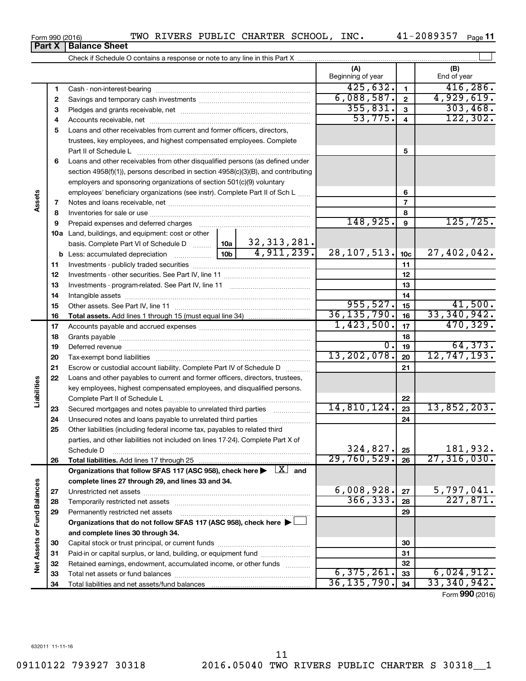**Part X Balance Sheet**

| Form 990 (2016) |                       |  | TWO RIVERS PUBLIC CHARTER | SCHOOL. | INC. | $-2089357$<br>$\Lambda$ <sup>1</sup><br>$\overline{\phantom{0}}$ | Page 11 |
|-----------------|-----------------------|--|---------------------------|---------|------|------------------------------------------------------------------|---------|
|                 | Davi V. Dalanga Chast |  |                           |         |      |                                                                  |         |

|                             |          |                                                                                                                                |                     | (A)<br>Beginning of year |                         | (B)<br>End of year |
|-----------------------------|----------|--------------------------------------------------------------------------------------------------------------------------------|---------------------|--------------------------|-------------------------|--------------------|
|                             | 1        |                                                                                                                                |                     | 425,632.                 | $\mathbf{1}$            | 416, 286.          |
|                             | 2        |                                                                                                                                |                     | 6,088,587.               | $\overline{\mathbf{2}}$ | 4,929,619.         |
|                             | З        |                                                                                                                                |                     | 355,831.                 | 3                       | 303,468.           |
|                             | 4        |                                                                                                                                |                     | 53,775.                  | $\overline{4}$          | 122, 302.          |
|                             | 5        | Loans and other receivables from current and former officers, directors,                                                       |                     |                          |                         |                    |
|                             |          | trustees, key employees, and highest compensated employees. Complete                                                           |                     |                          |                         |                    |
|                             |          | Part II of Schedule L                                                                                                          |                     |                          | 5                       |                    |
|                             | 6        | Loans and other receivables from other disqualified persons (as defined under                                                  |                     |                          |                         |                    |
|                             |          | section 4958(f)(1)), persons described in section 4958(c)(3)(B), and contributing                                              |                     |                          |                         |                    |
|                             |          | employers and sponsoring organizations of section 501(c)(9) voluntary                                                          |                     |                          |                         |                    |
| Assets                      |          | employees' beneficiary organizations (see instr). Complete Part II of Sch L                                                    |                     |                          | 6                       |                    |
|                             | 7        |                                                                                                                                |                     |                          | 7                       |                    |
|                             | 8        |                                                                                                                                |                     |                          | 8                       |                    |
|                             | 9        | Prepaid expenses and deferred charges                                                                                          |                     | 148,925.                 | 9                       | 125, 725.          |
|                             |          | <b>10a</b> Land, buildings, and equipment: cost or other                                                                       |                     |                          |                         |                    |
|                             |          | basis. Complete Part VI of Schedule D $\frac{10a}{32}$ , 313, 281.                                                             | $\boxed{4,911,239}$ |                          |                         |                    |
|                             |          | 10 <sub>b</sub><br><b>b</b> Less: accumulated depreciation <i></i>                                                             | 28, 107, 513.       | 10 <sub>c</sub>          | 27,402,042.             |                    |
|                             | 11       |                                                                                                                                |                     | 11                       |                         |                    |
|                             | 12       |                                                                                                                                |                     | 12                       |                         |                    |
|                             | 13       |                                                                                                                                |                     | 13                       |                         |                    |
|                             | 14       |                                                                                                                                |                     | 14                       |                         |                    |
|                             | 15       |                                                                                                                                |                     | 955,527.                 | 15                      | 41,500.            |
|                             | 16       |                                                                                                                                |                     | 36, 135, 790.            | 16                      | 33,340,942.        |
|                             | 17       |                                                                                                                                | 1,423,500.          | 17                       | 470,329.                |                    |
|                             | 18       |                                                                                                                                |                     | 18                       |                         |                    |
|                             | 19       |                                                                                                                                |                     | 0.                       | 19                      | 64, 373.           |
|                             | 20       |                                                                                                                                | 13, 202, 078.       | 20                       | 12, 747, 193.           |                    |
|                             | 21       | Escrow or custodial account liability. Complete Part IV of Schedule D                                                          |                     |                          | 21                      |                    |
| Liabilities                 | 22       | Loans and other payables to current and former officers, directors, trustees,                                                  |                     |                          |                         |                    |
|                             |          | key employees, highest compensated employees, and disqualified persons.                                                        |                     |                          |                         |                    |
|                             |          |                                                                                                                                |                     | 14,810,124.              | 22<br>23                | 13,852,203.        |
|                             | 23<br>24 | Secured mortgages and notes payable to unrelated third parties<br>Unsecured notes and loans payable to unrelated third parties |                     |                          | 24                      |                    |
|                             | 25       | Other liabilities (including federal income tax, payables to related third                                                     |                     |                          |                         |                    |
|                             |          | parties, and other liabilities not included on lines 17-24). Complete Part X of                                                |                     |                          |                         |                    |
|                             |          | Schedule D                                                                                                                     |                     | 324,827.                 | 25                      | 181,932.           |
|                             | 26       |                                                                                                                                |                     | 29,760,529.              | 26                      | 27, 316, 030.      |
|                             |          | Organizations that follow SFAS 117 (ASC 958), check here $\blacktriangleright \begin{array}{c} \boxed{X} \end{array}$ and      |                     |                          |                         |                    |
|                             |          | complete lines 27 through 29, and lines 33 and 34.                                                                             |                     |                          |                         |                    |
|                             | 27       |                                                                                                                                |                     | 6,008,928.               | 27                      | 5,797,041.         |
|                             | 28       |                                                                                                                                | 366, 333.           | 28                       | 227,871.                |                    |
|                             | 29       | Permanently restricted net assets                                                                                              |                     |                          | 29                      |                    |
|                             |          | Organizations that do not follow SFAS 117 (ASC 958), check here ▶ [                                                            |                     |                          |                         |                    |
| Net Assets or Fund Balances |          | and complete lines 30 through 34.                                                                                              |                     |                          |                         |                    |
|                             | 30       |                                                                                                                                |                     |                          | 30                      |                    |
|                             | 31       | Paid-in or capital surplus, or land, building, or equipment fund                                                               |                     |                          | 31                      |                    |
|                             | 32       | Retained earnings, endowment, accumulated income, or other funds                                                               |                     |                          | 32                      |                    |
|                             | 33       |                                                                                                                                |                     | 6, 375, 261.             | 33                      | 6,024,912.         |
|                             | 34       |                                                                                                                                |                     | 36, 135, 790.            | 34                      | 33, 340, 942.      |

Form (2016) **990**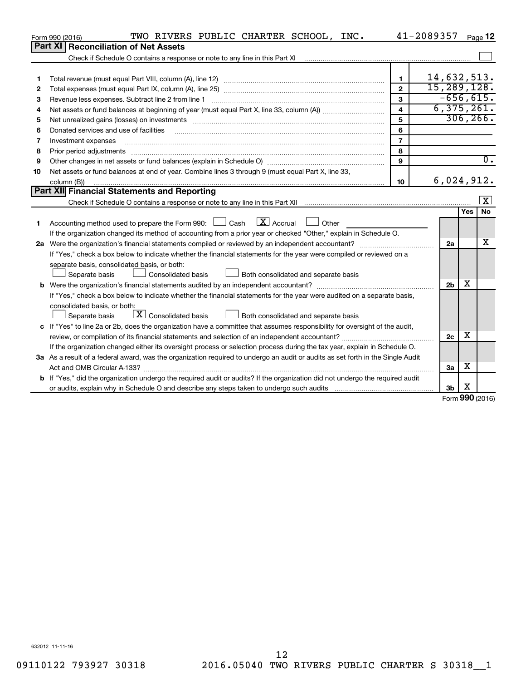|    | TWO RIVERS PUBLIC CHARTER SCHOOL, INC.<br>Form 990 (2016)                                                                       |                         | 41-2089357     |     | Page 12                 |
|----|---------------------------------------------------------------------------------------------------------------------------------|-------------------------|----------------|-----|-------------------------|
|    | <b>Reconciliation of Net Assets</b><br>Part XI                                                                                  |                         |                |     |                         |
|    |                                                                                                                                 |                         |                |     |                         |
|    |                                                                                                                                 |                         |                |     |                         |
| 1  |                                                                                                                                 | $\mathbf{1}$            | 14,632,513.    |     |                         |
| 2  |                                                                                                                                 | $\overline{2}$          | 15, 289, 128.  |     |                         |
| З  | Revenue less expenses. Subtract line 2 from line 1                                                                              | $\mathbf{a}$            | $-656, 615.$   |     |                         |
| 4  |                                                                                                                                 | $\overline{\mathbf{4}}$ | 6, 375, 261.   |     |                         |
| 5  |                                                                                                                                 | 5                       |                |     | 306, 266.               |
| 6  | Donated services and use of facilities                                                                                          | 6                       |                |     |                         |
| 7  | Investment expenses                                                                                                             | $\overline{7}$          |                |     |                         |
| 8  | Prior period adjustments                                                                                                        | 8                       |                |     |                         |
| 9  |                                                                                                                                 | 9                       |                |     | $\overline{0}$ .        |
| 10 | Net assets or fund balances at end of year. Combine lines 3 through 9 (must equal Part X, line 33,                              |                         |                |     |                         |
|    | column (B))                                                                                                                     | 10                      | 6,024,912.     |     |                         |
|    | Part XII Financial Statements and Reporting                                                                                     |                         |                |     |                         |
|    |                                                                                                                                 |                         |                |     | $\overline{\mathbf{x}}$ |
|    |                                                                                                                                 |                         |                | Yes | <b>No</b>               |
| 1  | $\lfloor x \rfloor$ Accrual<br>Accounting method used to prepare the Form 990: $\Box$ Cash<br>Other                             |                         |                |     |                         |
|    | If the organization changed its method of accounting from a prior year or checked "Other," explain in Schedule O.               |                         |                |     |                         |
|    |                                                                                                                                 |                         | 2a             |     | x                       |
|    | If "Yes," check a box below to indicate whether the financial statements for the year were compiled or reviewed on a            |                         |                |     |                         |
|    | separate basis, consolidated basis, or both:                                                                                    |                         |                |     |                         |
|    | Separate basis<br>Consolidated basis<br>Both consolidated and separate basis                                                    |                         |                |     |                         |
|    |                                                                                                                                 |                         | 2 <sub>b</sub> | х   |                         |
|    | If "Yes," check a box below to indicate whether the financial statements for the year were audited on a separate basis,         |                         |                |     |                         |
|    | consolidated basis, or both:                                                                                                    |                         |                |     |                         |
|    | $\lfloor x \rfloor$ Consolidated basis<br>Separate basis<br>Both consolidated and separate basis                                |                         |                |     |                         |
|    | c If "Yes" to line 2a or 2b, does the organization have a committee that assumes responsibility for oversight of the audit,     |                         |                |     |                         |
|    | review, or compilation of its financial statements and selection of an independent accountant?                                  |                         | 2c             | х   |                         |
|    | If the organization changed either its oversight process or selection process during the tax year, explain in Schedule O.       |                         |                |     |                         |
|    | 3a As a result of a federal award, was the organization required to undergo an audit or audits as set forth in the Single Audit |                         |                |     |                         |
|    |                                                                                                                                 |                         | За             | x   |                         |
|    | b If "Yes," did the organization undergo the required audit or audits? If the organization did not undergo the required audit   |                         |                |     |                         |
|    |                                                                                                                                 |                         | 3 <sub>b</sub> | х   |                         |

Form (2016) **990**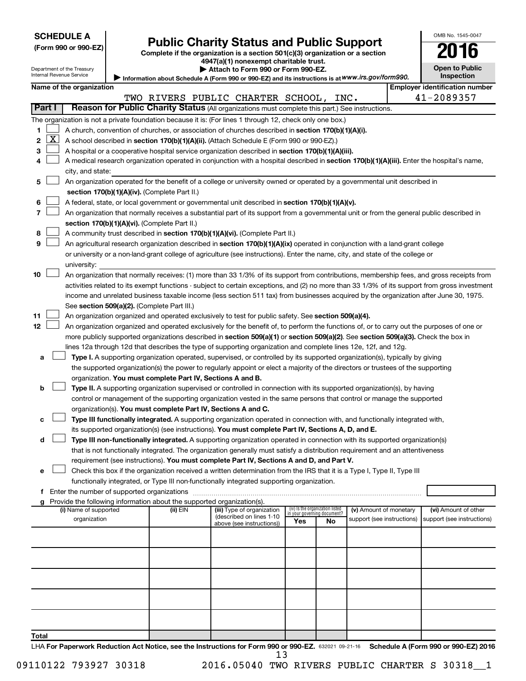|  | <b>SCHEDULE A</b> |  |
|--|-------------------|--|
|  |                   |  |

Department of the Treasury

# Form 990 or 990-EZ) **Public Charity Status and Public Support**<br>
Complete if the organization is a section 501(c)(3) organization or a section<br> **2016**

Information about Schedule A (Form 990 or 990-EZ) and its instructions is at WWW.irs.gov/form990. **4947(a)(1) nonexempt charitable trust. | Attach to Form 990 or Form 990-EZ.** 

| <b>Open to Public</b><br>Inspection |  |
|-------------------------------------|--|

OMB No. 1545-0047

|        |   | Name of the organization                                                                                                                      |                                        |  |                                                        |                                 |                             |                                                      |  | <b>Employer identification number</b>              |
|--------|---|-----------------------------------------------------------------------------------------------------------------------------------------------|----------------------------------------|--|--------------------------------------------------------|---------------------------------|-----------------------------|------------------------------------------------------|--|----------------------------------------------------|
|        |   |                                                                                                                                               | TWO RIVERS PUBLIC CHARTER SCHOOL, INC. |  |                                                        |                                 |                             |                                                      |  | 41-2089357                                         |
| Part I |   | Reason for Public Charity Status (All organizations must complete this part.) See instructions.                                               |                                        |  |                                                        |                                 |                             |                                                      |  |                                                    |
|        |   | The organization is not a private foundation because it is: (For lines 1 through 12, check only one box.)                                     |                                        |  |                                                        |                                 |                             |                                                      |  |                                                    |
| 1      |   | A church, convention of churches, or association of churches described in section 170(b)(1)(A)(i).                                            |                                        |  |                                                        |                                 |                             |                                                      |  |                                                    |
| 2      | X | A school described in section 170(b)(1)(A)(ii). (Attach Schedule E (Form 990 or 990-EZ).)                                                     |                                        |  |                                                        |                                 |                             |                                                      |  |                                                    |
| з      |   | A hospital or a cooperative hospital service organization described in section 170(b)(1)(A)(iii).                                             |                                        |  |                                                        |                                 |                             |                                                      |  |                                                    |
|        |   | A medical research organization operated in conjunction with a hospital described in section 170(b)(1)(A)(iii). Enter the hospital's name,    |                                        |  |                                                        |                                 |                             |                                                      |  |                                                    |
|        |   | city, and state:                                                                                                                              |                                        |  |                                                        |                                 |                             |                                                      |  |                                                    |
| 5      |   | An organization operated for the benefit of a college or university owned or operated by a governmental unit described in                     |                                        |  |                                                        |                                 |                             |                                                      |  |                                                    |
|        |   | section 170(b)(1)(A)(iv). (Complete Part II.)                                                                                                 |                                        |  |                                                        |                                 |                             |                                                      |  |                                                    |
| 6      |   | A federal, state, or local government or governmental unit described in section 170(b)(1)(A)(v).                                              |                                        |  |                                                        |                                 |                             |                                                      |  |                                                    |
|        |   | An organization that normally receives a substantial part of its support from a governmental unit or from the general public described in     |                                        |  |                                                        |                                 |                             |                                                      |  |                                                    |
|        |   | section 170(b)(1)(A)(vi). (Complete Part II.)                                                                                                 |                                        |  |                                                        |                                 |                             |                                                      |  |                                                    |
| 8      |   | A community trust described in section 170(b)(1)(A)(vi). (Complete Part II.)                                                                  |                                        |  |                                                        |                                 |                             |                                                      |  |                                                    |
| 9      |   | An agricultural research organization described in section 170(b)(1)(A)(ix) operated in conjunction with a land-grant college                 |                                        |  |                                                        |                                 |                             |                                                      |  |                                                    |
|        |   | or university or a non-land-grant college of agriculture (see instructions). Enter the name, city, and state of the college or                |                                        |  |                                                        |                                 |                             |                                                      |  |                                                    |
|        |   | university:                                                                                                                                   |                                        |  |                                                        |                                 |                             |                                                      |  |                                                    |
| 10     |   | An organization that normally receives: (1) more than 33 1/3% of its support from contributions, membership fees, and gross receipts from     |                                        |  |                                                        |                                 |                             |                                                      |  |                                                    |
|        |   | activities related to its exempt functions - subject to certain exceptions, and (2) no more than 33 1/3% of its support from gross investment |                                        |  |                                                        |                                 |                             |                                                      |  |                                                    |
|        |   | income and unrelated business taxable income (less section 511 tax) from businesses acquired by the organization after June 30, 1975.         |                                        |  |                                                        |                                 |                             |                                                      |  |                                                    |
|        |   | See section 509(a)(2). (Complete Part III.)                                                                                                   |                                        |  |                                                        |                                 |                             |                                                      |  |                                                    |
| 11     |   | An organization organized and operated exclusively to test for public safety. See section 509(a)(4).                                          |                                        |  |                                                        |                                 |                             |                                                      |  |                                                    |
| 12     |   | An organization organized and operated exclusively for the benefit of, to perform the functions of, or to carry out the purposes of one or    |                                        |  |                                                        |                                 |                             |                                                      |  |                                                    |
|        |   | more publicly supported organizations described in section 509(a)(1) or section 509(a)(2). See section 509(a)(3). Check the box in            |                                        |  |                                                        |                                 |                             |                                                      |  |                                                    |
|        |   | lines 12a through 12d that describes the type of supporting organization and complete lines 12e, 12f, and 12g.                                |                                        |  |                                                        |                                 |                             |                                                      |  |                                                    |
| а      |   | Type I. A supporting organization operated, supervised, or controlled by its supported organization(s), typically by giving                   |                                        |  |                                                        |                                 |                             |                                                      |  |                                                    |
|        |   | the supported organization(s) the power to regularly appoint or elect a majority of the directors or trustees of the supporting               |                                        |  |                                                        |                                 |                             |                                                      |  |                                                    |
|        |   | organization. You must complete Part IV, Sections A and B.                                                                                    |                                        |  |                                                        |                                 |                             |                                                      |  |                                                    |
| b      |   | Type II. A supporting organization supervised or controlled in connection with its supported organization(s), by having                       |                                        |  |                                                        |                                 |                             |                                                      |  |                                                    |
|        |   | control or management of the supporting organization vested in the same persons that control or manage the supported                          |                                        |  |                                                        |                                 |                             |                                                      |  |                                                    |
|        |   | organization(s). You must complete Part IV, Sections A and C.                                                                                 |                                        |  |                                                        |                                 |                             |                                                      |  |                                                    |
| с      |   | Type III functionally integrated. A supporting organization operated in connection with, and functionally integrated with,                    |                                        |  |                                                        |                                 |                             |                                                      |  |                                                    |
|        |   | its supported organization(s) (see instructions). You must complete Part IV, Sections A, D, and E.                                            |                                        |  |                                                        |                                 |                             |                                                      |  |                                                    |
| d      |   | Type III non-functionally integrated. A supporting organization operated in connection with its supported organization(s)                     |                                        |  |                                                        |                                 |                             |                                                      |  |                                                    |
|        |   | that is not functionally integrated. The organization generally must satisfy a distribution requirement and an attentiveness                  |                                        |  |                                                        |                                 |                             |                                                      |  |                                                    |
|        |   | requirement (see instructions). You must complete Part IV, Sections A and D, and Part V.                                                      |                                        |  |                                                        |                                 |                             |                                                      |  |                                                    |
| е      |   | Check this box if the organization received a written determination from the IRS that it is a Type I, Type II, Type III                       |                                        |  |                                                        |                                 |                             |                                                      |  |                                                    |
|        |   | functionally integrated, or Type III non-functionally integrated supporting organization.                                                     |                                        |  |                                                        |                                 |                             |                                                      |  |                                                    |
|        |   | f Enter the number of supported organizations                                                                                                 |                                        |  |                                                        |                                 |                             |                                                      |  |                                                    |
|        |   | Provide the following information about the supported organization(s).                                                                        |                                        |  |                                                        |                                 |                             |                                                      |  |                                                    |
|        |   | (i) Name of supported<br>organization                                                                                                         | (ii) EIN                               |  | (iii) Type of organization<br>(described on lines 1-10 | (iv) Is the organization listed | in your governing document? | (v) Amount of monetary<br>support (see instructions) |  | (vi) Amount of other<br>support (see instructions) |
|        |   |                                                                                                                                               |                                        |  | above (see instructions))                              | Yes                             | No                          |                                                      |  |                                                    |
|        |   |                                                                                                                                               |                                        |  |                                                        |                                 |                             |                                                      |  |                                                    |
|        |   |                                                                                                                                               |                                        |  |                                                        |                                 |                             |                                                      |  |                                                    |
|        |   |                                                                                                                                               |                                        |  |                                                        |                                 |                             |                                                      |  |                                                    |
|        |   |                                                                                                                                               |                                        |  |                                                        |                                 |                             |                                                      |  |                                                    |
|        |   |                                                                                                                                               |                                        |  |                                                        |                                 |                             |                                                      |  |                                                    |
|        |   |                                                                                                                                               |                                        |  |                                                        |                                 |                             |                                                      |  |                                                    |
|        |   |                                                                                                                                               |                                        |  |                                                        |                                 |                             |                                                      |  |                                                    |
|        |   |                                                                                                                                               |                                        |  |                                                        |                                 |                             |                                                      |  |                                                    |
|        |   |                                                                                                                                               |                                        |  |                                                        |                                 |                             |                                                      |  |                                                    |
| Total  |   |                                                                                                                                               |                                        |  |                                                        |                                 |                             |                                                      |  |                                                    |
|        |   |                                                                                                                                               |                                        |  |                                                        |                                 |                             |                                                      |  |                                                    |

LHA For Paperwork Reduction Act Notice, see the Instructions for Form 990 or 990-EZ. 632021 09-21-16 Schedule A (Form 990 or 990-EZ) 2016 13

09110122 793927 30318 2016.05040 TWO RIVERS PUBLIC CHARTER S 30318 1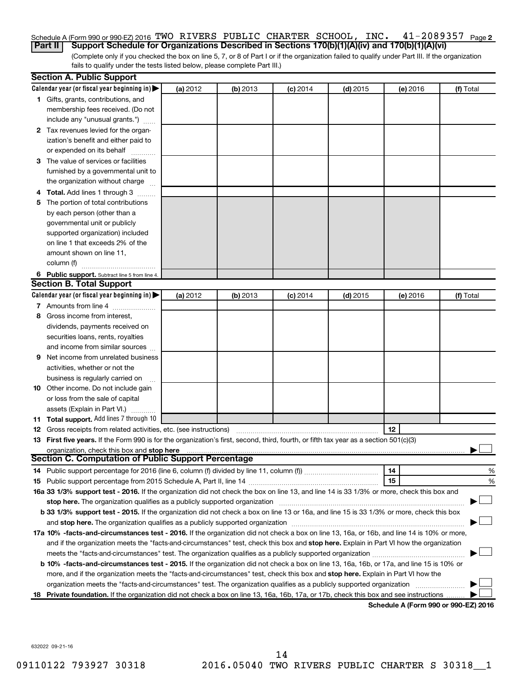#### 41-2089357 <sub>Page 2</sub> Schedule A (Form 990 or 990-EZ) 2016 'I'WO KIVERS PUBLIC CHARTER SCHOOL, INC.  $41-2089357$  Page **Part II Support Schedule for Organizations Described in Sections 170(b)(1)(A)(iv) and 170(b)(1)(A)(vi)** TWO RIVERS PUBLIC CHARTER SCHOOL, INC. 41-2089357

(Complete only if you checked the box on line 5, 7, or 8 of Part I or if the organization failed to qualify under Part III. If the organization fails to qualify under the tests listed below, please complete Part III.)

| Calendar year (or fiscal year beginning in)<br>(a) 2012<br>(b) 2013<br>$(d)$ 2015<br>(e) 2016<br>$(c)$ 2014<br>1 Gifts, grants, contributions, and | (f) Total |
|----------------------------------------------------------------------------------------------------------------------------------------------------|-----------|
|                                                                                                                                                    |           |
|                                                                                                                                                    |           |
| membership fees received. (Do not                                                                                                                  |           |
| include any "unusual grants.")                                                                                                                     |           |
| 2 Tax revenues levied for the organ-                                                                                                               |           |
| ization's benefit and either paid to                                                                                                               |           |
| or expended on its behalf                                                                                                                          |           |
| 3 The value of services or facilities                                                                                                              |           |
| furnished by a governmental unit to                                                                                                                |           |
| the organization without charge                                                                                                                    |           |
| 4 Total. Add lines 1 through 3                                                                                                                     |           |
| 5 The portion of total contributions                                                                                                               |           |
| by each person (other than a                                                                                                                       |           |
| governmental unit or publicly                                                                                                                      |           |
| supported organization) included                                                                                                                   |           |
| on line 1 that exceeds 2% of the                                                                                                                   |           |
| amount shown on line 11,                                                                                                                           |           |
| column (f)                                                                                                                                         |           |
| 6 Public support. Subtract line 5 from line 4.                                                                                                     |           |
| <b>Section B. Total Support</b>                                                                                                                    |           |
| Calendar year (or fiscal year beginning in)<br>(a) 2012<br>(b) 2013<br>$(d)$ 2015<br>(e) 2016<br>$(c)$ 2014                                        | (f) Total |
| 7 Amounts from line 4                                                                                                                              |           |
| 8 Gross income from interest,                                                                                                                      |           |
| dividends, payments received on                                                                                                                    |           |
|                                                                                                                                                    |           |
| securities loans, rents, royalties                                                                                                                 |           |
| and income from similar sources                                                                                                                    |           |
| Net income from unrelated business<br>9                                                                                                            |           |
| activities, whether or not the                                                                                                                     |           |
| business is regularly carried on                                                                                                                   |           |
| 10 Other income. Do not include gain                                                                                                               |           |
| or loss from the sale of capital                                                                                                                   |           |
| assets (Explain in Part VI.)                                                                                                                       |           |
| 11 Total support. Add lines 7 through 10                                                                                                           |           |
| 12<br><b>12</b> Gross receipts from related activities, etc. (see instructions)                                                                    |           |
| 13 First five years. If the Form 990 is for the organization's first, second, third, fourth, or fifth tax year as a section 501(c)(3)              |           |
| organization, check this box and stop here<br><b>Section C. Computation of Public Support Percentage</b>                                           |           |
|                                                                                                                                                    |           |
| 14<br>15                                                                                                                                           | %         |
| 16a 33 1/3% support test - 2016. If the organization did not check the box on line 13, and line 14 is 33 1/3% or more, check this box and          | %         |
|                                                                                                                                                    |           |
| stop here. The organization qualifies as a publicly supported organization                                                                         |           |
| b 33 1/3% support test - 2015. If the organization did not check a box on line 13 or 16a, and line 15 is 33 1/3% or more, check this box           |           |
|                                                                                                                                                    |           |
| 17a 10% -facts-and-circumstances test - 2016. If the organization did not check a box on line 13, 16a, or 16b, and line 14 is 10% or more,         |           |
| and if the organization meets the "facts-and-circumstances" test, check this box and stop here. Explain in Part VI how the organization            |           |
| meets the "facts-and-circumstances" test. The organization qualifies as a publicly supported organization <i>manumumumumum</i>                     |           |
| b 10% -facts-and-circumstances test - 2015. If the organization did not check a box on line 13, 16a, 16b, or 17a, and line 15 is 10% or            |           |
| more, and if the organization meets the "facts-and-circumstances" test, check this box and stop here. Explain in Part VI how the                   |           |
| organization meets the "facts-and-circumstances" test. The organization qualifies as a publicly supported organization                             |           |
| 18 Private foundation. If the organization did not check a box on line 13, 16a, 16b, 17a, or 17b, check this box and see instructions.             |           |

**Schedule A (Form 990 or 990-EZ) 2016**

632022 09-21-16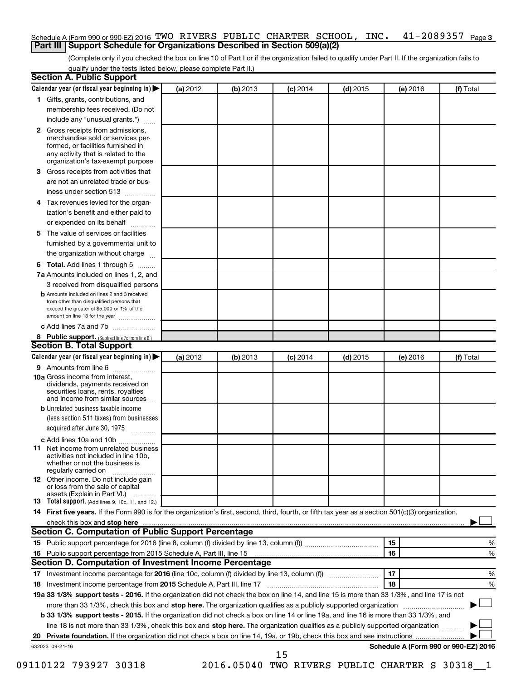#### $41 - 2089357$  Page 3 Schedule A (Form 990 or 990-EZ) 2016 TWO RIVERS PUBLIC CHARTER SCHOOL, INC.  $41$  -  $2089357$  Page **Part III Support Schedule for Organizations Described in Section 509(a)(2)**

(Complete only if you checked the box on line 10 of Part I or if the organization failed to qualify under Part II. If the organization fails to qualify under the tests listed below, please complete Part II.)

| <b>Section A. Public Support</b>                                                                                                                                                                                                    |          |          |            |            |          |                                      |
|-------------------------------------------------------------------------------------------------------------------------------------------------------------------------------------------------------------------------------------|----------|----------|------------|------------|----------|--------------------------------------|
| Calendar year (or fiscal year beginning in)                                                                                                                                                                                         | (a) 2012 | (b) 2013 | $(c)$ 2014 | $(d)$ 2015 | (e) 2016 | (f) Total                            |
| 1 Gifts, grants, contributions, and                                                                                                                                                                                                 |          |          |            |            |          |                                      |
| membership fees received. (Do not                                                                                                                                                                                                   |          |          |            |            |          |                                      |
| include any "unusual grants.")                                                                                                                                                                                                      |          |          |            |            |          |                                      |
| 2 Gross receipts from admissions,<br>merchandise sold or services per-<br>formed, or facilities furnished in<br>any activity that is related to the<br>organization's tax-exempt purpose                                            |          |          |            |            |          |                                      |
| <b>3</b> Gross receipts from activities that                                                                                                                                                                                        |          |          |            |            |          |                                      |
| are not an unrelated trade or bus-                                                                                                                                                                                                  |          |          |            |            |          |                                      |
| iness under section 513                                                                                                                                                                                                             |          |          |            |            |          |                                      |
| 4 Tax revenues levied for the organ-                                                                                                                                                                                                |          |          |            |            |          |                                      |
| ization's benefit and either paid to                                                                                                                                                                                                |          |          |            |            |          |                                      |
| or expended on its behalf                                                                                                                                                                                                           |          |          |            |            |          |                                      |
| 5 The value of services or facilities                                                                                                                                                                                               |          |          |            |            |          |                                      |
| furnished by a governmental unit to                                                                                                                                                                                                 |          |          |            |            |          |                                      |
| the organization without charge                                                                                                                                                                                                     |          |          |            |            |          |                                      |
| <b>6 Total.</b> Add lines 1 through 5                                                                                                                                                                                               |          |          |            |            |          |                                      |
| 7a Amounts included on lines 1, 2, and                                                                                                                                                                                              |          |          |            |            |          |                                      |
| 3 received from disqualified persons                                                                                                                                                                                                |          |          |            |            |          |                                      |
| <b>b</b> Amounts included on lines 2 and 3 received<br>from other than disqualified persons that<br>exceed the greater of \$5,000 or 1% of the<br>amount on line 13 for the year                                                    |          |          |            |            |          |                                      |
| c Add lines 7a and 7b                                                                                                                                                                                                               |          |          |            |            |          |                                      |
| 8 Public support. (Subtract line 7c from line 6.)                                                                                                                                                                                   |          |          |            |            |          |                                      |
| <b>Section B. Total Support</b>                                                                                                                                                                                                     |          |          |            |            |          |                                      |
| Calendar year (or fiscal year beginning in)                                                                                                                                                                                         | (a) 2012 | (b) 2013 | $(c)$ 2014 | $(d)$ 2015 | (e) 2016 | (f) Total                            |
| <b>9</b> Amounts from line 6                                                                                                                                                                                                        |          |          |            |            |          |                                      |
| <b>10a</b> Gross income from interest,<br>dividends, payments received on<br>securities loans, rents, royalties<br>and income from similar sources                                                                                  |          |          |            |            |          |                                      |
| <b>b</b> Unrelated business taxable income                                                                                                                                                                                          |          |          |            |            |          |                                      |
| (less section 511 taxes) from businesses                                                                                                                                                                                            |          |          |            |            |          |                                      |
| acquired after June 30, 1975                                                                                                                                                                                                        |          |          |            |            |          |                                      |
| c Add lines 10a and 10b                                                                                                                                                                                                             |          |          |            |            |          |                                      |
| <b>11</b> Net income from unrelated business<br>activities not included in line 10b.<br>whether or not the business is<br>regularly carried on                                                                                      |          |          |            |            |          |                                      |
| <b>12</b> Other income. Do not include gain<br>or loss from the sale of capital<br>assets (Explain in Part VI.)                                                                                                                     |          |          |            |            |          |                                      |
| <b>13</b> Total support. (Add lines 9, 10c, 11, and 12.)                                                                                                                                                                            |          |          |            |            |          |                                      |
| 14 First five years. If the Form 990 is for the organization's first, second, third, fourth, or fifth tax year as a section 501(c)(3) organization,                                                                                 |          |          |            |            |          |                                      |
| check this box and stop here <i>manufacture and content to the state of the state and</i> stop here and stop here and stop here and stop here and stop the state of the state of the state of the state of the state of the state o |          |          |            |            |          |                                      |
| Section C. Computation of Public Support Percentage                                                                                                                                                                                 |          |          |            |            |          |                                      |
|                                                                                                                                                                                                                                     |          |          |            |            | 15       | ℅                                    |
| 16 Public support percentage from 2015 Schedule A, Part III, line 15                                                                                                                                                                |          |          |            |            | 16       | %                                    |
| Section D. Computation of Investment Income Percentage                                                                                                                                                                              |          |          |            |            |          |                                      |
|                                                                                                                                                                                                                                     |          |          |            |            | 17       | %                                    |
| 18 Investment income percentage from 2015 Schedule A, Part III, line 17                                                                                                                                                             |          |          |            |            | 18       | %                                    |
| 19a 33 1/3% support tests - 2016. If the organization did not check the box on line 14, and line 15 is more than 33 1/3%, and line 17 is not                                                                                        |          |          |            |            |          |                                      |
| more than 33 1/3%, check this box and stop here. The organization qualifies as a publicly supported organization                                                                                                                    |          |          |            |            |          |                                      |
| b 33 1/3% support tests - 2015. If the organization did not check a box on line 14 or line 19a, and line 16 is more than 33 1/3%, and                                                                                               |          |          |            |            |          |                                      |
| line 18 is not more than 33 1/3%, check this box and stop here. The organization qualifies as a publicly supported organization                                                                                                     |          |          |            |            |          |                                      |
|                                                                                                                                                                                                                                     |          |          |            |            |          |                                      |
| 632023 09-21-16                                                                                                                                                                                                                     |          |          | 15         |            |          | Schedule A (Form 990 or 990-EZ) 2016 |

09110122 793927 30318 2016.05040 TWO RIVERS PUBLIC CHARTER S 30318 1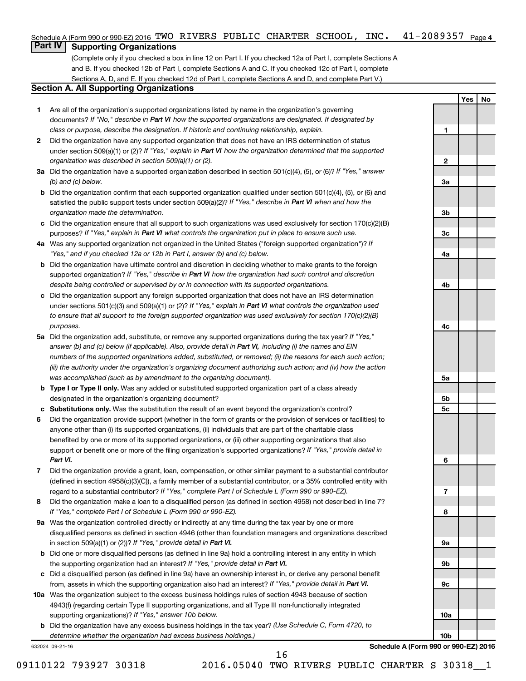## Schedule A (Form 990 or 990-EZ) 2016 TWO RIVERS PUBLIC CHARTER SCHOOL, INC. 41-2089357 <sub>Page 4</sub>

## **Part IV Supporting Organizations**

(Complete only if you checked a box in line 12 on Part I. If you checked 12a of Part I, complete Sections A and B. If you checked 12b of Part I, complete Sections A and C. If you checked 12c of Part I, complete Sections A, D, and E. If you checked 12d of Part I, complete Sections A and D, and complete Part V.)

### **Section A. All Supporting Organizations**

- **1** Are all of the organization's supported organizations listed by name in the organization's governing documents? If "No," describe in Part VI how the supported organizations are designated. If designated by *class or purpose, describe the designation. If historic and continuing relationship, explain.*
- **2** Did the organization have any supported organization that does not have an IRS determination of status under section 509(a)(1) or (2)? If "Yes," explain in Part VI how the organization determined that the supported *organization was described in section 509(a)(1) or (2).*
- **3a** Did the organization have a supported organization described in section 501(c)(4), (5), or (6)? If "Yes," answer *(b) and (c) below.*
- **b** Did the organization confirm that each supported organization qualified under section 501(c)(4), (5), or (6) and satisfied the public support tests under section 509(a)(2)? If "Yes," describe in Part VI when and how the *organization made the determination.*
- **c** Did the organization ensure that all support to such organizations was used exclusively for section 170(c)(2)(B) purposes? If "Yes," explain in Part VI what controls the organization put in place to ensure such use.
- **4 a** *If* Was any supported organization not organized in the United States ("foreign supported organization")? *"Yes," and if you checked 12a or 12b in Part I, answer (b) and (c) below.*
- **b** Did the organization have ultimate control and discretion in deciding whether to make grants to the foreign supported organization? If "Yes," describe in Part VI how the organization had such control and discretion *despite being controlled or supervised by or in connection with its supported organizations.*
- **c** Did the organization support any foreign supported organization that does not have an IRS determination under sections 501(c)(3) and 509(a)(1) or (2)? If "Yes," explain in Part VI what controls the organization used *to ensure that all support to the foreign supported organization was used exclusively for section 170(c)(2)(B) purposes.*
- **5a** Did the organization add, substitute, or remove any supported organizations during the tax year? If "Yes," answer (b) and (c) below (if applicable). Also, provide detail in Part VI, including (i) the names and EIN *numbers of the supported organizations added, substituted, or removed; (ii) the reasons for each such action; (iii) the authority under the organization's organizing document authorizing such action; and (iv) how the action was accomplished (such as by amendment to the organizing document).*
- **b Type I or Type II only.** Was any added or substituted supported organization part of a class already designated in the organization's organizing document?
- **c Substitutions only.**  Was the substitution the result of an event beyond the organization's control?
- **6** Did the organization provide support (whether in the form of grants or the provision of services or facilities) to support or benefit one or more of the filing organization's supported organizations? If "Yes," provide detail in anyone other than (i) its supported organizations, (ii) individuals that are part of the charitable class benefited by one or more of its supported organizations, or (iii) other supporting organizations that also *Part VI.*
- **7** Did the organization provide a grant, loan, compensation, or other similar payment to a substantial contributor regard to a substantial contributor? If "Yes," complete Part I of Schedule L (Form 990 or 990-EZ). (defined in section 4958(c)(3)(C)), a family member of a substantial contributor, or a 35% controlled entity with
- **8** Did the organization make a loan to a disqualified person (as defined in section 4958) not described in line 7? *If "Yes," complete Part I of Schedule L (Form 990 or 990-EZ).*
- **9 a** Was the organization controlled directly or indirectly at any time during the tax year by one or more in section 509(a)(1) or (2))? If "Yes," provide detail in Part VI. disqualified persons as defined in section 4946 (other than foundation managers and organizations described
- **b** Did one or more disqualified persons (as defined in line 9a) hold a controlling interest in any entity in which the supporting organization had an interest? If "Yes," provide detail in Part VI.
- **c** Did a disqualified person (as defined in line 9a) have an ownership interest in, or derive any personal benefit from, assets in which the supporting organization also had an interest? If "Yes," provide detail in Part VI.
- **10 a** Was the organization subject to the excess business holdings rules of section 4943 because of section supporting organizations)? If "Yes," answer 10b below. 4943(f) (regarding certain Type II supporting organizations, and all Type III non-functionally integrated
	- **b** Did the organization have any excess business holdings in the tax year? (Use Schedule C, Form 4720, to *determine whether the organization had excess business holdings.)*

16

632024 09-21-16

09110122 793927 30318 2016.05040 TWO RIVERS PUBLIC CHARTER S 30318 1

**Schedule A (Form 990 or 990-EZ) 2016**

**Yes No**

**1**

**2**

**3a**

**3b**

**3c**

**4a**

**4b**

**4c**

**5a**

**5b 5c**

**6**

**7**

**8**

**9a**

**9b**

**9c**

**10a**

**10b**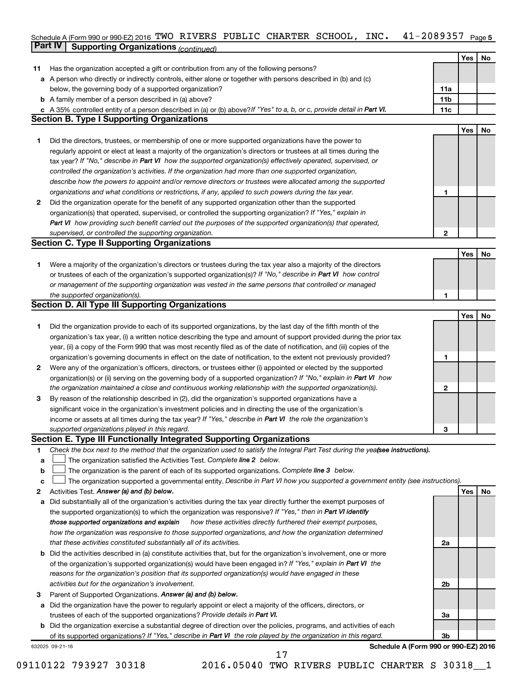#### Schedule A (Form 990 or 990-EZ) 2016 「TWO KIVERS PUBLIC CHARTER SCHOOL,INC。 4I-208935/ Page 5 **Part IV Supporting Organizations** *(continued)* TWO RIVERS PUBLIC CHARTER SCHOOL, INC. 41-2089357

|              | continued of same and recontinued.                                                                                              |              |     |    |
|--------------|---------------------------------------------------------------------------------------------------------------------------------|--------------|-----|----|
|              |                                                                                                                                 |              | Yes | No |
| 11           | Has the organization accepted a gift or contribution from any of the following persons?                                         |              |     |    |
| а            | A person who directly or indirectly controls, either alone or together with persons described in (b) and (c)                    |              |     |    |
|              | below, the governing body of a supported organization?                                                                          | 11a          |     |    |
| b            | A family member of a person described in (a) above?                                                                             | 11b          |     |    |
|              | c A 35% controlled entity of a person described in (a) or (b) above? If "Yes" to a, b, or c, provide detail in Part VI.         | 11c          |     |    |
|              | <b>Section B. Type I Supporting Organizations</b>                                                                               |              |     |    |
|              |                                                                                                                                 |              | Yes | No |
| 1.           | Did the directors, trustees, or membership of one or more supported organizations have the power to                             |              |     |    |
|              | regularly appoint or elect at least a majority of the organization's directors or trustees at all times during the              |              |     |    |
|              | tax year? If "No," describe in Part VI how the supported organization(s) effectively operated, supervised, or                   |              |     |    |
|              | controlled the organization's activities. If the organization had more than one supported organization,                         |              |     |    |
|              | describe how the powers to appoint and/or remove directors or trustees were allocated among the supported                       |              |     |    |
|              | organizations and what conditions or restrictions, if any, applied to such powers during the tax year.                          | 1            |     |    |
| $\mathbf{2}$ | Did the organization operate for the benefit of any supported organization other than the supported                             |              |     |    |
|              | organization(s) that operated, supervised, or controlled the supporting organization? If "Yes," explain in                      |              |     |    |
|              | Part VI how providing such benefit carried out the purposes of the supported organization(s) that operated,                     |              |     |    |
|              | supervised, or controlled the supporting organization.                                                                          | 2            |     |    |
|              | <b>Section C. Type II Supporting Organizations</b>                                                                              |              |     |    |
|              |                                                                                                                                 |              | Yes | No |
| 1.           | Were a majority of the organization's directors or trustees during the tax year also a majority of the directors                |              |     |    |
|              | or trustees of each of the organization's supported organization(s)? If "No," describe in Part VI how control                   |              |     |    |
|              | or management of the supporting organization was vested in the same persons that controlled or managed                          |              |     |    |
|              | the supported organization(s).                                                                                                  | 1            |     |    |
|              | <b>Section D. All Type III Supporting Organizations</b>                                                                         |              |     |    |
|              |                                                                                                                                 |              | Yes | No |
| 1.           | Did the organization provide to each of its supported organizations, by the last day of the fifth month of the                  |              |     |    |
|              | organization's tax year, (i) a written notice describing the type and amount of support provided during the prior tax           |              |     |    |
|              | year, (ii) a copy of the Form 990 that was most recently filed as of the date of notification, and (iii) copies of the          |              |     |    |
|              | organization's governing documents in effect on the date of notification, to the extent not previously provided?                | 1            |     |    |
| 2            | Were any of the organization's officers, directors, or trustees either (i) appointed or elected by the supported                |              |     |    |
|              | organization(s) or (ii) serving on the governing body of a supported organization? If "No," explain in Part VI how              |              |     |    |
|              | the organization maintained a close and continuous working relationship with the supported organization(s).                     | $\mathbf{2}$ |     |    |
| З            | By reason of the relationship described in (2), did the organization's supported organizations have a                           |              |     |    |
|              | significant voice in the organization's investment policies and in directing the use of the organization's                      |              |     |    |
|              | income or assets at all times during the tax year? If "Yes," describe in Part VI the role the organization's                    |              |     |    |
|              | supported organizations played in this regard.                                                                                  | з            |     |    |
|              | Section E. Type III Functionally Integrated Supporting Organizations                                                            |              |     |    |
| 1            | Check the box next to the method that the organization used to satisfy the Integral Part Test during the yeafsee instructions). |              |     |    |
| a            | The organization satisfied the Activities Test. Complete line 2 below.                                                          |              |     |    |
| b            | The organization is the parent of each of its supported organizations. Complete line 3 below.                                   |              |     |    |
| c            | The organization supported a governmental entity. Describe in Part VI how you supported a government entity (see instructions). |              |     |    |
| 2            | Activities Test. Answer (a) and (b) below.                                                                                      |              | Yes | No |
| а            | Did substantially all of the organization's activities during the tax year directly further the exempt purposes of              |              |     |    |
|              | the supported organization(s) to which the organization was responsive? If "Yes," then in Part VI identify                      |              |     |    |
|              | those supported organizations and explain<br>how these activities directly furthered their exempt purposes,                     |              |     |    |
|              | how the organization was responsive to those supported organizations, and how the organization determined                       |              |     |    |
|              | that these activities constituted substantially all of its activities.                                                          | 2a           |     |    |
| b            | Did the activities described in (a) constitute activities that, but for the organization's involvement, one or more             |              |     |    |
|              | of the organization's supported organization(s) would have been engaged in? If "Yes," explain in Part VI the                    |              |     |    |
|              | reasons for the organization's position that its supported organization(s) would have engaged in these                          |              |     |    |
|              | activities but for the organization's involvement.                                                                              | 2b           |     |    |
| 3            | Parent of Supported Organizations. Answer (a) and (b) below.                                                                    |              |     |    |
| a            | Did the organization have the power to regularly appoint or elect a majority of the officers, directors, or                     |              |     |    |
|              | trustees of each of the supported organizations? Provide details in Part VI.                                                    | За           |     |    |
| b            | Did the organization exercise a substantial degree of direction over the policies, programs, and activities of each             |              |     |    |
|              | of its supported organizations? If "Yes," describe in Part VI the role played by the organization in this regard.               | 3b           |     |    |
|              | Schedule A (Form 990 or 990-EZ) 2016<br>632025 09-21-16                                                                         |              |     |    |
|              |                                                                                                                                 |              |     |    |

<sup>09110122 793927 30318 2016.05040</sup> TWO RIVERS PUBLIC CHARTER S 30318\_1 17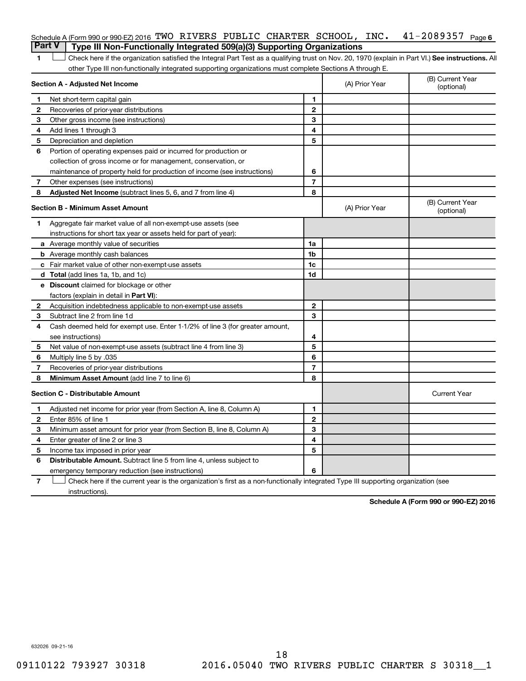| <b>Part V</b>   Type III Non-Functionally Integrated 509(a)(3) Supporting Organizations         |  |  |  |  |
|-------------------------------------------------------------------------------------------------|--|--|--|--|
| Schedule A (Form 990 or 990-EZ) 2016 TWO RIVERS PUBLIC CHARTER SCHOOL, INC. $41-2089357$ Page 6 |  |  |  |  |

1 **Letter See instructions.** All Check here if the organization satisfied the Integral Part Test as a qualifying trust on Nov. 20, 1970 (explain in Part VI.) See instructions. All other Type III non-functionally integrated supporting organizations must complete Sections A through E.

|              | Section A - Adjusted Net Income                                              | (A) Prior Year | (B) Current Year<br>(optional) |                                |  |
|--------------|------------------------------------------------------------------------------|----------------|--------------------------------|--------------------------------|--|
| 1            | Net short-term capital gain                                                  | 1              |                                |                                |  |
| 2            | Recoveries of prior-year distributions                                       | $\mathbf{2}$   |                                |                                |  |
| З            | Other gross income (see instructions)                                        | 3              |                                |                                |  |
| 4            | Add lines 1 through 3                                                        | 4              |                                |                                |  |
| 5            | Depreciation and depletion                                                   | 5              |                                |                                |  |
| 6            | Portion of operating expenses paid or incurred for production or             |                |                                |                                |  |
|              | collection of gross income or for management, conservation, or               |                |                                |                                |  |
|              | maintenance of property held for production of income (see instructions)     | 6              |                                |                                |  |
| 7            | Other expenses (see instructions)                                            | $\overline{7}$ |                                |                                |  |
| 8            | Adjusted Net Income (subtract lines 5, 6, and 7 from line 4)                 | 8              |                                |                                |  |
|              | <b>Section B - Minimum Asset Amount</b>                                      |                | (A) Prior Year                 | (B) Current Year<br>(optional) |  |
| 1            | Aggregate fair market value of all non-exempt-use assets (see                |                |                                |                                |  |
|              | instructions for short tax year or assets held for part of year):            |                |                                |                                |  |
|              | <b>a</b> Average monthly value of securities                                 | 1a             |                                |                                |  |
|              | <b>b</b> Average monthly cash balances                                       | 1b             |                                |                                |  |
|              | <b>c</b> Fair market value of other non-exempt-use assets                    | 1 <sub>c</sub> |                                |                                |  |
|              | d Total (add lines 1a, 1b, and 1c)                                           | 1d             |                                |                                |  |
|              | e Discount claimed for blockage or other                                     |                |                                |                                |  |
|              | factors (explain in detail in <b>Part VI</b> ):                              |                |                                |                                |  |
| $\mathbf{2}$ | Acquisition indebtedness applicable to non-exempt-use assets                 | $\mathbf{2}$   |                                |                                |  |
| 3            | Subtract line 2 from line 1d                                                 | 3              |                                |                                |  |
| 4            | Cash deemed held for exempt use. Enter 1-1/2% of line 3 (for greater amount, |                |                                |                                |  |
|              | see instructions)                                                            | 4              |                                |                                |  |
| 5            | Net value of non-exempt-use assets (subtract line 4 from line 3)             | 5              |                                |                                |  |
| 6            | Multiply line 5 by .035                                                      | 6              |                                |                                |  |
| 7            | Recoveries of prior-year distributions                                       | $\overline{7}$ |                                |                                |  |
| 8            | Minimum Asset Amount (add line 7 to line 6)                                  | 8              |                                |                                |  |
|              | <b>Section C - Distributable Amount</b>                                      |                |                                | <b>Current Year</b>            |  |
| 1            | Adjusted net income for prior year (from Section A, line 8, Column A)        | 1              |                                |                                |  |
| 2            | Enter 85% of line 1                                                          | $\mathbf{2}$   |                                |                                |  |
| 3            | Minimum asset amount for prior year (from Section B, line 8, Column A)       | 3              |                                |                                |  |
| 4            | Enter greater of line 2 or line 3                                            | 4              |                                |                                |  |
| 5            | Income tax imposed in prior year                                             | 5              |                                |                                |  |
| 6            | <b>Distributable Amount.</b> Subtract line 5 from line 4, unless subject to  |                |                                |                                |  |
|              | emergency temporary reduction (see instructions)                             | 6              |                                |                                |  |
|              |                                                                              |                |                                |                                |  |

**7** Let Check here if the current year is the organization's first as a non-functionally integrated Type III supporting organization (see instructions).

**Schedule A (Form 990 or 990-EZ) 2016**

632026 09-21-16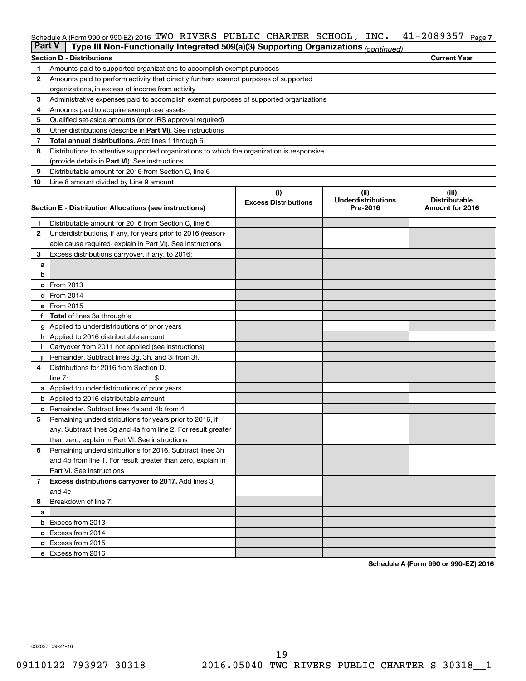#### 41-2089357 Page 7 Schedule A (Form 990 or 990-EZ) 2016 TWO RIVERS PUBLIC CHARTER SCHOOL, INC.  $41$  -  $2089357$  Page

| <b>Part V</b>  | Type III Non-Functionally Integrated 509(a)(3) Supporting Organizations (continued)         |                             |                                       |                                         |
|----------------|---------------------------------------------------------------------------------------------|-----------------------------|---------------------------------------|-----------------------------------------|
|                | <b>Section D - Distributions</b>                                                            |                             |                                       | <b>Current Year</b>                     |
| 1              | Amounts paid to supported organizations to accomplish exempt purposes                       |                             |                                       |                                         |
| 2              | Amounts paid to perform activity that directly furthers exempt purposes of supported        |                             |                                       |                                         |
|                | organizations, in excess of income from activity                                            |                             |                                       |                                         |
| 3              | Administrative expenses paid to accomplish exempt purposes of supported organizations       |                             |                                       |                                         |
| 4              | Amounts paid to acquire exempt-use assets                                                   |                             |                                       |                                         |
| 5              | Qualified set-aside amounts (prior IRS approval required)                                   |                             |                                       |                                         |
| 6              | Other distributions (describe in Part VI). See instructions                                 |                             |                                       |                                         |
| 7              | <b>Total annual distributions.</b> Add lines 1 through 6                                    |                             |                                       |                                         |
| 8              | Distributions to attentive supported organizations to which the organization is responsive  |                             |                                       |                                         |
|                | (provide details in Part VI). See instructions                                              |                             |                                       |                                         |
| 9              | Distributable amount for 2016 from Section C, line 6                                        |                             |                                       |                                         |
| 10             | Line 8 amount divided by Line 9 amount                                                      |                             |                                       |                                         |
|                |                                                                                             | (i)                         | (ii)                                  | (iii)                                   |
|                | Section E - Distribution Allocations (see instructions)                                     | <b>Excess Distributions</b> | <b>Underdistributions</b><br>Pre-2016 | <b>Distributable</b><br>Amount for 2016 |
|                |                                                                                             |                             |                                       |                                         |
| 1              | Distributable amount for 2016 from Section C, line 6                                        |                             |                                       |                                         |
| $\mathbf{2}$   | Underdistributions, if any, for years prior to 2016 (reason-                                |                             |                                       |                                         |
|                | able cause required- explain in Part VI). See instructions                                  |                             |                                       |                                         |
| 3              | Excess distributions carryover, if any, to 2016:                                            |                             |                                       |                                         |
| а              |                                                                                             |                             |                                       |                                         |
| b              |                                                                                             |                             |                                       |                                         |
|                | c From 2013                                                                                 |                             |                                       |                                         |
|                | <b>d</b> From 2014                                                                          |                             |                                       |                                         |
|                | e From 2015                                                                                 |                             |                                       |                                         |
|                | f Total of lines 3a through e                                                               |                             |                                       |                                         |
|                | <b>g</b> Applied to underdistributions of prior years                                       |                             |                                       |                                         |
|                | <b>h</b> Applied to 2016 distributable amount                                               |                             |                                       |                                         |
|                | Carryover from 2011 not applied (see instructions)                                          |                             |                                       |                                         |
| 4              | Remainder. Subtract lines 3g, 3h, and 3i from 3f.<br>Distributions for 2016 from Section D, |                             |                                       |                                         |
|                | $line 7$ :                                                                                  |                             |                                       |                                         |
|                | a Applied to underdistributions of prior years                                              |                             |                                       |                                         |
|                | <b>b</b> Applied to 2016 distributable amount                                               |                             |                                       |                                         |
| с              | Remainder. Subtract lines 4a and 4b from 4                                                  |                             |                                       |                                         |
| 5              | Remaining underdistributions for years prior to 2016, if                                    |                             |                                       |                                         |
|                | any. Subtract lines 3g and 4a from line 2. For result greater                               |                             |                                       |                                         |
|                | than zero, explain in Part VI. See instructions                                             |                             |                                       |                                         |
| 6              | Remaining underdistributions for 2016. Subtract lines 3h                                    |                             |                                       |                                         |
|                | and 4b from line 1. For result greater than zero, explain in                                |                             |                                       |                                         |
|                | Part VI. See instructions                                                                   |                             |                                       |                                         |
| $\overline{7}$ | Excess distributions carryover to 2017. Add lines 3j                                        |                             |                                       |                                         |
|                | and 4c                                                                                      |                             |                                       |                                         |
| 8              | Breakdown of line 7:                                                                        |                             |                                       |                                         |
| a              |                                                                                             |                             |                                       |                                         |
|                | <b>b</b> Excess from 2013                                                                   |                             |                                       |                                         |
|                | c Excess from 2014                                                                          |                             |                                       |                                         |
|                | d Excess from 2015                                                                          |                             |                                       |                                         |
|                | e Excess from 2016                                                                          |                             |                                       |                                         |

**Schedule A (Form 990 or 990-EZ) 2016**

632027 09-21-16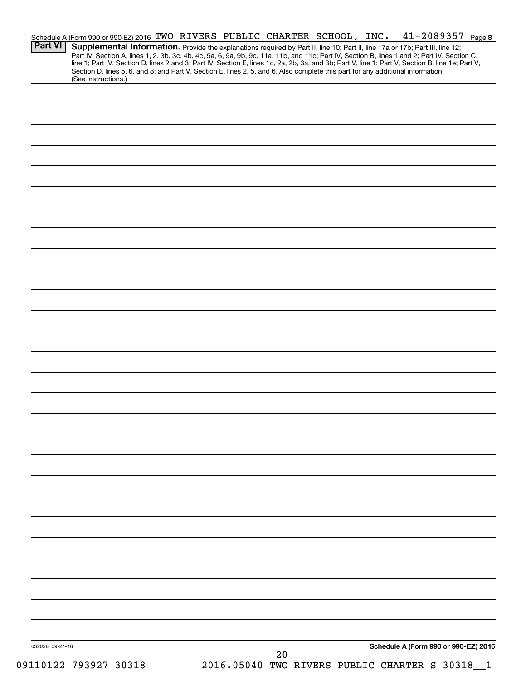| <b>Part VI</b>  | Schedule A (Form 990 or 990-EZ) 2016 TWO RIVERS PUBLIC CHARTER SCHOOL, INC.                                                                            |  |    |  | 41-2089357 Page 8<br>Supplemental Information. Provide the explanations required by Part II, line 10; Part II, line 17a or 17b; Part III, line 12;<br>Part IV, Section A, lines 1, 2, 3b, 3c, 4b, 4c, 5a, 6, 9a, 9b, 9c, 11a, 11b, and 11c; Part IV, Section B, lines 1 and 2; Part IV, Section C, |  |
|-----------------|--------------------------------------------------------------------------------------------------------------------------------------------------------|--|----|--|----------------------------------------------------------------------------------------------------------------------------------------------------------------------------------------------------------------------------------------------------------------------------------------------------|--|
|                 | Section D, lines 5, 6, and 8; and Part V, Section E, lines 2, 5, and 6. Also complete this part for any additional information.<br>(See instructions.) |  |    |  | line 1; Part IV, Section D, lines 2 and 3; Part IV, Section E, lines 1c, 2a, 2b, 3a, and 3b; Part V, line 1; Part V, Section B, line 1e; Part V,                                                                                                                                                   |  |
|                 |                                                                                                                                                        |  |    |  |                                                                                                                                                                                                                                                                                                    |  |
|                 |                                                                                                                                                        |  |    |  |                                                                                                                                                                                                                                                                                                    |  |
|                 |                                                                                                                                                        |  |    |  |                                                                                                                                                                                                                                                                                                    |  |
|                 |                                                                                                                                                        |  |    |  |                                                                                                                                                                                                                                                                                                    |  |
|                 |                                                                                                                                                        |  |    |  |                                                                                                                                                                                                                                                                                                    |  |
|                 |                                                                                                                                                        |  |    |  |                                                                                                                                                                                                                                                                                                    |  |
|                 |                                                                                                                                                        |  |    |  |                                                                                                                                                                                                                                                                                                    |  |
|                 |                                                                                                                                                        |  |    |  |                                                                                                                                                                                                                                                                                                    |  |
|                 |                                                                                                                                                        |  |    |  |                                                                                                                                                                                                                                                                                                    |  |
|                 |                                                                                                                                                        |  |    |  |                                                                                                                                                                                                                                                                                                    |  |
|                 |                                                                                                                                                        |  |    |  |                                                                                                                                                                                                                                                                                                    |  |
|                 |                                                                                                                                                        |  |    |  |                                                                                                                                                                                                                                                                                                    |  |
|                 |                                                                                                                                                        |  |    |  |                                                                                                                                                                                                                                                                                                    |  |
|                 |                                                                                                                                                        |  |    |  |                                                                                                                                                                                                                                                                                                    |  |
|                 |                                                                                                                                                        |  |    |  |                                                                                                                                                                                                                                                                                                    |  |
|                 |                                                                                                                                                        |  |    |  |                                                                                                                                                                                                                                                                                                    |  |
|                 |                                                                                                                                                        |  |    |  |                                                                                                                                                                                                                                                                                                    |  |
|                 |                                                                                                                                                        |  |    |  |                                                                                                                                                                                                                                                                                                    |  |
|                 |                                                                                                                                                        |  |    |  |                                                                                                                                                                                                                                                                                                    |  |
|                 |                                                                                                                                                        |  |    |  |                                                                                                                                                                                                                                                                                                    |  |
|                 |                                                                                                                                                        |  |    |  |                                                                                                                                                                                                                                                                                                    |  |
|                 |                                                                                                                                                        |  |    |  |                                                                                                                                                                                                                                                                                                    |  |
|                 |                                                                                                                                                        |  |    |  |                                                                                                                                                                                                                                                                                                    |  |
|                 |                                                                                                                                                        |  |    |  |                                                                                                                                                                                                                                                                                                    |  |
|                 |                                                                                                                                                        |  |    |  |                                                                                                                                                                                                                                                                                                    |  |
|                 |                                                                                                                                                        |  |    |  |                                                                                                                                                                                                                                                                                                    |  |
|                 |                                                                                                                                                        |  |    |  |                                                                                                                                                                                                                                                                                                    |  |
|                 |                                                                                                                                                        |  |    |  |                                                                                                                                                                                                                                                                                                    |  |
| 632028 09-21-16 |                                                                                                                                                        |  |    |  | Schedule A (Form 990 or 990-EZ) 2016                                                                                                                                                                                                                                                               |  |
|                 | 09110122 793927 30318                                                                                                                                  |  | 20 |  | 2016.05040 TWO RIVERS PUBLIC CHARTER S 30318                                                                                                                                                                                                                                                       |  |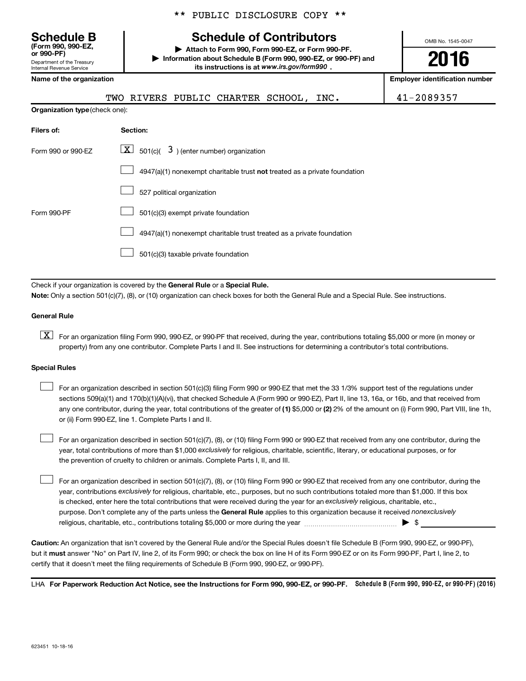\*\* PUBLIC DISCLOSURE COPY \*\*

## **Schedule B Schedule of Contributors**

**or 990-PF) | Attach to Form 990, Form 990-EZ, or Form 990-PF. | Information about Schedule B (Form 990, 990-EZ, or 990-PF) and** its instructions is at www.irs.gov/form990.

OMB No. 1545-0047

**2016**

| Internal Revenue Service              | its instructions is at www.irs.gov/form990.                                        |                                       |
|---------------------------------------|------------------------------------------------------------------------------------|---------------------------------------|
| Name of the organization              |                                                                                    | <b>Employer identification number</b> |
|                                       | TWO RIVERS PUBLIC CHARTER SCHOOL, INC.                                             | 41-2089357                            |
| <b>Organization type (check one):</b> |                                                                                    |                                       |
| Filers of:                            | Section:                                                                           |                                       |
| Form 990 or 990-EZ                    | $\lfloor x \rfloor$ 501(c)( 3) (enter number) organization                         |                                       |
|                                       | $4947(a)(1)$ nonexempt charitable trust <b>not</b> treated as a private foundation |                                       |
|                                       | 527 political organization                                                         |                                       |
| Form 990-PF                           | 501(c)(3) exempt private foundation                                                |                                       |
|                                       | 4947(a)(1) nonexempt charitable trust treated as a private foundation              |                                       |
|                                       | 501(c)(3) taxable private foundation                                               |                                       |

Check if your organization is covered by the General Rule or a Special Rule.

**Note:**  Only a section 501(c)(7), (8), or (10) organization can check boxes for both the General Rule and a Special Rule. See instructions.

#### **General Rule**

Department of the Treasury

**(Form 990, 990-EZ,**

**K** For an organization filing Form 990, 990-EZ, or 990-PF that received, during the year, contributions totaling \$5,000 or more (in money or property) from any one contributor. Complete Parts I and II. See instructions for determining a contributor's total contributions.

#### **Special Rules**

 $\Box$ 

any one contributor, during the year, total contributions of the greater of **(1)** \$5,000 or **(2)** 2% of the amount on (i) Form 990, Part VIII, line 1h, For an organization described in section 501(c)(3) filing Form 990 or 990-EZ that met the 33 1/3% support test of the regulations under sections 509(a)(1) and 170(b)(1)(A)(vi), that checked Schedule A (Form 990 or 990-EZ), Part II, line 13, 16a, or 16b, and that received from or (ii) Form 990-EZ, line 1. Complete Parts I and II.  $\Box$ 

year, total contributions of more than \$1,000 *exclusively* for religious, charitable, scientific, literary, or educational purposes, or for For an organization described in section 501(c)(7), (8), or (10) filing Form 990 or 990-EZ that received from any one contributor, during the the prevention of cruelty to children or animals. Complete Parts I, II, and III.  $\Box$ 

purpose. Don't complete any of the parts unless the General Rule applies to this organization because it received nonexclusively year, contributions exclusively for religious, charitable, etc., purposes, but no such contributions totaled more than \$1,000. If this box is checked, enter here the total contributions that were received during the year for an exclusively religious, charitable, etc., For an organization described in section 501(c)(7), (8), or (10) filing Form 990 or 990-EZ that received from any one contributor, during the religious, charitable, etc., contributions totaling \$5,000 or more during the year  $\ldots$  $\ldots$  $\ldots$  $\ldots$  $\ldots$  $\ldots$ 

**Caution:**  An organization that isn't covered by the General Rule and/or the Special Rules doesn't file Schedule B (Form 990, 990-EZ, or 990-PF),  **must** but it answer "No" on Part IV, line 2, of its Form 990; or check the box on line H of its Form 990-EZ or on its Form 990-PF, Part I, line 2, to certify that it doesn't meet the filing requirements of Schedule B (Form 990, 990-EZ, or 990-PF).

LHA For Paperwork Reduction Act Notice, see the Instructions for Form 990, 990-EZ, or 990-PF. Schedule B (Form 990, 990-EZ, or 990-PF) (2016)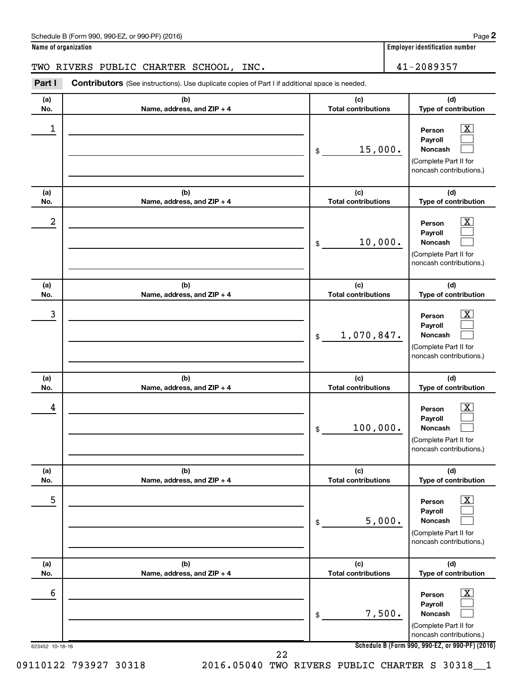| Schedule B (Form 990, 990-EZ, or 990-PF) (2016) | Page |
|-------------------------------------------------|------|
|-------------------------------------------------|------|

**Name of organization Employer identification number**

## TWO RIVERS PUBLIC CHARTER SCHOOL, INC. 41-2089357

**Part I** Contributors (See instructions). Use duplicate copies of Part I if additional space is needed.

| (a)              | (b)                          | (c)                        | (d)                                                                                                         |
|------------------|------------------------------|----------------------------|-------------------------------------------------------------------------------------------------------------|
| No.              | Name, address, and ZIP + 4   | <b>Total contributions</b> | Type of contribution                                                                                        |
| 1                |                              | 15,000.<br>\$              | x<br>Person<br>Payroll<br>Noncash<br>(Complete Part II for<br>noncash contributions.)                       |
| (a)              | (b)                          | (c)                        | (d)                                                                                                         |
| No.              | Name, address, and ZIP + 4   | <b>Total contributions</b> | Type of contribution                                                                                        |
| $\boldsymbol{2}$ |                              | 10,000.<br>\$              | x<br>Person<br>Payroll<br>Noncash<br>(Complete Part II for<br>noncash contributions.)                       |
| (a)              | (b)                          | (c)                        | (d)                                                                                                         |
| No.              | Name, address, and ZIP + 4   | <b>Total contributions</b> | Type of contribution                                                                                        |
| 3                |                              | 1,070,847.<br>\$           | Person<br>Payroll<br><b>Noncash</b><br>(Complete Part II for<br>noncash contributions.)                     |
| (a)              | (b)                          | (c)                        | (d)                                                                                                         |
| No.              | Name, address, and ZIP + 4   | <b>Total contributions</b> | Type of contribution                                                                                        |
| 4                |                              | 100,000.<br>\$             | Person<br>Payroll<br><b>Noncash</b><br>(Complete Part II for<br>noncash contributions.)                     |
| (a)              | (b)                          | (c)                        | (d)                                                                                                         |
| No.              | Name, address, and $ZIP + 4$ | <b>Total contributions</b> | Type of contribution                                                                                        |
| 5                |                              | 5,000.<br>\$               | $\boxed{\text{X}}$<br>Person<br>Payroll<br>Noncash<br>(Complete Part II for<br>noncash contributions.)      |
| (a)              | (b)                          | (c)                        | (d)                                                                                                         |
| No.              | Name, address, and ZIP + 4   | <b>Total contributions</b> | Type of contribution                                                                                        |
| 6                |                              | 7,500.<br>\$               | $\overline{\textbf{X}}$<br>Person<br>Payroll<br>Noncash<br>(Complete Part II for<br>noncash contributions.) |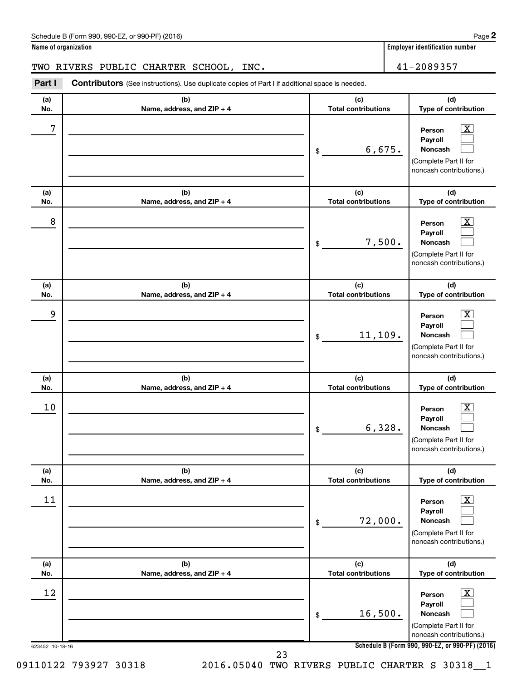| Schedule B (Form 990, 990-EZ, or 990-PF) (2016) | Page |
|-------------------------------------------------|------|
|-------------------------------------------------|------|

**Name of organization Employer identification number**

|            | TWO RIVERS PUBLIC CHARTER SCHOOL,<br>INC.                                                      |                                   | 41-2089357                                                                             |
|------------|------------------------------------------------------------------------------------------------|-----------------------------------|----------------------------------------------------------------------------------------|
| Part I     | Contributors (See instructions). Use duplicate copies of Part I if additional space is needed. |                                   |                                                                                        |
| (a)<br>No. | (b)<br>Name, address, and ZIP + 4                                                              | (c)<br><b>Total contributions</b> | (d)<br>Type of contribution                                                            |
| 7          |                                                                                                | 6,675.<br>\$                      | x.<br>Person<br>Payroll<br>Noncash<br>(Complete Part II for<br>noncash contributions.) |
| (a)<br>No. | (b)<br>Name, address, and ZIP + 4                                                              | (c)<br><b>Total contributions</b> | (d)<br>Type of contribution                                                            |
| 8          |                                                                                                | 7,500.<br>\$                      | X.<br>Person<br>Payroll<br>Noncash<br>(Complete Part II for<br>noncash contributions.) |
| (a)<br>No. | (b)<br>Name, address, and ZIP + 4                                                              | (c)<br><b>Total contributions</b> | (d)<br>Type of contribution                                                            |
| 9          |                                                                                                | 11,109.<br>\$                     | Person<br>Payroll<br>Noncash<br>(Complete Part II for<br>noncash contributions.)       |
| (a)<br>No. | (b)<br>Name, address, and ZIP + 4                                                              | (c)<br><b>Total contributions</b> | (d)<br>Type of contribution                                                            |
| 10         |                                                                                                | 6,328.<br>\$                      | Person<br>Payroll<br>Noncash<br>(Complete Part II for<br>noncash contributions.)       |
| (a)<br>No. | (b)<br>Name, address, and ZIP + 4                                                              | (c)<br><b>Total contributions</b> | (d)<br>Type of contribution                                                            |
| 11         |                                                                                                | 72,000.<br>\$                     | x<br>Person<br>Payroll<br>Noncash<br>(Complete Part II for<br>noncash contributions.)  |
| (a)<br>No. | (b)<br>Name, address, and ZIP + 4                                                              | (c)<br><b>Total contributions</b> | (d)<br>Type of contribution                                                            |
| 12         |                                                                                                | 16,500.<br>\$                     | X.<br>Person<br>Payroll<br>Noncash<br>(Complete Part II for<br>noncash contributions.) |

**Schedule B (Form 990, 990-EZ, or 990-PF) (2016)**

09110122 793927 30318 2016.05040 TWO RIVERS PUBLIC CHARTER S 30318\_1

623452 10-18-16

23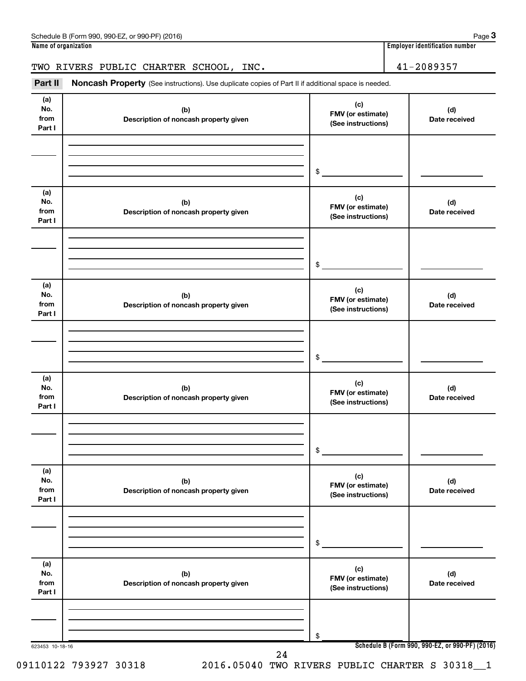## TWO RIVERS PUBLIC CHARTER SCHOOL, INC. 41-2089357

Part II Noncash Property (See instructions). Use duplicate copies of Part II if additional space is needed.

| (a)<br>No.<br>from<br>Part I | (b)<br>Description of noncash property given | (c)<br>FMV (or estimate)<br>(See instructions) | (d)<br>Date received                            |
|------------------------------|----------------------------------------------|------------------------------------------------|-------------------------------------------------|
|                              |                                              | $\frac{1}{2}$                                  |                                                 |
| (a)<br>No.<br>from<br>Part I | (b)<br>Description of noncash property given | (c)<br>FMV (or estimate)<br>(See instructions) | (d)<br>Date received                            |
|                              |                                              | $\frac{1}{2}$                                  |                                                 |
| (a)<br>No.<br>from<br>Part I | (b)<br>Description of noncash property given | (c)<br>FMV (or estimate)<br>(See instructions) | (d)<br>Date received                            |
|                              |                                              | $\frac{1}{2}$                                  |                                                 |
| (a)<br>No.<br>from<br>Part I | (b)<br>Description of noncash property given | (c)<br>FMV (or estimate)<br>(See instructions) | (d)<br>Date received                            |
|                              |                                              | $\circ$                                        |                                                 |
| (a)<br>No.<br>from<br>Part I | (b)<br>Description of noncash property given | (c)<br>FMV (or estimate)<br>(See instructions) | (d)<br>Date received                            |
|                              |                                              | \$                                             |                                                 |
| (a)<br>No.<br>from<br>Part I | (b)<br>Description of noncash property given | (c)<br>FMV (or estimate)<br>(See instructions) | (d)<br>Date received                            |
|                              |                                              | \$                                             | Schedule B (Form 990, 990-EZ, or 990-PF) (2016) |

09110122 793927 30318 2016.05040 TWO RIVERS PUBLIC CHARTER S 30318 1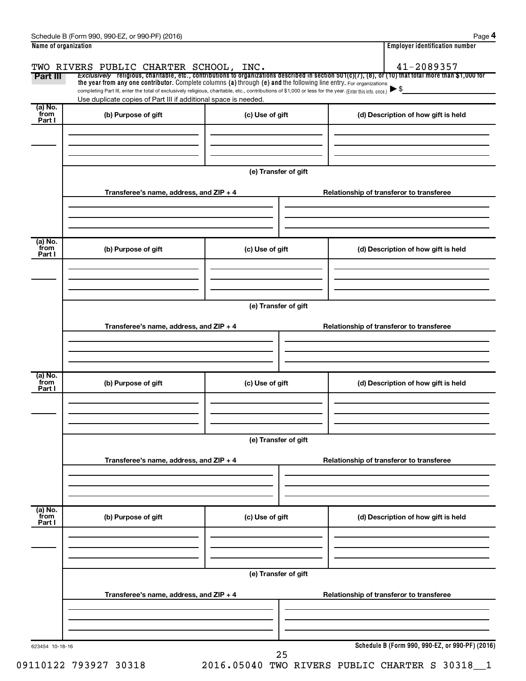| Name of organization |                                                                                                                                                                                                                             |                      |                                          | <b>Employer identification number</b>                                                                                                                    |  |  |  |  |  |
|----------------------|-----------------------------------------------------------------------------------------------------------------------------------------------------------------------------------------------------------------------------|----------------------|------------------------------------------|----------------------------------------------------------------------------------------------------------------------------------------------------------|--|--|--|--|--|
|                      | TWO RIVERS PUBLIC CHARTER SCHOOL, INC.                                                                                                                                                                                      |                      |                                          | 41-2089357                                                                                                                                               |  |  |  |  |  |
| Part III             | the year from any one contributor. Complete columns (a) through (e) and the following line entry. For organizations                                                                                                         |                      |                                          | Exclusively religious, charitable, etc., contributions to organizations described in section $501(c)(7)$ , (8), or (10) that total more than \$1,000 for |  |  |  |  |  |
|                      | completing Part III, enter the total of exclusively religious, charitable, etc., contributions of \$1,000 or less for the year. (Enter this info. once.)<br>Use duplicate copies of Part III if additional space is needed. |                      |                                          | $\blacktriangleright$ \$                                                                                                                                 |  |  |  |  |  |
| (a) No.<br>from      | (b) Purpose of gift                                                                                                                                                                                                         |                      |                                          |                                                                                                                                                          |  |  |  |  |  |
| Part I               |                                                                                                                                                                                                                             | (c) Use of gift      |                                          | (d) Description of how gift is held                                                                                                                      |  |  |  |  |  |
|                      |                                                                                                                                                                                                                             |                      |                                          |                                                                                                                                                          |  |  |  |  |  |
|                      |                                                                                                                                                                                                                             |                      |                                          |                                                                                                                                                          |  |  |  |  |  |
|                      |                                                                                                                                                                                                                             | (e) Transfer of gift |                                          |                                                                                                                                                          |  |  |  |  |  |
|                      |                                                                                                                                                                                                                             |                      |                                          |                                                                                                                                                          |  |  |  |  |  |
|                      | Transferee's name, address, and ZIP + 4                                                                                                                                                                                     |                      |                                          | Relationship of transferor to transferee                                                                                                                 |  |  |  |  |  |
|                      |                                                                                                                                                                                                                             |                      |                                          |                                                                                                                                                          |  |  |  |  |  |
|                      |                                                                                                                                                                                                                             |                      |                                          |                                                                                                                                                          |  |  |  |  |  |
| (a) No.<br>`from     |                                                                                                                                                                                                                             |                      |                                          |                                                                                                                                                          |  |  |  |  |  |
| Part I               | (b) Purpose of gift                                                                                                                                                                                                         | (c) Use of gift      |                                          | (d) Description of how gift is held                                                                                                                      |  |  |  |  |  |
|                      |                                                                                                                                                                                                                             |                      |                                          |                                                                                                                                                          |  |  |  |  |  |
|                      |                                                                                                                                                                                                                             |                      |                                          |                                                                                                                                                          |  |  |  |  |  |
|                      |                                                                                                                                                                                                                             | (e) Transfer of gift |                                          |                                                                                                                                                          |  |  |  |  |  |
|                      |                                                                                                                                                                                                                             |                      |                                          |                                                                                                                                                          |  |  |  |  |  |
|                      | Transferee's name, address, and ZIP + 4                                                                                                                                                                                     |                      | Relationship of transferor to transferee |                                                                                                                                                          |  |  |  |  |  |
|                      |                                                                                                                                                                                                                             |                      |                                          |                                                                                                                                                          |  |  |  |  |  |
|                      |                                                                                                                                                                                                                             |                      |                                          |                                                                                                                                                          |  |  |  |  |  |
| (a) No.<br>`from     |                                                                                                                                                                                                                             |                      |                                          |                                                                                                                                                          |  |  |  |  |  |
| Part I               | (b) Purpose of gift                                                                                                                                                                                                         | (c) Use of gift      |                                          | (d) Description of how gift is held                                                                                                                      |  |  |  |  |  |
|                      |                                                                                                                                                                                                                             |                      |                                          |                                                                                                                                                          |  |  |  |  |  |
|                      |                                                                                                                                                                                                                             |                      |                                          |                                                                                                                                                          |  |  |  |  |  |
|                      |                                                                                                                                                                                                                             | (e) Transfer of gift |                                          |                                                                                                                                                          |  |  |  |  |  |
|                      |                                                                                                                                                                                                                             |                      |                                          |                                                                                                                                                          |  |  |  |  |  |
|                      | Transferee's name, address, and ZIP + 4                                                                                                                                                                                     |                      |                                          | Relationship of transferor to transferee                                                                                                                 |  |  |  |  |  |
|                      |                                                                                                                                                                                                                             |                      |                                          |                                                                                                                                                          |  |  |  |  |  |
|                      |                                                                                                                                                                                                                             |                      |                                          |                                                                                                                                                          |  |  |  |  |  |
| (a) No.<br>from      | (b) Purpose of gift                                                                                                                                                                                                         | (c) Use of gift      |                                          | (d) Description of how gift is held                                                                                                                      |  |  |  |  |  |
| Part I               |                                                                                                                                                                                                                             |                      |                                          |                                                                                                                                                          |  |  |  |  |  |
|                      |                                                                                                                                                                                                                             |                      |                                          |                                                                                                                                                          |  |  |  |  |  |
|                      |                                                                                                                                                                                                                             |                      |                                          |                                                                                                                                                          |  |  |  |  |  |
|                      | (e) Transfer of gift                                                                                                                                                                                                        |                      |                                          |                                                                                                                                                          |  |  |  |  |  |
|                      |                                                                                                                                                                                                                             |                      |                                          |                                                                                                                                                          |  |  |  |  |  |
|                      | Transferee's name, address, and ZIP + 4                                                                                                                                                                                     |                      |                                          | Relationship of transferor to transferee                                                                                                                 |  |  |  |  |  |
|                      |                                                                                                                                                                                                                             |                      |                                          |                                                                                                                                                          |  |  |  |  |  |
|                      |                                                                                                                                                                                                                             |                      |                                          |                                                                                                                                                          |  |  |  |  |  |
|                      |                                                                                                                                                                                                                             |                      |                                          | Schedule B (Form 990, 990-EZ, or 990-PF) (2016)                                                                                                          |  |  |  |  |  |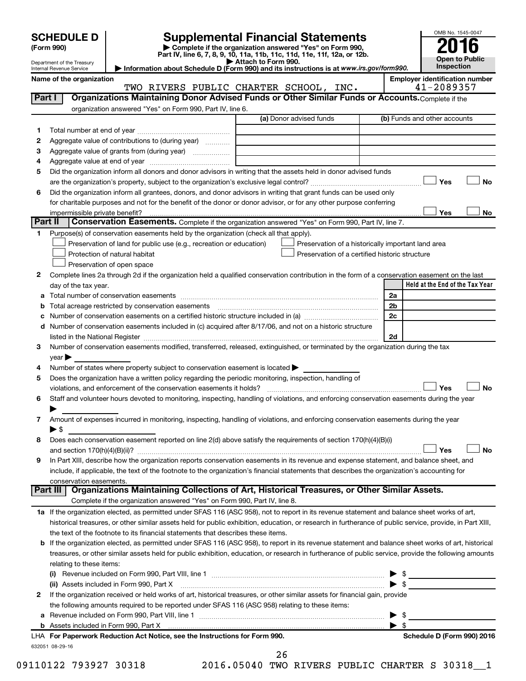| (Form 990) |  |
|------------|--|
|------------|--|

# **SCHEDULE D Supplemental Financial Statements**<br> **Form 990 2016**<br> **Part IV** line 6.7.8.9.10, 11a, 11b, 11d, 11d, 11d, 11d, 11d, 12a, 0r, 12b

**(Form 990) | Complete if the organization answered "Yes" on Form 990, Part IV, line 6, 7, 8, 9, 10, 11a, 11b, 11c, 11d, 11e, 11f, 12a, or 12b.**

**| Attach to Form 990. | Information about Schedule D (Form 990) and its instructions is at**  *www.irs.gov/form990.*



Department of the Treasury Internal Revenue Service

**Name of the organization**<br>PWO PIVER OULD TO CHADTED SCHOOL TNO 11\_200257

|         | TWO RIVERS PUBLIC CHARTER SCHOOL, INC.                                                                                                                    |                         | 41-2089357                      |           |
|---------|-----------------------------------------------------------------------------------------------------------------------------------------------------------|-------------------------|---------------------------------|-----------|
| Part I  | Organizations Maintaining Donor Advised Funds or Other Similar Funds or Accounts. Complete if the                                                         |                         |                                 |           |
|         | organization answered "Yes" on Form 990, Part IV, line 6.                                                                                                 |                         |                                 |           |
|         | (a) Donor advised funds                                                                                                                                   |                         | (b) Funds and other accounts    |           |
| 1.      |                                                                                                                                                           |                         |                                 |           |
| 2       | Aggregate value of contributions to (during year)                                                                                                         |                         |                                 |           |
| З       | Aggregate value of grants from (during year)                                                                                                              |                         |                                 |           |
| 4       |                                                                                                                                                           |                         |                                 |           |
| 5       | Did the organization inform all donors and donor advisors in writing that the assets held in donor advised funds                                          |                         |                                 |           |
|         |                                                                                                                                                           |                         | Yes                             | No        |
| 6       | Did the organization inform all grantees, donors, and donor advisors in writing that grant funds can be used only                                         |                         |                                 |           |
|         | for charitable purposes and not for the benefit of the donor or donor advisor, or for any other purpose conferring                                        |                         |                                 |           |
|         | impermissible private benefit?                                                                                                                            |                         | Yes                             | No        |
| Part II | <b>Conservation Easements.</b> Complete if the organization answered "Yes" on Form 990, Part IV, line 7.                                                  |                         |                                 |           |
|         |                                                                                                                                                           |                         |                                 |           |
| 1.      | Purpose(s) of conservation easements held by the organization (check all that apply).                                                                     |                         |                                 |           |
|         | Preservation of land for public use (e.g., recreation or education)<br>Preservation of a historically important land area                                 |                         |                                 |           |
|         | Protection of natural habitat<br>Preservation of a certified historic structure                                                                           |                         |                                 |           |
|         | Preservation of open space                                                                                                                                |                         |                                 |           |
| 2       | Complete lines 2a through 2d if the organization held a qualified conservation contribution in the form of a conservation easement on the last            |                         |                                 |           |
|         | day of the tax year.                                                                                                                                      |                         | Held at the End of the Tax Year |           |
|         |                                                                                                                                                           | 2a                      |                                 |           |
| b       | Total acreage restricted by conservation easements                                                                                                        | 2b                      |                                 |           |
| с       | Number of conservation easements on a certified historic structure included in (a) manufacture included in (a)                                            | 2c                      |                                 |           |
|         | d Number of conservation easements included in (c) acquired after 8/17/06, and not on a historic structure                                                |                         |                                 |           |
|         |                                                                                                                                                           | 2d                      |                                 |           |
| 3       | Number of conservation easements modified, transferred, released, extinguished, or terminated by the organization during the tax                          |                         |                                 |           |
|         | year                                                                                                                                                      |                         |                                 |           |
| 4       | Number of states where property subject to conservation easement is located >                                                                             |                         |                                 |           |
| 5       | Does the organization have a written policy regarding the periodic monitoring, inspection, handling of                                                    |                         |                                 |           |
|         | violations, and enforcement of the conservation easements it holds?                                                                                       |                         | Yes                             | <b>No</b> |
| 6       | Staff and volunteer hours devoted to monitoring, inspecting, handling of violations, and enforcing conservation easements during the year                 |                         |                                 |           |
|         |                                                                                                                                                           |                         |                                 |           |
| 7       | Amount of expenses incurred in monitoring, inspecting, handling of violations, and enforcing conservation easements during the year                       |                         |                                 |           |
|         | $\blacktriangleright$ \$                                                                                                                                  |                         |                                 |           |
| 8       | Does each conservation easement reported on line 2(d) above satisfy the requirements of section 170(h)(4)(B)(i)                                           |                         |                                 |           |
|         |                                                                                                                                                           |                         | Yes                             | <b>No</b> |
| 9       | In Part XIII, describe how the organization reports conservation easements in its revenue and expense statement, and balance sheet, and                   |                         |                                 |           |
|         | include, if applicable, the text of the footnote to the organization's financial statements that describes the organization's accounting for              |                         |                                 |           |
|         | conservation easements.                                                                                                                                   |                         |                                 |           |
|         | Organizations Maintaining Collections of Art, Historical Treasures, or Other Similar Assets.<br>Part III                                                  |                         |                                 |           |
|         | Complete if the organization answered "Yes" on Form 990, Part IV, line 8.                                                                                 |                         |                                 |           |
|         | 1a If the organization elected, as permitted under SFAS 116 (ASC 958), not to report in its revenue statement and balance sheet works of art,             |                         |                                 |           |
|         | historical treasures, or other similar assets held for public exhibition, education, or research in furtherance of public service, provide, in Part XIII, |                         |                                 |           |
|         | the text of the footnote to its financial statements that describes these items.                                                                          |                         |                                 |           |
|         | b If the organization elected, as permitted under SFAS 116 (ASC 958), to report in its revenue statement and balance sheet works of art, historical       |                         |                                 |           |
|         | treasures, or other similar assets held for public exhibition, education, or research in furtherance of public service, provide the following amounts     |                         |                                 |           |
|         | relating to these items:                                                                                                                                  |                         |                                 |           |
|         |                                                                                                                                                           |                         |                                 |           |
|         | (ii) Assets included in Form 990, Part X                                                                                                                  | $\blacktriangleright$ s |                                 |           |
| 2       | If the organization received or held works of art, historical treasures, or other similar assets for financial gain, provide                              |                         |                                 |           |
|         | the following amounts required to be reported under SFAS 116 (ASC 958) relating to these items:                                                           |                         |                                 |           |
| а       |                                                                                                                                                           | \$                      |                                 |           |
|         |                                                                                                                                                           | \$<br>▶                 |                                 |           |
|         | LHA For Paperwork Reduction Act Notice, see the Instructions for Form 990.                                                                                |                         | Schedule D (Form 990) 2016      |           |
|         | 632051 08-29-16                                                                                                                                           |                         |                                 |           |

26

09110122 793927 30318 2016.05040 TWO RIVERS PUBLIC CHARTER S 30318\_1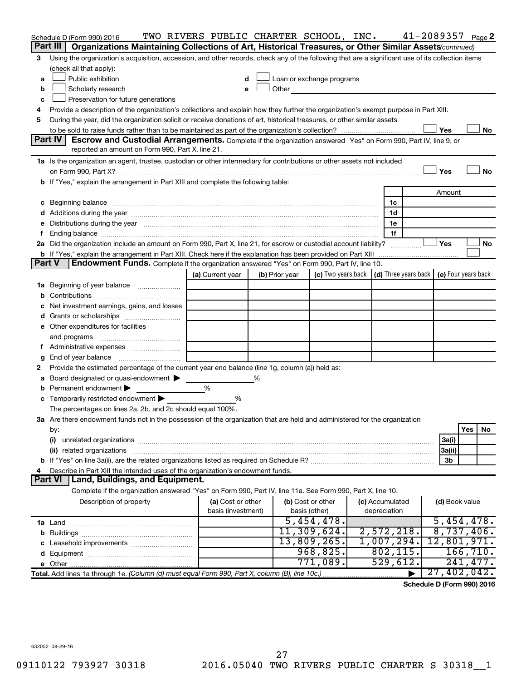|        | Schedule D (Form 990) 2016                                                                                                                                                                                                     | TWO RIVERS PUBLIC CHARTER SCHOOL, INC. |   |                |                                                                                                                                                                                                                               |                                                          | 41-2089357     |           | Page 2 |
|--------|--------------------------------------------------------------------------------------------------------------------------------------------------------------------------------------------------------------------------------|----------------------------------------|---|----------------|-------------------------------------------------------------------------------------------------------------------------------------------------------------------------------------------------------------------------------|----------------------------------------------------------|----------------|-----------|--------|
|        | Part III  <br>Organizations Maintaining Collections of Art, Historical Treasures, or Other Similar Assets (continued)                                                                                                          |                                        |   |                |                                                                                                                                                                                                                               |                                                          |                |           |        |
| З      | Using the organization's acquisition, accession, and other records, check any of the following that are a significant use of its collection items                                                                              |                                        |   |                |                                                                                                                                                                                                                               |                                                          |                |           |        |
|        | (check all that apply):                                                                                                                                                                                                        |                                        |   |                |                                                                                                                                                                                                                               |                                                          |                |           |        |
| a      | Public exhibition                                                                                                                                                                                                              |                                        |   |                | Loan or exchange programs                                                                                                                                                                                                     |                                                          |                |           |        |
| b      | Scholarly research                                                                                                                                                                                                             |                                        |   |                | Other and the contract of the contract of the contract of the contract of the contract of the contract of the contract of the contract of the contract of the contract of the contract of the contract of the contract of the |                                                          |                |           |        |
| c      | Preservation for future generations                                                                                                                                                                                            |                                        |   |                |                                                                                                                                                                                                                               |                                                          |                |           |        |
| 4      | Provide a description of the organization's collections and explain how they further the organization's exempt purpose in Part XIII.                                                                                           |                                        |   |                |                                                                                                                                                                                                                               |                                                          |                |           |        |
| 5      | During the year, did the organization solicit or receive donations of art, historical treasures, or other similar assets                                                                                                       |                                        |   |                |                                                                                                                                                                                                                               |                                                          |                |           |        |
|        |                                                                                                                                                                                                                                |                                        |   |                |                                                                                                                                                                                                                               |                                                          | Yes            |           | No     |
|        | <b>Part IV</b><br>Escrow and Custodial Arrangements. Complete if the organization answered "Yes" on Form 990, Part IV, line 9, or                                                                                              |                                        |   |                |                                                                                                                                                                                                                               |                                                          |                |           |        |
|        | reported an amount on Form 990, Part X, line 21.                                                                                                                                                                               |                                        |   |                |                                                                                                                                                                                                                               |                                                          |                |           |        |
|        | 1a Is the organization an agent, trustee, custodian or other intermediary for contributions or other assets not included                                                                                                       |                                        |   |                |                                                                                                                                                                                                                               |                                                          |                |           |        |
|        |                                                                                                                                                                                                                                |                                        |   |                |                                                                                                                                                                                                                               |                                                          | Yes            |           | No     |
|        | <b>b</b> If "Yes," explain the arrangement in Part XIII and complete the following table:                                                                                                                                      |                                        |   |                |                                                                                                                                                                                                                               |                                                          |                |           |        |
|        |                                                                                                                                                                                                                                |                                        |   |                |                                                                                                                                                                                                                               |                                                          | Amount         |           |        |
| c      | Beginning balance                                                                                                                                                                                                              |                                        |   |                |                                                                                                                                                                                                                               | 1c                                                       |                |           |        |
|        | Additions during the year manufactured and an account of the year and year and year and year and year and year                                                                                                                 |                                        |   |                |                                                                                                                                                                                                                               | 1d                                                       |                |           |        |
|        | e Distributions during the year manufactured and continuum and contact the year manufactured and contact the year manufactured and contact the year manufactured and contact the year manufactured and contact the year manufa |                                        |   |                |                                                                                                                                                                                                                               | 1e                                                       |                |           |        |
|        |                                                                                                                                                                                                                                |                                        |   |                |                                                                                                                                                                                                                               | 1f                                                       | Yes            |           |        |
|        | 2a Did the organization include an amount on Form 990, Part X, line 21, for escrow or custodial account liability?                                                                                                             |                                        |   |                |                                                                                                                                                                                                                               | .                                                        |                |           | No     |
| Part V | Endowment Funds. Complete if the organization answered "Yes" on Form 990, Part IV, line 10.                                                                                                                                    |                                        |   |                |                                                                                                                                                                                                                               |                                                          |                |           |        |
|        |                                                                                                                                                                                                                                | (a) Current year                       |   | (b) Prior year | (c) Two years back                                                                                                                                                                                                            | $\vert$ (d) Three years back $\vert$ (e) Four years back |                |           |        |
| 1a     | Beginning of year balance                                                                                                                                                                                                      |                                        |   |                |                                                                                                                                                                                                                               |                                                          |                |           |        |
|        |                                                                                                                                                                                                                                |                                        |   |                |                                                                                                                                                                                                                               |                                                          |                |           |        |
|        | Net investment earnings, gains, and losses                                                                                                                                                                                     |                                        |   |                |                                                                                                                                                                                                                               |                                                          |                |           |        |
|        |                                                                                                                                                                                                                                |                                        |   |                |                                                                                                                                                                                                                               |                                                          |                |           |        |
|        | e Other expenditures for facilities                                                                                                                                                                                            |                                        |   |                |                                                                                                                                                                                                                               |                                                          |                |           |        |
|        | and programs                                                                                                                                                                                                                   |                                        |   |                |                                                                                                                                                                                                                               |                                                          |                |           |        |
|        |                                                                                                                                                                                                                                |                                        |   |                |                                                                                                                                                                                                                               |                                                          |                |           |        |
| g      | End of year balance                                                                                                                                                                                                            |                                        |   |                |                                                                                                                                                                                                                               |                                                          |                |           |        |
| 2      | Provide the estimated percentage of the current year end balance (line 1g, column (a)) held as:                                                                                                                                |                                        |   |                |                                                                                                                                                                                                                               |                                                          |                |           |        |
|        | Board designated or quasi-endowment                                                                                                                                                                                            |                                        | % |                |                                                                                                                                                                                                                               |                                                          |                |           |        |
| b      | Permanent endowment                                                                                                                                                                                                            | %                                      |   |                |                                                                                                                                                                                                                               |                                                          |                |           |        |
| с      | Temporarily restricted endowment                                                                                                                                                                                               | %                                      |   |                |                                                                                                                                                                                                                               |                                                          |                |           |        |
|        | The percentages on lines 2a, 2b, and 2c should equal 100%.                                                                                                                                                                     |                                        |   |                |                                                                                                                                                                                                                               |                                                          |                |           |        |
|        | 3a Are there endowment funds not in the possession of the organization that are held and administered for the organization                                                                                                     |                                        |   |                |                                                                                                                                                                                                                               |                                                          |                |           |        |
|        | by:                                                                                                                                                                                                                            |                                        |   |                |                                                                                                                                                                                                                               |                                                          |                | Yes       | No     |
|        | (i)                                                                                                                                                                                                                            |                                        |   |                |                                                                                                                                                                                                                               |                                                          | 3a(i)          |           |        |
|        | (ii) related organizations                                                                                                                                                                                                     |                                        |   |                |                                                                                                                                                                                                                               |                                                          | 3a(ii)         |           |        |
|        |                                                                                                                                                                                                                                |                                        |   |                |                                                                                                                                                                                                                               |                                                          | 3b             |           |        |
|        | Describe in Part XIII the intended uses of the organization's endowment funds.                                                                                                                                                 |                                        |   |                |                                                                                                                                                                                                                               |                                                          |                |           |        |
|        | Land, Buildings, and Equipment.<br>Part VI                                                                                                                                                                                     |                                        |   |                |                                                                                                                                                                                                                               |                                                          |                |           |        |
|        | Complete if the organization answered "Yes" on Form 990, Part IV, line 11a. See Form 990, Part X, line 10.                                                                                                                     |                                        |   |                |                                                                                                                                                                                                                               |                                                          |                |           |        |
|        | Description of property                                                                                                                                                                                                        | (a) Cost or other                      |   |                | (b) Cost or other                                                                                                                                                                                                             | (c) Accumulated                                          | (d) Book value |           |        |
|        |                                                                                                                                                                                                                                | basis (investment)                     |   |                | basis (other)                                                                                                                                                                                                                 | depreciation                                             |                |           |        |
|        |                                                                                                                                                                                                                                |                                        |   |                | 5,454,478.                                                                                                                                                                                                                    |                                                          | 5,454,478.     |           |        |
|        |                                                                                                                                                                                                                                |                                        |   |                | 11,309,624.                                                                                                                                                                                                                   | 2,572,218.                                               | 8,737,406.     |           |        |
|        |                                                                                                                                                                                                                                |                                        |   |                | 13,809,265.<br>968,825.                                                                                                                                                                                                       | 1,007,294.<br>802, 115.                                  | 12,801,971.    | 166, 710. |        |
|        |                                                                                                                                                                                                                                |                                        |   |                | 771,089.                                                                                                                                                                                                                      | 529,612.                                                 |                | 241,477.  |        |
|        |                                                                                                                                                                                                                                |                                        |   |                |                                                                                                                                                                                                                               |                                                          | 27,402,042.    |           |        |
|        | Total. Add lines 1a through 1e. (Column (d) must equal Form 990, Part X, column (B), line 10c.)                                                                                                                                |                                        |   |                |                                                                                                                                                                                                                               |                                                          |                |           |        |

**Schedule D (Form 990) 2016**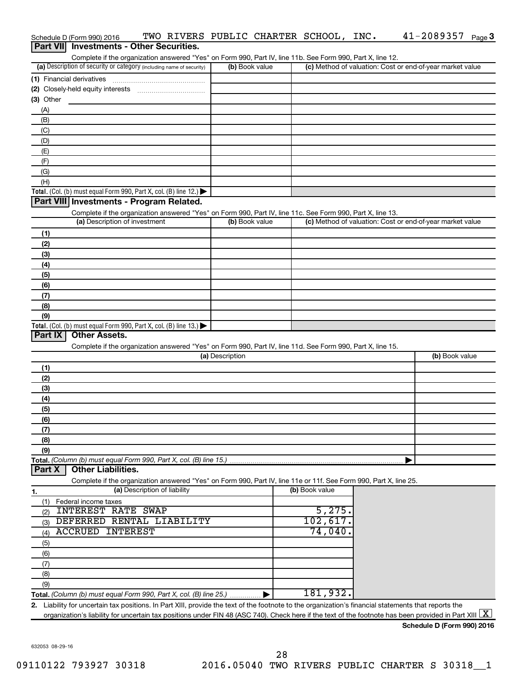|                  | Schedule D (Form 990) 2016                                                                      |                               | TWO RIVERS PUBLIC CHARTER SCHOOL, INC.                                                                            |                 |                |                | 41-2089357<br>Page 3                                                                                                                                       |
|------------------|-------------------------------------------------------------------------------------------------|-------------------------------|-------------------------------------------------------------------------------------------------------------------|-----------------|----------------|----------------|------------------------------------------------------------------------------------------------------------------------------------------------------------|
| <b>Part VIII</b> | <b>Investments - Other Securities.</b>                                                          |                               |                                                                                                                   |                 |                |                |                                                                                                                                                            |
|                  |                                                                                                 |                               | Complete if the organization answered "Yes" on Form 990, Part IV, line 11b. See Form 990, Part X, line 12.        |                 |                |                |                                                                                                                                                            |
|                  | (a) Description of security or category (including name of security)                            |                               |                                                                                                                   |                 | (b) Book value |                | (c) Method of valuation: Cost or end-of-year market value                                                                                                  |
|                  | (1) Financial derivatives                                                                       |                               |                                                                                                                   |                 |                |                |                                                                                                                                                            |
|                  |                                                                                                 |                               |                                                                                                                   |                 |                |                |                                                                                                                                                            |
| $(3)$ Other      |                                                                                                 |                               |                                                                                                                   |                 |                |                |                                                                                                                                                            |
| (A)<br>(B)       |                                                                                                 |                               |                                                                                                                   |                 |                |                |                                                                                                                                                            |
| (C)              |                                                                                                 |                               |                                                                                                                   |                 |                |                |                                                                                                                                                            |
| (D)              |                                                                                                 |                               |                                                                                                                   |                 |                |                |                                                                                                                                                            |
| (E)              |                                                                                                 |                               |                                                                                                                   |                 |                |                |                                                                                                                                                            |
| (F)              |                                                                                                 |                               |                                                                                                                   |                 |                |                |                                                                                                                                                            |
| (G)              |                                                                                                 |                               |                                                                                                                   |                 |                |                |                                                                                                                                                            |
| (H)              |                                                                                                 |                               |                                                                                                                   |                 |                |                |                                                                                                                                                            |
|                  | Total. (Col. (b) must equal Form 990, Part X, col. (B) line 12.)                                |                               |                                                                                                                   |                 |                |                |                                                                                                                                                            |
|                  | Part VIII Investments - Program Related.                                                        |                               |                                                                                                                   |                 |                |                |                                                                                                                                                            |
|                  |                                                                                                 |                               | Complete if the organization answered "Yes" on Form 990, Part IV, line 11c. See Form 990, Part X, line 13.        |                 |                |                |                                                                                                                                                            |
|                  |                                                                                                 | (a) Description of investment |                                                                                                                   |                 | (b) Book value |                | (c) Method of valuation: Cost or end-of-year market value                                                                                                  |
| (1)              |                                                                                                 |                               |                                                                                                                   |                 |                |                |                                                                                                                                                            |
| (2)              |                                                                                                 |                               |                                                                                                                   |                 |                |                |                                                                                                                                                            |
| (3)              |                                                                                                 |                               |                                                                                                                   |                 |                |                |                                                                                                                                                            |
| (4)              |                                                                                                 |                               |                                                                                                                   |                 |                |                |                                                                                                                                                            |
| (5)              |                                                                                                 |                               |                                                                                                                   |                 |                |                |                                                                                                                                                            |
| (6)              |                                                                                                 |                               |                                                                                                                   |                 |                |                |                                                                                                                                                            |
| (7)<br>(8)       |                                                                                                 |                               |                                                                                                                   |                 |                |                |                                                                                                                                                            |
| (9)              |                                                                                                 |                               |                                                                                                                   |                 |                |                |                                                                                                                                                            |
|                  | Total. (Col. (b) must equal Form 990, Part X, col. (B) line $13$ .)                             |                               |                                                                                                                   |                 |                |                |                                                                                                                                                            |
| Part IX          | <b>Other Assets.</b>                                                                            |                               |                                                                                                                   |                 |                |                |                                                                                                                                                            |
|                  |                                                                                                 |                               | Complete if the organization answered "Yes" on Form 990, Part IV, line 11d. See Form 990, Part X, line 15.        |                 |                |                |                                                                                                                                                            |
|                  |                                                                                                 |                               |                                                                                                                   | (a) Description |                |                | (b) Book value                                                                                                                                             |
| (1)              |                                                                                                 |                               |                                                                                                                   |                 |                |                |                                                                                                                                                            |
| (2)              |                                                                                                 |                               |                                                                                                                   |                 |                |                |                                                                                                                                                            |
| (3)              |                                                                                                 |                               |                                                                                                                   |                 |                |                |                                                                                                                                                            |
| (4)              |                                                                                                 |                               |                                                                                                                   |                 |                |                |                                                                                                                                                            |
| (5)              |                                                                                                 |                               |                                                                                                                   |                 |                |                |                                                                                                                                                            |
| (6)              |                                                                                                 |                               |                                                                                                                   |                 |                |                |                                                                                                                                                            |
| (7)              |                                                                                                 |                               |                                                                                                                   |                 |                |                |                                                                                                                                                            |
| (8)              |                                                                                                 |                               |                                                                                                                   |                 |                |                |                                                                                                                                                            |
| (9)              |                                                                                                 |                               |                                                                                                                   |                 |                |                |                                                                                                                                                            |
| Part X           | Total. (Column (b) must equal Form 990, Part X, col. (B) line 15.)<br><b>Other Liabilities.</b> |                               |                                                                                                                   |                 |                |                |                                                                                                                                                            |
|                  |                                                                                                 |                               | Complete if the organization answered "Yes" on Form 990, Part IV, line 11e or 11f. See Form 990, Part X, line 25. |                 |                |                |                                                                                                                                                            |
| 1.               |                                                                                                 | (a) Description of liability  |                                                                                                                   |                 |                | (b) Book value |                                                                                                                                                            |
| (1)              | Federal income taxes                                                                            |                               |                                                                                                                   |                 |                |                |                                                                                                                                                            |
| (2)              | <b>INTEREST RATE SWAP</b>                                                                       |                               |                                                                                                                   |                 |                | 5,275.         |                                                                                                                                                            |
| (3)              | DEFERRED RENTAL LIABILITY                                                                       |                               |                                                                                                                   |                 |                | 102,617.       |                                                                                                                                                            |
| (4)              | <b>ACCRUED INTEREST</b>                                                                         |                               |                                                                                                                   |                 |                | 74,040.        |                                                                                                                                                            |
| (5)              |                                                                                                 |                               |                                                                                                                   |                 |                |                |                                                                                                                                                            |
| (6)              |                                                                                                 |                               |                                                                                                                   |                 |                |                |                                                                                                                                                            |
| (7)              |                                                                                                 |                               |                                                                                                                   |                 |                |                |                                                                                                                                                            |
| (8)              |                                                                                                 |                               |                                                                                                                   |                 |                |                |                                                                                                                                                            |
| (9)              |                                                                                                 |                               |                                                                                                                   |                 |                |                |                                                                                                                                                            |
|                  |                                                                                                 |                               |                                                                                                                   |                 |                | 181,932.       |                                                                                                                                                            |
|                  |                                                                                                 |                               |                                                                                                                   |                 |                |                | 2. Liability for uncertain tax positions. In Part XIII, provide the text of the footnote to the organization's financial statements that reports the       |
|                  |                                                                                                 |                               |                                                                                                                   |                 |                |                | organization's liability for uncertain tax positions under FIN 48 (ASC 740). Check here if the text of the footnote has been provided in Part XIII $\ X\ $ |
|                  |                                                                                                 |                               |                                                                                                                   |                 |                |                | Schedule D (Form 990) 2016                                                                                                                                 |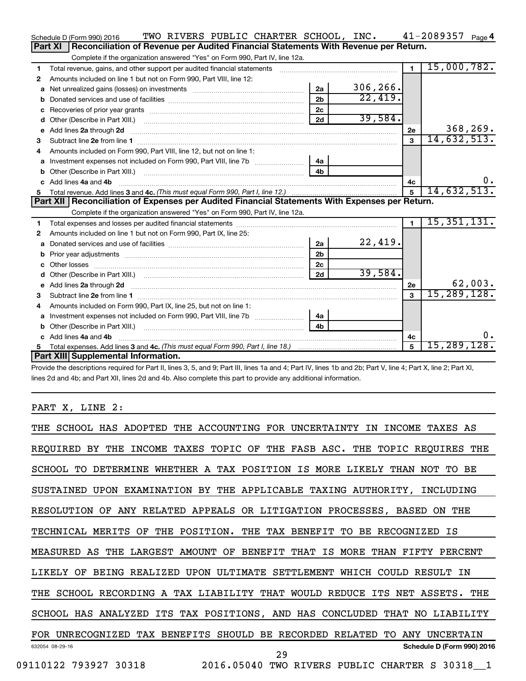|    | TWO RIVERS PUBLIC CHARTER SCHOOL, INC.<br>Schedule D (Form 990) 2016                                                                                                                                                                     |                |           |                | $41 - 2089357$ Page 4 |
|----|------------------------------------------------------------------------------------------------------------------------------------------------------------------------------------------------------------------------------------------|----------------|-----------|----------------|-----------------------|
|    | <b>Part XI</b><br>Reconciliation of Revenue per Audited Financial Statements With Revenue per Return.                                                                                                                                    |                |           |                |                       |
|    | Complete if the organization answered "Yes" on Form 990, Part IV, line 12a.                                                                                                                                                              |                |           |                |                       |
| 1  | Total revenue, gains, and other support per audited financial statements [111] [11] Total revenue, gains, and other support per audited financial statements                                                                             |                |           | $\blacksquare$ | 15,000,782.           |
| 2  | Amounts included on line 1 but not on Form 990, Part VIII, line 12:                                                                                                                                                                      |                |           |                |                       |
| a  |                                                                                                                                                                                                                                          | 2a             | 306, 266. |                |                       |
|    |                                                                                                                                                                                                                                          | 2 <sub>b</sub> | 22,419.   |                |                       |
| c  |                                                                                                                                                                                                                                          | 2c             |           |                |                       |
| d  | Other (Describe in Part XIII.) <b>Construction (Construction Construction</b> of Chern Construction Construction Const                                                                                                                   | 2d             | 39,584.   |                |                       |
| е  | Add lines 2a through 2d <b>continuum continuum contract and all the contract of the contract of the contract of the contract of the contract of the contract of the contract of the contract of the contract of the contract of </b>     |                |           | 2e             | 368, 269.             |
| 3  |                                                                                                                                                                                                                                          |                |           | 3              | 14,632,513.           |
| 4  | Amounts included on Form 990, Part VIII, line 12, but not on line 1:                                                                                                                                                                     |                |           |                |                       |
|    |                                                                                                                                                                                                                                          | 4a             |           |                |                       |
|    |                                                                                                                                                                                                                                          | 4 <sub>h</sub> |           |                |                       |
|    | c Add lines 4a and 4b                                                                                                                                                                                                                    |                |           | 4c             | υ.                    |
| 5. |                                                                                                                                                                                                                                          |                |           | 5              | 14,632,513.           |
|    |                                                                                                                                                                                                                                          |                |           |                |                       |
|    | Part XII   Reconciliation of Expenses per Audited Financial Statements With Expenses per Return.                                                                                                                                         |                |           |                |                       |
|    | Complete if the organization answered "Yes" on Form 990, Part IV, line 12a.                                                                                                                                                              |                |           |                |                       |
| 1. |                                                                                                                                                                                                                                          |                |           | $\mathbf{1}$   | 15,351,131.           |
| 2  | Amounts included on line 1 but not on Form 990, Part IX, line 25:                                                                                                                                                                        |                |           |                |                       |
| a  |                                                                                                                                                                                                                                          | 2a             | 22,419.   |                |                       |
|    |                                                                                                                                                                                                                                          | 2 <sub>b</sub> |           |                |                       |
| c  |                                                                                                                                                                                                                                          | 2 <sub>c</sub> |           |                |                       |
| d  |                                                                                                                                                                                                                                          | 2d             | 39,584.   |                |                       |
|    | e Add lines 2a through 2d <b>[10]</b> [10] <b>All and Property Contract 20 and 20</b> and 20 and 20 and 20 and 20 and 20 and 20 and 20 and 20 and 20 and 20 and 20 and 20 and 20 and 20 and 20 and 20 and 20 and 20 and 20 and 20 and 20 |                |           | 2е             | 62,003.               |
| 3  |                                                                                                                                                                                                                                          |                |           | $\mathbf{a}$   | 15, 289, 128.         |
| 4  | Amounts included on Form 990, Part IX, line 25, but not on line 1:                                                                                                                                                                       |                |           |                |                       |
|    |                                                                                                                                                                                                                                          | 4a             |           |                |                       |
| b  |                                                                                                                                                                                                                                          | 4h             |           |                |                       |
|    | c Add lines 4a and 4b                                                                                                                                                                                                                    |                |           | 4c             | υ.                    |
|    | Part XIII Supplemental Information.                                                                                                                                                                                                      |                |           | $\overline{5}$ | 15,289,128.           |

Provide the descriptions required for Part II, lines 3, 5, and 9; Part III, lines 1a and 4; Part IV, lines 1b and 2b; Part V, line 4; Part X, line 2; Part XI, lines 2d and 4b; and Part XII, lines 2d and 4b. Also complete this part to provide any additional information.

## PART X, LINE 2:

| ADOPTED THE ACCOUNTING FOR UNCERTAINTY IN<br>THE SCHOOL HAS<br><b>INCOME</b><br>TAXES AS |
|------------------------------------------------------------------------------------------|
| INCOME TAXES TOPIC OF THE FASB ASC. THE TOPIC REQUIRES THE<br>REOUIRED BY THE            |
| SCHOOL TO DETERMINE WHETHER A TAX POSITION IS MORE LIKELY THAN NOT TO BE                 |
| UPON EXAMINATION BY THE APPLICABLE TAXING AUTHORITY, INCLUDING<br>SUSTAINED              |
| RESOLUTION OF ANY RELATED APPEALS OR LITIGATION PROCESSES, BASED ON THE                  |
| TECHNICAL MERITS OF THE POSITION. THE TAX BENEFIT TO BE RECOGNIZED IS                    |
| MEASURED AS THE LARGEST AMOUNT OF BENEFIT THAT IS MORE THAN FIFTY PERCENT                |
| LIKELY OF<br>BEING REALIZED UPON ULTIMATE SETTLEMENT WHICH COULD RESULT IN               |
| THE SCHOOL RECORDING A TAX LIABILITY THAT WOULD REDUCE ITS NET ASSETS. THE               |
| SCHOOL HAS ANALYZED ITS TAX POSITIONS, AND HAS CONCLUDED THAT NO LIABILITY               |
| FOR UNRECOGNIZED TAX BENEFITS SHOULD BE RECORDED RELATED<br>TO<br>ANY UNCERTAIN          |
| Schedule D (Form 990) 2016<br>632054 08-29-16<br>29                                      |
| 2016.05040<br>09110122 793927 30318<br>TWO RIVERS PUBLIC CHARTER S 30318 1               |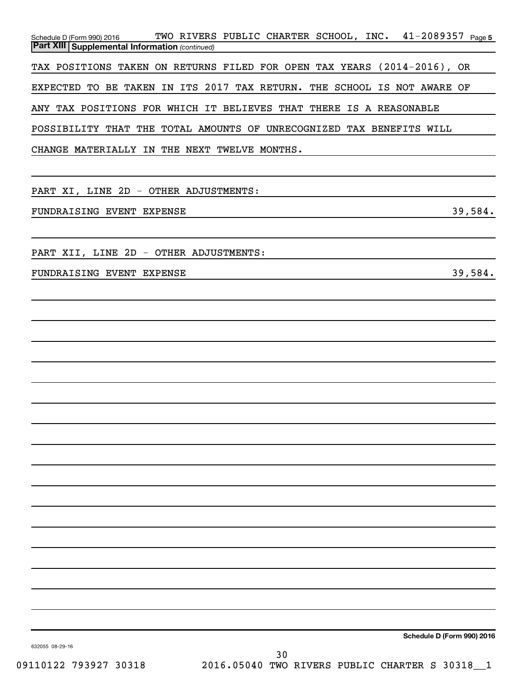| Schedule D (Form 990) 2016 TWO RIVERS PUBLIC CHARTER SCHOOL, INC. 41-2089357 Page 5 |  |  |  |  |  |  |
|-------------------------------------------------------------------------------------|--|--|--|--|--|--|
| <b>Part XIII Supplemental Information (continued)</b>                               |  |  |  |  |  |  |
| TAX POSITIONS TAKEN ON RETURNS FILED FOR OPEN TAX YEARS (2014-2016), OR             |  |  |  |  |  |  |
| EXPECTED TO BE TAKEN IN ITS 2017 TAX RETURN. THE SCHOOL IS NOT AWARE OF             |  |  |  |  |  |  |
| ANY TAX POSITIONS FOR WHICH IT BELIEVES THAT THERE IS A REASONABLE                  |  |  |  |  |  |  |
| POSSIBILITY THAT THE TOTAL AMOUNTS OF UNRECOGNIZED TAX BENEFITS<br>WILL             |  |  |  |  |  |  |
| CHANGE MATERIALLY IN THE NEXT TWELVE MONTHS.                                        |  |  |  |  |  |  |
| PART XI, LINE 2D - OTHER ADJUSTMENTS:                                               |  |  |  |  |  |  |
| 39,584.<br>FUNDRAISING<br>EVENT<br><b>EXPENSE</b>                                   |  |  |  |  |  |  |
| PART XII, LINE 2D - OTHER ADJUSTMENTS:                                              |  |  |  |  |  |  |

FUNDRAISING EVENT EXPENSE 39,584.

**Schedule D (Form 990) 2016**

632055 08-29-16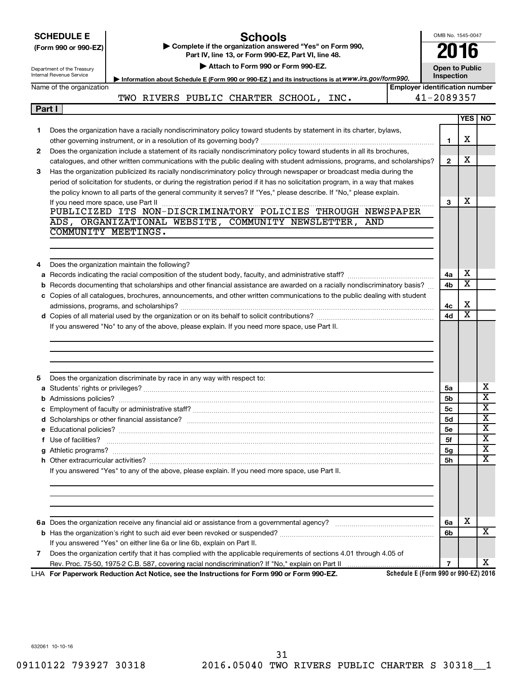| OMB No. 1545-0047<br><b>SCHEDULE E</b><br><b>Schools</b><br>Complete if the organization answered "Yes" on Form 990,<br>(Form 990 or 990-EZ)<br>Part IV, line 13, or Form 990-EZ, Part VI, line 48.<br>Attach to Form 990 or Form 990-EZ.<br><b>Open to Public</b><br>Department of the Treasury<br>Internal Revenue Service<br>Inspection<br>Information about Schedule E (Form 990 or 990-EZ) and its instructions is at www.irs.gov/form990.<br><b>Employer identification number</b><br>Name of the organization<br>41-2089357<br>TWO RIVERS PUBLIC CHARTER SCHOOL, INC.<br>Part I<br>YES  <br><b>NO</b><br>Does the organization have a racially nondiscriminatory policy toward students by statement in its charter, bylaws,<br>1.<br>х<br>1<br>Does the organization include a statement of its racially nondiscriminatory policy toward students in all its brochures,<br>$\mathbf{2}$<br>х<br>catalogues, and other written communications with the public dealing with student admissions, programs, and scholarships?<br>$\mathbf{2}$<br>Has the organization publicized its racially nondiscriminatory policy through newspaper or broadcast media during the<br>3<br>period of solicitation for students, or during the registration period if it has no solicitation program, in a way that makes<br>the policy known to all parts of the general community it serves? If "Yes," please describe. If "No," please explain.<br>х<br>3<br>If you need more space, use Part II<br>ADS, ORGANIZATIONAL WEBSITE, COMMUNITY NEWSLETTER, AND<br>COMMUNITY MEETINGS.<br>Does the organization maintain the following?<br>х<br>4a<br>а<br>$\overline{\textbf{x}}$<br><b>b</b> Records documenting that scholarships and other financial assistance are awarded on a racially nondiscriminatory basis?<br>4b<br>c Copies of all catalogues, brochures, announcements, and other written communications to the public dealing with student<br>х<br>4с<br>$\overline{\textbf{x}}$<br>4d<br>If you answered "No" to any of the above, please explain. If you need more space, use Part II.<br>Does the organization discriminate by race in any way with respect to:<br>х<br>5a<br>$\overline{\text{x}}$<br><b>b</b> Admissions policies?<br>5b<br>х<br>5c<br>X<br>5d<br>х<br>5е<br>X<br>f Use of facilities?<br>5f<br>х<br>5g<br>х<br><b>5h</b><br>If you answered "Yes" to any of the above, please explain. If you need more space, use Part II.<br>х<br>6а<br>х<br>6b<br>If you answered "Yes" on either line 6a or line 6b, explain on Part II.<br>Does the organization certify that it has complied with the applicable requirements of sections 4.01 through 4.05 of<br>7<br>х<br>$\overline{7}$ |  |  |  |  |  |  |  |  |  |
|------------------------------------------------------------------------------------------------------------------------------------------------------------------------------------------------------------------------------------------------------------------------------------------------------------------------------------------------------------------------------------------------------------------------------------------------------------------------------------------------------------------------------------------------------------------------------------------------------------------------------------------------------------------------------------------------------------------------------------------------------------------------------------------------------------------------------------------------------------------------------------------------------------------------------------------------------------------------------------------------------------------------------------------------------------------------------------------------------------------------------------------------------------------------------------------------------------------------------------------------------------------------------------------------------------------------------------------------------------------------------------------------------------------------------------------------------------------------------------------------------------------------------------------------------------------------------------------------------------------------------------------------------------------------------------------------------------------------------------------------------------------------------------------------------------------------------------------------------------------------------------------------------------------------------------------------------------------------------------------------------------------------------------------------------------------------------------------------------------------------------------------------------------------------------------------------------------------------------------------------------------------------------------------------------------------------------------------------------------------------------------------------------------------------------------------------------------------------------------------------------------------------------------------------------------------------------------------------------------------------------------------------------------------------------------------------------------|--|--|--|--|--|--|--|--|--|
|                                                                                                                                                                                                                                                                                                                                                                                                                                                                                                                                                                                                                                                                                                                                                                                                                                                                                                                                                                                                                                                                                                                                                                                                                                                                                                                                                                                                                                                                                                                                                                                                                                                                                                                                                                                                                                                                                                                                                                                                                                                                                                                                                                                                                                                                                                                                                                                                                                                                                                                                                                                                                                                                                                            |  |  |  |  |  |  |  |  |  |
|                                                                                                                                                                                                                                                                                                                                                                                                                                                                                                                                                                                                                                                                                                                                                                                                                                                                                                                                                                                                                                                                                                                                                                                                                                                                                                                                                                                                                                                                                                                                                                                                                                                                                                                                                                                                                                                                                                                                                                                                                                                                                                                                                                                                                                                                                                                                                                                                                                                                                                                                                                                                                                                                                                            |  |  |  |  |  |  |  |  |  |
|                                                                                                                                                                                                                                                                                                                                                                                                                                                                                                                                                                                                                                                                                                                                                                                                                                                                                                                                                                                                                                                                                                                                                                                                                                                                                                                                                                                                                                                                                                                                                                                                                                                                                                                                                                                                                                                                                                                                                                                                                                                                                                                                                                                                                                                                                                                                                                                                                                                                                                                                                                                                                                                                                                            |  |  |  |  |  |  |  |  |  |
|                                                                                                                                                                                                                                                                                                                                                                                                                                                                                                                                                                                                                                                                                                                                                                                                                                                                                                                                                                                                                                                                                                                                                                                                                                                                                                                                                                                                                                                                                                                                                                                                                                                                                                                                                                                                                                                                                                                                                                                                                                                                                                                                                                                                                                                                                                                                                                                                                                                                                                                                                                                                                                                                                                            |  |  |  |  |  |  |  |  |  |
|                                                                                                                                                                                                                                                                                                                                                                                                                                                                                                                                                                                                                                                                                                                                                                                                                                                                                                                                                                                                                                                                                                                                                                                                                                                                                                                                                                                                                                                                                                                                                                                                                                                                                                                                                                                                                                                                                                                                                                                                                                                                                                                                                                                                                                                                                                                                                                                                                                                                                                                                                                                                                                                                                                            |  |  |  |  |  |  |  |  |  |
|                                                                                                                                                                                                                                                                                                                                                                                                                                                                                                                                                                                                                                                                                                                                                                                                                                                                                                                                                                                                                                                                                                                                                                                                                                                                                                                                                                                                                                                                                                                                                                                                                                                                                                                                                                                                                                                                                                                                                                                                                                                                                                                                                                                                                                                                                                                                                                                                                                                                                                                                                                                                                                                                                                            |  |  |  |  |  |  |  |  |  |
|                                                                                                                                                                                                                                                                                                                                                                                                                                                                                                                                                                                                                                                                                                                                                                                                                                                                                                                                                                                                                                                                                                                                                                                                                                                                                                                                                                                                                                                                                                                                                                                                                                                                                                                                                                                                                                                                                                                                                                                                                                                                                                                                                                                                                                                                                                                                                                                                                                                                                                                                                                                                                                                                                                            |  |  |  |  |  |  |  |  |  |
|                                                                                                                                                                                                                                                                                                                                                                                                                                                                                                                                                                                                                                                                                                                                                                                                                                                                                                                                                                                                                                                                                                                                                                                                                                                                                                                                                                                                                                                                                                                                                                                                                                                                                                                                                                                                                                                                                                                                                                                                                                                                                                                                                                                                                                                                                                                                                                                                                                                                                                                                                                                                                                                                                                            |  |  |  |  |  |  |  |  |  |
|                                                                                                                                                                                                                                                                                                                                                                                                                                                                                                                                                                                                                                                                                                                                                                                                                                                                                                                                                                                                                                                                                                                                                                                                                                                                                                                                                                                                                                                                                                                                                                                                                                                                                                                                                                                                                                                                                                                                                                                                                                                                                                                                                                                                                                                                                                                                                                                                                                                                                                                                                                                                                                                                                                            |  |  |  |  |  |  |  |  |  |
|                                                                                                                                                                                                                                                                                                                                                                                                                                                                                                                                                                                                                                                                                                                                                                                                                                                                                                                                                                                                                                                                                                                                                                                                                                                                                                                                                                                                                                                                                                                                                                                                                                                                                                                                                                                                                                                                                                                                                                                                                                                                                                                                                                                                                                                                                                                                                                                                                                                                                                                                                                                                                                                                                                            |  |  |  |  |  |  |  |  |  |
|                                                                                                                                                                                                                                                                                                                                                                                                                                                                                                                                                                                                                                                                                                                                                                                                                                                                                                                                                                                                                                                                                                                                                                                                                                                                                                                                                                                                                                                                                                                                                                                                                                                                                                                                                                                                                                                                                                                                                                                                                                                                                                                                                                                                                                                                                                                                                                                                                                                                                                                                                                                                                                                                                                            |  |  |  |  |  |  |  |  |  |
|                                                                                                                                                                                                                                                                                                                                                                                                                                                                                                                                                                                                                                                                                                                                                                                                                                                                                                                                                                                                                                                                                                                                                                                                                                                                                                                                                                                                                                                                                                                                                                                                                                                                                                                                                                                                                                                                                                                                                                                                                                                                                                                                                                                                                                                                                                                                                                                                                                                                                                                                                                                                                                                                                                            |  |  |  |  |  |  |  |  |  |
|                                                                                                                                                                                                                                                                                                                                                                                                                                                                                                                                                                                                                                                                                                                                                                                                                                                                                                                                                                                                                                                                                                                                                                                                                                                                                                                                                                                                                                                                                                                                                                                                                                                                                                                                                                                                                                                                                                                                                                                                                                                                                                                                                                                                                                                                                                                                                                                                                                                                                                                                                                                                                                                                                                            |  |  |  |  |  |  |  |  |  |
|                                                                                                                                                                                                                                                                                                                                                                                                                                                                                                                                                                                                                                                                                                                                                                                                                                                                                                                                                                                                                                                                                                                                                                                                                                                                                                                                                                                                                                                                                                                                                                                                                                                                                                                                                                                                                                                                                                                                                                                                                                                                                                                                                                                                                                                                                                                                                                                                                                                                                                                                                                                                                                                                                                            |  |  |  |  |  |  |  |  |  |
|                                                                                                                                                                                                                                                                                                                                                                                                                                                                                                                                                                                                                                                                                                                                                                                                                                                                                                                                                                                                                                                                                                                                                                                                                                                                                                                                                                                                                                                                                                                                                                                                                                                                                                                                                                                                                                                                                                                                                                                                                                                                                                                                                                                                                                                                                                                                                                                                                                                                                                                                                                                                                                                                                                            |  |  |  |  |  |  |  |  |  |
|                                                                                                                                                                                                                                                                                                                                                                                                                                                                                                                                                                                                                                                                                                                                                                                                                                                                                                                                                                                                                                                                                                                                                                                                                                                                                                                                                                                                                                                                                                                                                                                                                                                                                                                                                                                                                                                                                                                                                                                                                                                                                                                                                                                                                                                                                                                                                                                                                                                                                                                                                                                                                                                                                                            |  |  |  |  |  |  |  |  |  |
|                                                                                                                                                                                                                                                                                                                                                                                                                                                                                                                                                                                                                                                                                                                                                                                                                                                                                                                                                                                                                                                                                                                                                                                                                                                                                                                                                                                                                                                                                                                                                                                                                                                                                                                                                                                                                                                                                                                                                                                                                                                                                                                                                                                                                                                                                                                                                                                                                                                                                                                                                                                                                                                                                                            |  |  |  |  |  |  |  |  |  |
|                                                                                                                                                                                                                                                                                                                                                                                                                                                                                                                                                                                                                                                                                                                                                                                                                                                                                                                                                                                                                                                                                                                                                                                                                                                                                                                                                                                                                                                                                                                                                                                                                                                                                                                                                                                                                                                                                                                                                                                                                                                                                                                                                                                                                                                                                                                                                                                                                                                                                                                                                                                                                                                                                                            |  |  |  |  |  |  |  |  |  |
|                                                                                                                                                                                                                                                                                                                                                                                                                                                                                                                                                                                                                                                                                                                                                                                                                                                                                                                                                                                                                                                                                                                                                                                                                                                                                                                                                                                                                                                                                                                                                                                                                                                                                                                                                                                                                                                                                                                                                                                                                                                                                                                                                                                                                                                                                                                                                                                                                                                                                                                                                                                                                                                                                                            |  |  |  |  |  |  |  |  |  |
|                                                                                                                                                                                                                                                                                                                                                                                                                                                                                                                                                                                                                                                                                                                                                                                                                                                                                                                                                                                                                                                                                                                                                                                                                                                                                                                                                                                                                                                                                                                                                                                                                                                                                                                                                                                                                                                                                                                                                                                                                                                                                                                                                                                                                                                                                                                                                                                                                                                                                                                                                                                                                                                                                                            |  |  |  |  |  |  |  |  |  |
|                                                                                                                                                                                                                                                                                                                                                                                                                                                                                                                                                                                                                                                                                                                                                                                                                                                                                                                                                                                                                                                                                                                                                                                                                                                                                                                                                                                                                                                                                                                                                                                                                                                                                                                                                                                                                                                                                                                                                                                                                                                                                                                                                                                                                                                                                                                                                                                                                                                                                                                                                                                                                                                                                                            |  |  |  |  |  |  |  |  |  |
|                                                                                                                                                                                                                                                                                                                                                                                                                                                                                                                                                                                                                                                                                                                                                                                                                                                                                                                                                                                                                                                                                                                                                                                                                                                                                                                                                                                                                                                                                                                                                                                                                                                                                                                                                                                                                                                                                                                                                                                                                                                                                                                                                                                                                                                                                                                                                                                                                                                                                                                                                                                                                                                                                                            |  |  |  |  |  |  |  |  |  |
|                                                                                                                                                                                                                                                                                                                                                                                                                                                                                                                                                                                                                                                                                                                                                                                                                                                                                                                                                                                                                                                                                                                                                                                                                                                                                                                                                                                                                                                                                                                                                                                                                                                                                                                                                                                                                                                                                                                                                                                                                                                                                                                                                                                                                                                                                                                                                                                                                                                                                                                                                                                                                                                                                                            |  |  |  |  |  |  |  |  |  |
|                                                                                                                                                                                                                                                                                                                                                                                                                                                                                                                                                                                                                                                                                                                                                                                                                                                                                                                                                                                                                                                                                                                                                                                                                                                                                                                                                                                                                                                                                                                                                                                                                                                                                                                                                                                                                                                                                                                                                                                                                                                                                                                                                                                                                                                                                                                                                                                                                                                                                                                                                                                                                                                                                                            |  |  |  |  |  |  |  |  |  |
|                                                                                                                                                                                                                                                                                                                                                                                                                                                                                                                                                                                                                                                                                                                                                                                                                                                                                                                                                                                                                                                                                                                                                                                                                                                                                                                                                                                                                                                                                                                                                                                                                                                                                                                                                                                                                                                                                                                                                                                                                                                                                                                                                                                                                                                                                                                                                                                                                                                                                                                                                                                                                                                                                                            |  |  |  |  |  |  |  |  |  |
|                                                                                                                                                                                                                                                                                                                                                                                                                                                                                                                                                                                                                                                                                                                                                                                                                                                                                                                                                                                                                                                                                                                                                                                                                                                                                                                                                                                                                                                                                                                                                                                                                                                                                                                                                                                                                                                                                                                                                                                                                                                                                                                                                                                                                                                                                                                                                                                                                                                                                                                                                                                                                                                                                                            |  |  |  |  |  |  |  |  |  |
|                                                                                                                                                                                                                                                                                                                                                                                                                                                                                                                                                                                                                                                                                                                                                                                                                                                                                                                                                                                                                                                                                                                                                                                                                                                                                                                                                                                                                                                                                                                                                                                                                                                                                                                                                                                                                                                                                                                                                                                                                                                                                                                                                                                                                                                                                                                                                                                                                                                                                                                                                                                                                                                                                                            |  |  |  |  |  |  |  |  |  |
|                                                                                                                                                                                                                                                                                                                                                                                                                                                                                                                                                                                                                                                                                                                                                                                                                                                                                                                                                                                                                                                                                                                                                                                                                                                                                                                                                                                                                                                                                                                                                                                                                                                                                                                                                                                                                                                                                                                                                                                                                                                                                                                                                                                                                                                                                                                                                                                                                                                                                                                                                                                                                                                                                                            |  |  |  |  |  |  |  |  |  |
|                                                                                                                                                                                                                                                                                                                                                                                                                                                                                                                                                                                                                                                                                                                                                                                                                                                                                                                                                                                                                                                                                                                                                                                                                                                                                                                                                                                                                                                                                                                                                                                                                                                                                                                                                                                                                                                                                                                                                                                                                                                                                                                                                                                                                                                                                                                                                                                                                                                                                                                                                                                                                                                                                                            |  |  |  |  |  |  |  |  |  |
|                                                                                                                                                                                                                                                                                                                                                                                                                                                                                                                                                                                                                                                                                                                                                                                                                                                                                                                                                                                                                                                                                                                                                                                                                                                                                                                                                                                                                                                                                                                                                                                                                                                                                                                                                                                                                                                                                                                                                                                                                                                                                                                                                                                                                                                                                                                                                                                                                                                                                                                                                                                                                                                                                                            |  |  |  |  |  |  |  |  |  |
|                                                                                                                                                                                                                                                                                                                                                                                                                                                                                                                                                                                                                                                                                                                                                                                                                                                                                                                                                                                                                                                                                                                                                                                                                                                                                                                                                                                                                                                                                                                                                                                                                                                                                                                                                                                                                                                                                                                                                                                                                                                                                                                                                                                                                                                                                                                                                                                                                                                                                                                                                                                                                                                                                                            |  |  |  |  |  |  |  |  |  |
|                                                                                                                                                                                                                                                                                                                                                                                                                                                                                                                                                                                                                                                                                                                                                                                                                                                                                                                                                                                                                                                                                                                                                                                                                                                                                                                                                                                                                                                                                                                                                                                                                                                                                                                                                                                                                                                                                                                                                                                                                                                                                                                                                                                                                                                                                                                                                                                                                                                                                                                                                                                                                                                                                                            |  |  |  |  |  |  |  |  |  |
|                                                                                                                                                                                                                                                                                                                                                                                                                                                                                                                                                                                                                                                                                                                                                                                                                                                                                                                                                                                                                                                                                                                                                                                                                                                                                                                                                                                                                                                                                                                                                                                                                                                                                                                                                                                                                                                                                                                                                                                                                                                                                                                                                                                                                                                                                                                                                                                                                                                                                                                                                                                                                                                                                                            |  |  |  |  |  |  |  |  |  |
|                                                                                                                                                                                                                                                                                                                                                                                                                                                                                                                                                                                                                                                                                                                                                                                                                                                                                                                                                                                                                                                                                                                                                                                                                                                                                                                                                                                                                                                                                                                                                                                                                                                                                                                                                                                                                                                                                                                                                                                                                                                                                                                                                                                                                                                                                                                                                                                                                                                                                                                                                                                                                                                                                                            |  |  |  |  |  |  |  |  |  |
|                                                                                                                                                                                                                                                                                                                                                                                                                                                                                                                                                                                                                                                                                                                                                                                                                                                                                                                                                                                                                                                                                                                                                                                                                                                                                                                                                                                                                                                                                                                                                                                                                                                                                                                                                                                                                                                                                                                                                                                                                                                                                                                                                                                                                                                                                                                                                                                                                                                                                                                                                                                                                                                                                                            |  |  |  |  |  |  |  |  |  |
|                                                                                                                                                                                                                                                                                                                                                                                                                                                                                                                                                                                                                                                                                                                                                                                                                                                                                                                                                                                                                                                                                                                                                                                                                                                                                                                                                                                                                                                                                                                                                                                                                                                                                                                                                                                                                                                                                                                                                                                                                                                                                                                                                                                                                                                                                                                                                                                                                                                                                                                                                                                                                                                                                                            |  |  |  |  |  |  |  |  |  |
|                                                                                                                                                                                                                                                                                                                                                                                                                                                                                                                                                                                                                                                                                                                                                                                                                                                                                                                                                                                                                                                                                                                                                                                                                                                                                                                                                                                                                                                                                                                                                                                                                                                                                                                                                                                                                                                                                                                                                                                                                                                                                                                                                                                                                                                                                                                                                                                                                                                                                                                                                                                                                                                                                                            |  |  |  |  |  |  |  |  |  |
|                                                                                                                                                                                                                                                                                                                                                                                                                                                                                                                                                                                                                                                                                                                                                                                                                                                                                                                                                                                                                                                                                                                                                                                                                                                                                                                                                                                                                                                                                                                                                                                                                                                                                                                                                                                                                                                                                                                                                                                                                                                                                                                                                                                                                                                                                                                                                                                                                                                                                                                                                                                                                                                                                                            |  |  |  |  |  |  |  |  |  |
|                                                                                                                                                                                                                                                                                                                                                                                                                                                                                                                                                                                                                                                                                                                                                                                                                                                                                                                                                                                                                                                                                                                                                                                                                                                                                                                                                                                                                                                                                                                                                                                                                                                                                                                                                                                                                                                                                                                                                                                                                                                                                                                                                                                                                                                                                                                                                                                                                                                                                                                                                                                                                                                                                                            |  |  |  |  |  |  |  |  |  |
|                                                                                                                                                                                                                                                                                                                                                                                                                                                                                                                                                                                                                                                                                                                                                                                                                                                                                                                                                                                                                                                                                                                                                                                                                                                                                                                                                                                                                                                                                                                                                                                                                                                                                                                                                                                                                                                                                                                                                                                                                                                                                                                                                                                                                                                                                                                                                                                                                                                                                                                                                                                                                                                                                                            |  |  |  |  |  |  |  |  |  |
|                                                                                                                                                                                                                                                                                                                                                                                                                                                                                                                                                                                                                                                                                                                                                                                                                                                                                                                                                                                                                                                                                                                                                                                                                                                                                                                                                                                                                                                                                                                                                                                                                                                                                                                                                                                                                                                                                                                                                                                                                                                                                                                                                                                                                                                                                                                                                                                                                                                                                                                                                                                                                                                                                                            |  |  |  |  |  |  |  |  |  |
|                                                                                                                                                                                                                                                                                                                                                                                                                                                                                                                                                                                                                                                                                                                                                                                                                                                                                                                                                                                                                                                                                                                                                                                                                                                                                                                                                                                                                                                                                                                                                                                                                                                                                                                                                                                                                                                                                                                                                                                                                                                                                                                                                                                                                                                                                                                                                                                                                                                                                                                                                                                                                                                                                                            |  |  |  |  |  |  |  |  |  |
|                                                                                                                                                                                                                                                                                                                                                                                                                                                                                                                                                                                                                                                                                                                                                                                                                                                                                                                                                                                                                                                                                                                                                                                                                                                                                                                                                                                                                                                                                                                                                                                                                                                                                                                                                                                                                                                                                                                                                                                                                                                                                                                                                                                                                                                                                                                                                                                                                                                                                                                                                                                                                                                                                                            |  |  |  |  |  |  |  |  |  |
|                                                                                                                                                                                                                                                                                                                                                                                                                                                                                                                                                                                                                                                                                                                                                                                                                                                                                                                                                                                                                                                                                                                                                                                                                                                                                                                                                                                                                                                                                                                                                                                                                                                                                                                                                                                                                                                                                                                                                                                                                                                                                                                                                                                                                                                                                                                                                                                                                                                                                                                                                                                                                                                                                                            |  |  |  |  |  |  |  |  |  |
|                                                                                                                                                                                                                                                                                                                                                                                                                                                                                                                                                                                                                                                                                                                                                                                                                                                                                                                                                                                                                                                                                                                                                                                                                                                                                                                                                                                                                                                                                                                                                                                                                                                                                                                                                                                                                                                                                                                                                                                                                                                                                                                                                                                                                                                                                                                                                                                                                                                                                                                                                                                                                                                                                                            |  |  |  |  |  |  |  |  |  |
|                                                                                                                                                                                                                                                                                                                                                                                                                                                                                                                                                                                                                                                                                                                                                                                                                                                                                                                                                                                                                                                                                                                                                                                                                                                                                                                                                                                                                                                                                                                                                                                                                                                                                                                                                                                                                                                                                                                                                                                                                                                                                                                                                                                                                                                                                                                                                                                                                                                                                                                                                                                                                                                                                                            |  |  |  |  |  |  |  |  |  |
|                                                                                                                                                                                                                                                                                                                                                                                                                                                                                                                                                                                                                                                                                                                                                                                                                                                                                                                                                                                                                                                                                                                                                                                                                                                                                                                                                                                                                                                                                                                                                                                                                                                                                                                                                                                                                                                                                                                                                                                                                                                                                                                                                                                                                                                                                                                                                                                                                                                                                                                                                                                                                                                                                                            |  |  |  |  |  |  |  |  |  |
|                                                                                                                                                                                                                                                                                                                                                                                                                                                                                                                                                                                                                                                                                                                                                                                                                                                                                                                                                                                                                                                                                                                                                                                                                                                                                                                                                                                                                                                                                                                                                                                                                                                                                                                                                                                                                                                                                                                                                                                                                                                                                                                                                                                                                                                                                                                                                                                                                                                                                                                                                                                                                                                                                                            |  |  |  |  |  |  |  |  |  |
|                                                                                                                                                                                                                                                                                                                                                                                                                                                                                                                                                                                                                                                                                                                                                                                                                                                                                                                                                                                                                                                                                                                                                                                                                                                                                                                                                                                                                                                                                                                                                                                                                                                                                                                                                                                                                                                                                                                                                                                                                                                                                                                                                                                                                                                                                                                                                                                                                                                                                                                                                                                                                                                                                                            |  |  |  |  |  |  |  |  |  |
|                                                                                                                                                                                                                                                                                                                                                                                                                                                                                                                                                                                                                                                                                                                                                                                                                                                                                                                                                                                                                                                                                                                                                                                                                                                                                                                                                                                                                                                                                                                                                                                                                                                                                                                                                                                                                                                                                                                                                                                                                                                                                                                                                                                                                                                                                                                                                                                                                                                                                                                                                                                                                                                                                                            |  |  |  |  |  |  |  |  |  |

**For Paperwork Reduction Act Notice, see the Instructions for Form 990 or Form 990-EZ.** LHA

**Schedule E (Form 990 or 990-EZ) 2016**

632061 10-10-16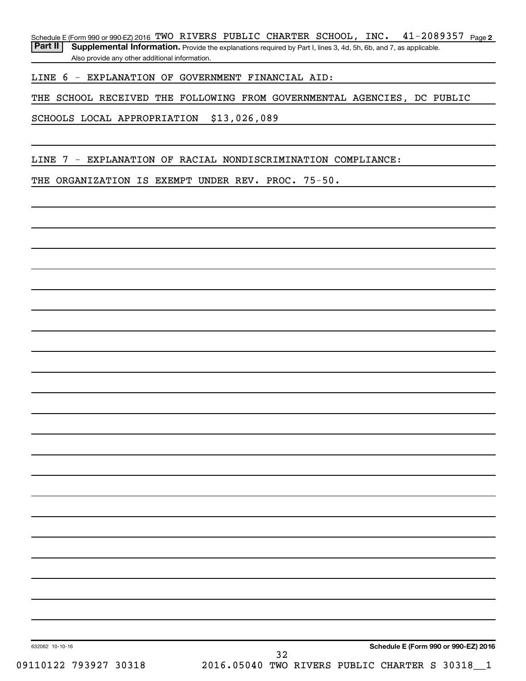Schedule E (Form 990 or 990-EZ) 2016 TWO RIVERS PUBLIC CHARTER SCHOOL, INC. 41-2089357 <sub>Page 2</sub>

Part II | Supplemental Information. Provide the explanations required by Part I, lines 3, 4d, 5h, 6b, and 7, as applicable. Also provide any other additional information.

LINE 6 - EXPLANATION OF GOVERNMENT FINANCIAL AID:

THE SCHOOL RECEIVED THE FOLLOWING FROM GOVERNMENTAL AGENCIES, DC PUBLIC

SCHOOLS LOCAL APPROPRIATION \$13,026,089

LINE 7 - EXPLANATION OF RACIAL NONDISCRIMINATION COMPLIANCE:

THE ORGANIZATION IS EXEMPT UNDER REV. PROC. 75-50.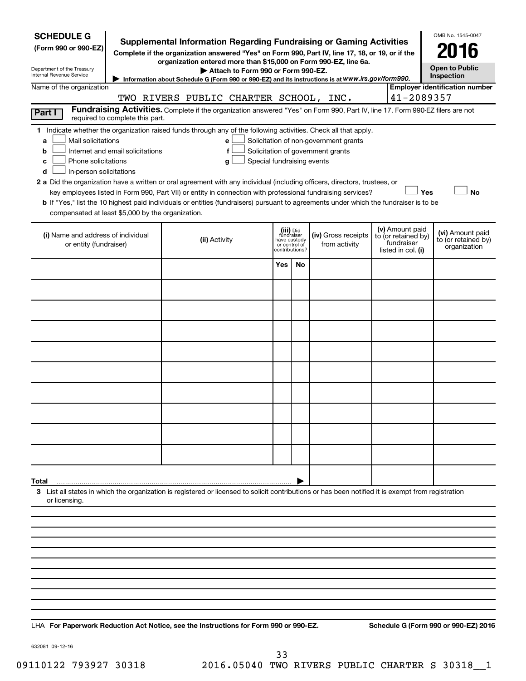| <b>SCHEDULE G</b><br>Supplemental Information Regarding Fundraising or Gaming Activities<br>(Form 990 or 990-EZ)<br>Complete if the organization answered "Yes" on Form 990, Part IV, line 17, 18, or 19, or if the<br>organization entered more than \$15,000 on Form 990-EZ, line 6a.<br>Department of the Treasury<br>Attach to Form 990 or Form 990-EZ.<br>Internal Revenue Service<br>Information about Schedule G (Form 990 or 990-EZ) and its instructions is at www.irs.gov/form990. |  |                                                                                                                                                                                                                                                                                                                                                                                                                                                                                                                                                    |                                                          |                |                                                                            |                                                                            |     | OMB No. 1545-0047<br><b>Open to Public</b><br><b>Inspection</b> |
|----------------------------------------------------------------------------------------------------------------------------------------------------------------------------------------------------------------------------------------------------------------------------------------------------------------------------------------------------------------------------------------------------------------------------------------------------------------------------------------------|--|----------------------------------------------------------------------------------------------------------------------------------------------------------------------------------------------------------------------------------------------------------------------------------------------------------------------------------------------------------------------------------------------------------------------------------------------------------------------------------------------------------------------------------------------------|----------------------------------------------------------|----------------|----------------------------------------------------------------------------|----------------------------------------------------------------------------|-----|-----------------------------------------------------------------|
| Name of the organization                                                                                                                                                                                                                                                                                                                                                                                                                                                                     |  |                                                                                                                                                                                                                                                                                                                                                                                                                                                                                                                                                    |                                                          |                |                                                                            |                                                                            |     | <b>Employer identification number</b>                           |
|                                                                                                                                                                                                                                                                                                                                                                                                                                                                                              |  | TWO RIVERS PUBLIC CHARTER SCHOOL, INC.                                                                                                                                                                                                                                                                                                                                                                                                                                                                                                             |                                                          |                |                                                                            | 41-2089357                                                                 |     |                                                                 |
| Part I<br>required to complete this part.                                                                                                                                                                                                                                                                                                                                                                                                                                                    |  | Fundraising Activities. Complete if the organization answered "Yes" on Form 990, Part IV, line 17. Form 990-EZ filers are not                                                                                                                                                                                                                                                                                                                                                                                                                      |                                                          |                |                                                                            |                                                                            |     |                                                                 |
| Mail solicitations<br>a<br>Internet and email solicitations<br>b<br>Phone solicitations<br>c<br>In-person solicitations<br>d<br>compensated at least \$5,000 by the organization.                                                                                                                                                                                                                                                                                                            |  | 1 Indicate whether the organization raised funds through any of the following activities. Check all that apply.<br>e<br>f<br>Special fundraising events<br>g<br>2 a Did the organization have a written or oral agreement with any individual (including officers, directors, trustees, or<br>key employees listed in Form 990, Part VII) or entity in connection with professional fundraising services?<br>b If "Yes," list the 10 highest paid individuals or entities (fundraisers) pursuant to agreements under which the fundraiser is to be |                                                          |                | Solicitation of non-government grants<br>Solicitation of government grants |                                                                            | Yes | <b>No</b>                                                       |
| (i) Name and address of individual<br>or entity (fundraiser)                                                                                                                                                                                                                                                                                                                                                                                                                                 |  | (ii) Activity                                                                                                                                                                                                                                                                                                                                                                                                                                                                                                                                      | (iii) Did<br>fundraiser<br>have custody<br>or control of | contributions? | (iv) Gross receipts<br>from activity                                       | (v) Amount paid<br>to (or retained by)<br>fundraiser<br>listed in col. (i) |     | (vi) Amount paid<br>to (or retained by)<br>organization         |
|                                                                                                                                                                                                                                                                                                                                                                                                                                                                                              |  |                                                                                                                                                                                                                                                                                                                                                                                                                                                                                                                                                    | Yes                                                      | No             |                                                                            |                                                                            |     |                                                                 |
|                                                                                                                                                                                                                                                                                                                                                                                                                                                                                              |  |                                                                                                                                                                                                                                                                                                                                                                                                                                                                                                                                                    |                                                          |                |                                                                            |                                                                            |     |                                                                 |
|                                                                                                                                                                                                                                                                                                                                                                                                                                                                                              |  |                                                                                                                                                                                                                                                                                                                                                                                                                                                                                                                                                    |                                                          |                |                                                                            |                                                                            |     |                                                                 |
|                                                                                                                                                                                                                                                                                                                                                                                                                                                                                              |  |                                                                                                                                                                                                                                                                                                                                                                                                                                                                                                                                                    |                                                          |                |                                                                            |                                                                            |     |                                                                 |
|                                                                                                                                                                                                                                                                                                                                                                                                                                                                                              |  |                                                                                                                                                                                                                                                                                                                                                                                                                                                                                                                                                    |                                                          |                |                                                                            |                                                                            |     |                                                                 |
|                                                                                                                                                                                                                                                                                                                                                                                                                                                                                              |  |                                                                                                                                                                                                                                                                                                                                                                                                                                                                                                                                                    |                                                          |                |                                                                            |                                                                            |     |                                                                 |
|                                                                                                                                                                                                                                                                                                                                                                                                                                                                                              |  |                                                                                                                                                                                                                                                                                                                                                                                                                                                                                                                                                    |                                                          |                |                                                                            |                                                                            |     |                                                                 |
|                                                                                                                                                                                                                                                                                                                                                                                                                                                                                              |  |                                                                                                                                                                                                                                                                                                                                                                                                                                                                                                                                                    |                                                          |                |                                                                            |                                                                            |     |                                                                 |
|                                                                                                                                                                                                                                                                                                                                                                                                                                                                                              |  |                                                                                                                                                                                                                                                                                                                                                                                                                                                                                                                                                    |                                                          |                |                                                                            |                                                                            |     |                                                                 |
|                                                                                                                                                                                                                                                                                                                                                                                                                                                                                              |  |                                                                                                                                                                                                                                                                                                                                                                                                                                                                                                                                                    |                                                          |                |                                                                            |                                                                            |     |                                                                 |
| Total                                                                                                                                                                                                                                                                                                                                                                                                                                                                                        |  |                                                                                                                                                                                                                                                                                                                                                                                                                                                                                                                                                    |                                                          |                |                                                                            |                                                                            |     |                                                                 |
| or licensing.                                                                                                                                                                                                                                                                                                                                                                                                                                                                                |  | 3 List all states in which the organization is registered or licensed to solicit contributions or has been notified it is exempt from registration                                                                                                                                                                                                                                                                                                                                                                                                 |                                                          |                |                                                                            |                                                                            |     |                                                                 |
|                                                                                                                                                                                                                                                                                                                                                                                                                                                                                              |  |                                                                                                                                                                                                                                                                                                                                                                                                                                                                                                                                                    |                                                          |                |                                                                            |                                                                            |     |                                                                 |
|                                                                                                                                                                                                                                                                                                                                                                                                                                                                                              |  |                                                                                                                                                                                                                                                                                                                                                                                                                                                                                                                                                    |                                                          |                |                                                                            |                                                                            |     |                                                                 |
|                                                                                                                                                                                                                                                                                                                                                                                                                                                                                              |  |                                                                                                                                                                                                                                                                                                                                                                                                                                                                                                                                                    |                                                          |                |                                                                            |                                                                            |     |                                                                 |
|                                                                                                                                                                                                                                                                                                                                                                                                                                                                                              |  |                                                                                                                                                                                                                                                                                                                                                                                                                                                                                                                                                    |                                                          |                |                                                                            |                                                                            |     |                                                                 |
|                                                                                                                                                                                                                                                                                                                                                                                                                                                                                              |  |                                                                                                                                                                                                                                                                                                                                                                                                                                                                                                                                                    |                                                          |                |                                                                            |                                                                            |     |                                                                 |
|                                                                                                                                                                                                                                                                                                                                                                                                                                                                                              |  |                                                                                                                                                                                                                                                                                                                                                                                                                                                                                                                                                    |                                                          |                |                                                                            |                                                                            |     |                                                                 |
|                                                                                                                                                                                                                                                                                                                                                                                                                                                                                              |  |                                                                                                                                                                                                                                                                                                                                                                                                                                                                                                                                                    |                                                          |                |                                                                            |                                                                            |     |                                                                 |
|                                                                                                                                                                                                                                                                                                                                                                                                                                                                                              |  |                                                                                                                                                                                                                                                                                                                                                                                                                                                                                                                                                    |                                                          |                |                                                                            |                                                                            |     |                                                                 |

**For Paperwork Reduction Act Notice, see the Instructions for Form 990 or 990-EZ. Schedule G (Form 990 or 990-EZ) 2016** LHA

632081 09-12-16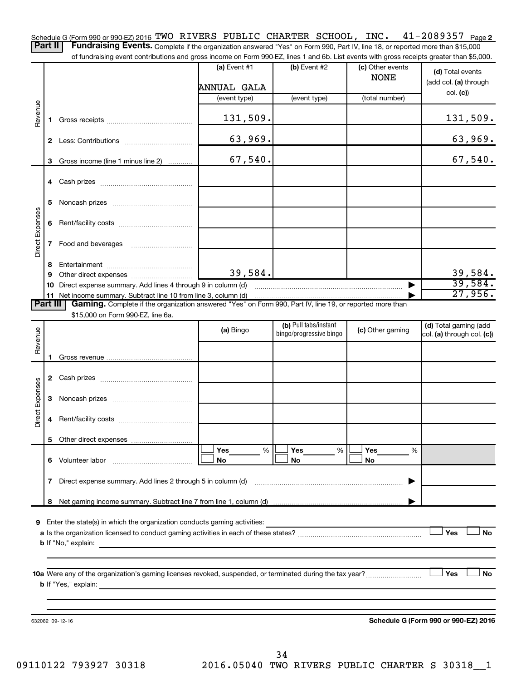41-2089357 Page 2 Schedule G (Form 990 or 990-EZ) 2016 TWO RIVERS PUBLIC CHARTER SCHOOL, INC.  $41$  –  $2089357$  Page Part II | Fundraising Events. Complete if the organization answered "Yes" on Form 990, Part IV, line 18, or reported more than \$15,000

of fundraising event contributions and gross income on Form 990-EZ, lines 1 and 6b. List events with gross receipts greater than \$5,000.

|                 |                 |                                                                                                                                               | (a) Event $#1$                                                                            | (b) Event #2                                     | (c) Other events<br><b>NONE</b> | (d) Total events<br>(add col. (a) through           |
|-----------------|-----------------|-----------------------------------------------------------------------------------------------------------------------------------------------|-------------------------------------------------------------------------------------------|--------------------------------------------------|---------------------------------|-----------------------------------------------------|
|                 |                 |                                                                                                                                               | ANNUAL GALA<br>(event type)                                                               | (event type)                                     | (total number)                  | col. (c)                                            |
|                 |                 |                                                                                                                                               |                                                                                           |                                                  |                                 |                                                     |
| Revenue         | 1.              |                                                                                                                                               | 131,509.                                                                                  |                                                  |                                 | 131,509.                                            |
|                 |                 |                                                                                                                                               | 63,969.                                                                                   |                                                  |                                 | 63,969.                                             |
|                 |                 | 3 Gross income (line 1 minus line 2)                                                                                                          | 67,540.                                                                                   |                                                  |                                 | 67,540.                                             |
|                 |                 |                                                                                                                                               |                                                                                           |                                                  |                                 |                                                     |
|                 | 5.              |                                                                                                                                               |                                                                                           |                                                  |                                 |                                                     |
|                 | 6               |                                                                                                                                               |                                                                                           |                                                  |                                 |                                                     |
| Direct Expenses | 7               | Food and beverages                                                                                                                            |                                                                                           |                                                  |                                 |                                                     |
|                 | 8               |                                                                                                                                               |                                                                                           |                                                  |                                 |                                                     |
|                 | 9               |                                                                                                                                               | 39,584.                                                                                   |                                                  |                                 | 39,584.                                             |
|                 | 10              | Direct expense summary. Add lines 4 through 9 in column (d)                                                                                   |                                                                                           |                                                  |                                 | 39,584.                                             |
|                 |                 | 11 Net income summary. Subtract line 10 from line 3, column (d)                                                                               |                                                                                           |                                                  |                                 | 27,956.                                             |
|                 | <b>Part III</b> | Gaming. Complete if the organization answered "Yes" on Form 990, Part IV, line 19, or reported more than<br>\$15,000 on Form 990-EZ, line 6a. |                                                                                           |                                                  |                                 |                                                     |
| Revenue         |                 |                                                                                                                                               | (a) Bingo                                                                                 | (b) Pull tabs/instant<br>bingo/progressive bingo | (c) Other gaming                | (d) Total gaming (add<br>col. (a) through col. (c)) |
|                 |                 |                                                                                                                                               |                                                                                           |                                                  |                                 |                                                     |
|                 |                 |                                                                                                                                               |                                                                                           |                                                  |                                 |                                                     |
|                 |                 |                                                                                                                                               |                                                                                           |                                                  |                                 |                                                     |
| Direct Expenses | 3               |                                                                                                                                               |                                                                                           |                                                  |                                 |                                                     |
|                 | 4               |                                                                                                                                               |                                                                                           |                                                  |                                 |                                                     |
|                 |                 |                                                                                                                                               |                                                                                           |                                                  |                                 |                                                     |
|                 | 6.              | Volunteer labor                                                                                                                               | Yes<br>%<br>No                                                                            | Yes<br>%<br>No                                   | Yes<br>%<br>No                  |                                                     |
|                 | 7               | Direct expense summary. Add lines 2 through 5 in column (d)                                                                                   |                                                                                           |                                                  |                                 |                                                     |
|                 | 8               |                                                                                                                                               |                                                                                           |                                                  |                                 |                                                     |
| 9               |                 | Enter the state(s) in which the organization conducts gaming activities:                                                                      |                                                                                           |                                                  |                                 |                                                     |
|                 |                 | <b>b</b> If "No," explain:<br><u> 1989 - Johann Stein, mars an deus Amerikaansk kommunister (</u>                                             |                                                                                           |                                                  |                                 | Yes<br>No                                           |
|                 |                 | <b>b</b> If "Yes," explain:                                                                                                                   | the control of the control of the control of the control of the control of the control of |                                                  |                                 | Yes<br>No                                           |
|                 |                 | 632082 09-12-16                                                                                                                               |                                                                                           |                                                  |                                 | Schedule G (Form 990 or 990-EZ) 2016                |
|                 |                 |                                                                                                                                               |                                                                                           |                                                  |                                 |                                                     |

09110122 793927 30318 2016.05040 TWO RIVERS PUBLIC CHARTER S 30318 1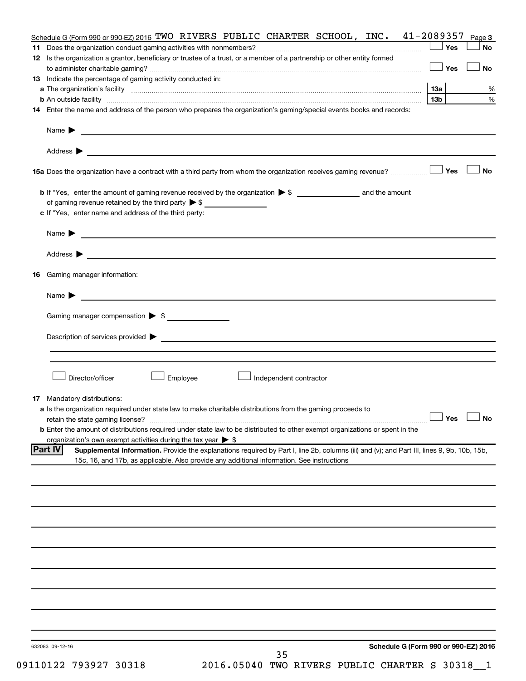| 632083 09-12-16<br>35                                                                                                                                                                                                                   |                      |           |
|-----------------------------------------------------------------------------------------------------------------------------------------------------------------------------------------------------------------------------------------|----------------------|-----------|
| Schedule G (Form 990 or 990-EZ) 2016                                                                                                                                                                                                    |                      |           |
|                                                                                                                                                                                                                                         |                      |           |
|                                                                                                                                                                                                                                         |                      |           |
|                                                                                                                                                                                                                                         |                      |           |
|                                                                                                                                                                                                                                         |                      |           |
|                                                                                                                                                                                                                                         |                      |           |
|                                                                                                                                                                                                                                         |                      |           |
|                                                                                                                                                                                                                                         |                      |           |
|                                                                                                                                                                                                                                         |                      |           |
|                                                                                                                                                                                                                                         |                      |           |
|                                                                                                                                                                                                                                         |                      |           |
|                                                                                                                                                                                                                                         |                      |           |
|                                                                                                                                                                                                                                         |                      |           |
| 15c, 16, and 17b, as applicable. Also provide any additional information. See instructions                                                                                                                                              |                      |           |
| organization's own exempt activities during the tax year $\triangleright$ \$<br> Part IV<br>Supplemental Information. Provide the explanations required by Part I, line 2b, columns (iii) and (v); and Part III, lines 9, 9b, 10b, 15b, |                      |           |
| <b>b</b> Enter the amount of distributions required under state law to be distributed to other exempt organizations or spent in the                                                                                                     |                      |           |
|                                                                                                                                                                                                                                         | $\Box$ Yes $\Box$ No |           |
| 17 Mandatory distributions:<br>a Is the organization required under state law to make charitable distributions from the gaming proceeds to                                                                                              |                      |           |
|                                                                                                                                                                                                                                         |                      |           |
| Director/officer<br>Employee<br>Independent contractor                                                                                                                                                                                  |                      |           |
|                                                                                                                                                                                                                                         |                      |           |
| Description of services provided <b>Denote the Constantine Constantine Constantine Constantine Constantine Constantine Constantine Constantine Constantine Constantine Constantine Constantine Constantine Constantine Constanti</b>    |                      |           |
|                                                                                                                                                                                                                                         |                      |           |
| Gaming manager compensation > \$                                                                                                                                                                                                        |                      |           |
| Name $\triangleright$                                                                                                                                                                                                                   |                      |           |
|                                                                                                                                                                                                                                         |                      |           |
| <b>16</b> Gaming manager information:                                                                                                                                                                                                   |                      |           |
|                                                                                                                                                                                                                                         |                      |           |
| Name $\blacktriangleright$ $\frac{1}{\sqrt{1-\frac{1}{2}}\left(1-\frac{1}{2}\right)}$                                                                                                                                                   |                      |           |
|                                                                                                                                                                                                                                         |                      |           |
| c If "Yes," enter name and address of the third party:                                                                                                                                                                                  |                      |           |
| of gaming revenue retained by the third party $\triangleright$ \$                                                                                                                                                                       |                      |           |
|                                                                                                                                                                                                                                         |                      |           |
|                                                                                                                                                                                                                                         |                      | No        |
|                                                                                                                                                                                                                                         |                      |           |
|                                                                                                                                                                                                                                         |                      |           |
|                                                                                                                                                                                                                                         |                      |           |
| 14 Enter the name and address of the person who prepares the organization's gaming/special events books and records:                                                                                                                    |                      |           |
| a The organization's facility <b>contract to the contract of the contract of the contract of the contract of the contract of the contract of the contract of the contract of the contract of the contract of the contract of the</b>    | 13b l                | %<br>%    |
| 13 Indicate the percentage of gaming activity conducted in:                                                                                                                                                                             |                      |           |
| 12 Is the organization a grantor, beneficiary or trustee of a trust, or a member of a partnership or other entity formed                                                                                                                | $\Box$ Yes           | <b>No</b> |
|                                                                                                                                                                                                                                         | Yes                  | <b>No</b> |
| Schedule G (Form 990 or 990-EZ) 2016 TWO RIVERS PUBLIC CHARTER SCHOOL, INC. 41-2089357                                                                                                                                                  |                      | Page 3    |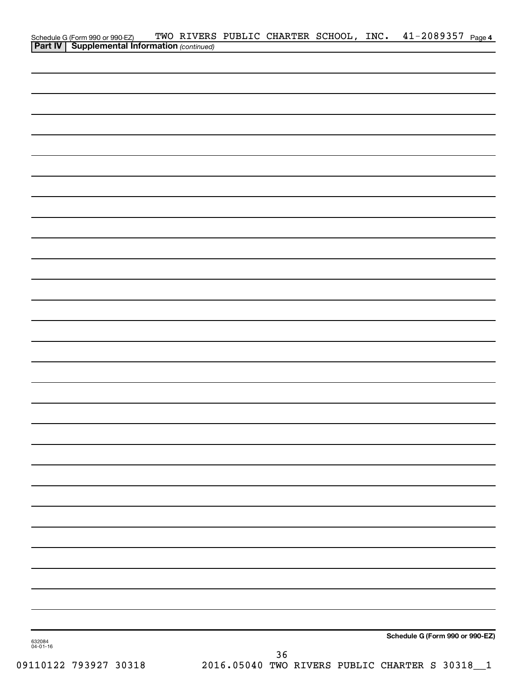|                    |                                                                                                     |  |    |  | TWO RIVERS PUBLIC CHARTER SCHOOL, INC. 41-2089357 Page 4 |  |
|--------------------|-----------------------------------------------------------------------------------------------------|--|----|--|----------------------------------------------------------|--|
|                    | Schedule G (Form 990 or 990-EZ) TWO RIVERS<br><b>Part IV   Supplemental Information</b> (continued) |  |    |  |                                                          |  |
|                    |                                                                                                     |  |    |  |                                                          |  |
|                    |                                                                                                     |  |    |  |                                                          |  |
|                    |                                                                                                     |  |    |  |                                                          |  |
|                    |                                                                                                     |  |    |  |                                                          |  |
|                    |                                                                                                     |  |    |  |                                                          |  |
|                    |                                                                                                     |  |    |  |                                                          |  |
|                    |                                                                                                     |  |    |  |                                                          |  |
|                    |                                                                                                     |  |    |  |                                                          |  |
|                    |                                                                                                     |  |    |  |                                                          |  |
|                    |                                                                                                     |  |    |  |                                                          |  |
|                    |                                                                                                     |  |    |  |                                                          |  |
|                    |                                                                                                     |  |    |  |                                                          |  |
|                    |                                                                                                     |  |    |  |                                                          |  |
|                    |                                                                                                     |  |    |  |                                                          |  |
|                    |                                                                                                     |  |    |  |                                                          |  |
|                    |                                                                                                     |  |    |  |                                                          |  |
|                    |                                                                                                     |  |    |  |                                                          |  |
|                    |                                                                                                     |  |    |  |                                                          |  |
|                    |                                                                                                     |  |    |  |                                                          |  |
|                    |                                                                                                     |  |    |  |                                                          |  |
|                    |                                                                                                     |  |    |  |                                                          |  |
|                    |                                                                                                     |  |    |  |                                                          |  |
|                    |                                                                                                     |  |    |  |                                                          |  |
|                    |                                                                                                     |  |    |  |                                                          |  |
|                    |                                                                                                     |  |    |  |                                                          |  |
|                    |                                                                                                     |  |    |  |                                                          |  |
|                    |                                                                                                     |  |    |  |                                                          |  |
|                    |                                                                                                     |  |    |  |                                                          |  |
|                    |                                                                                                     |  |    |  |                                                          |  |
|                    |                                                                                                     |  |    |  |                                                          |  |
|                    |                                                                                                     |  |    |  |                                                          |  |
|                    |                                                                                                     |  |    |  |                                                          |  |
|                    |                                                                                                     |  |    |  |                                                          |  |
|                    |                                                                                                     |  |    |  |                                                          |  |
|                    |                                                                                                     |  |    |  |                                                          |  |
|                    |                                                                                                     |  |    |  |                                                          |  |
|                    |                                                                                                     |  |    |  |                                                          |  |
|                    |                                                                                                     |  |    |  |                                                          |  |
|                    |                                                                                                     |  |    |  |                                                          |  |
|                    |                                                                                                     |  |    |  |                                                          |  |
|                    |                                                                                                     |  |    |  |                                                          |  |
|                    |                                                                                                     |  |    |  |                                                          |  |
|                    |                                                                                                     |  |    |  |                                                          |  |
|                    |                                                                                                     |  |    |  |                                                          |  |
|                    |                                                                                                     |  |    |  |                                                          |  |
|                    |                                                                                                     |  |    |  | Schedule G (Form 990 or 990-EZ)                          |  |
| 632084<br>04-01-16 |                                                                                                     |  |    |  |                                                          |  |
|                    |                                                                                                     |  | 36 |  |                                                          |  |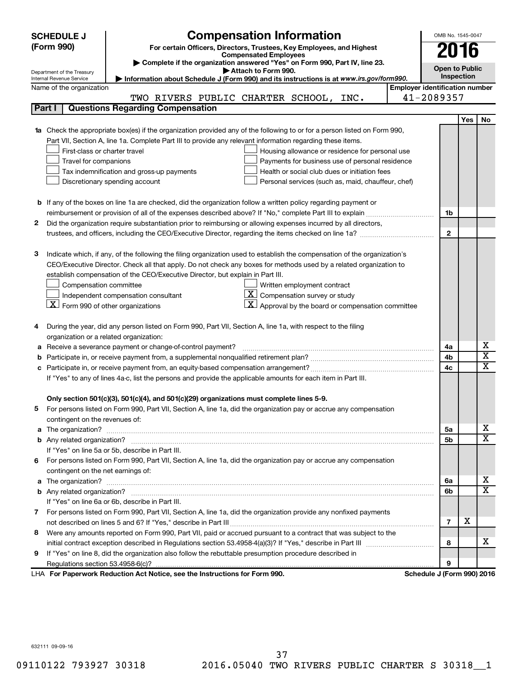| <b>SCHEDULE J</b>                                      | <b>Compensation Information</b>                                                                                                 |                                       | OMB No. 1545-0047     |            |                         |  |
|--------------------------------------------------------|---------------------------------------------------------------------------------------------------------------------------------|---------------------------------------|-----------------------|------------|-------------------------|--|
| (Form 990)                                             | For certain Officers, Directors, Trustees, Key Employees, and Highest                                                           |                                       | 2016                  |            |                         |  |
|                                                        | <b>Compensated Employees</b>                                                                                                    |                                       |                       |            |                         |  |
|                                                        | Complete if the organization answered "Yes" on Form 990, Part IV, line 23.<br>Attach to Form 990.                               |                                       | <b>Open to Public</b> |            |                         |  |
| Department of the Treasury<br>Internal Revenue Service | Information about Schedule J (Form 990) and its instructions is at www.irs.gov/form990.                                         |                                       | Inspection            |            |                         |  |
| Name of the organization                               |                                                                                                                                 | <b>Employer identification number</b> |                       |            |                         |  |
|                                                        | TWO RIVERS PUBLIC CHARTER SCHOOL,<br>INC.                                                                                       | 41-2089357                            |                       |            |                         |  |
| Part I                                                 | <b>Questions Regarding Compensation</b>                                                                                         |                                       |                       |            |                         |  |
|                                                        |                                                                                                                                 |                                       |                       | <b>Yes</b> | No                      |  |
| 1a                                                     | Check the appropriate box(es) if the organization provided any of the following to or for a person listed on Form 990,          |                                       |                       |            |                         |  |
|                                                        | Part VII, Section A, line 1a. Complete Part III to provide any relevant information regarding these items.                      |                                       |                       |            |                         |  |
|                                                        | First-class or charter travel<br>Housing allowance or residence for personal use                                                |                                       |                       |            |                         |  |
|                                                        | Travel for companions<br>Payments for business use of personal residence                                                        |                                       |                       |            |                         |  |
|                                                        | Health or social club dues or initiation fees<br>Tax indemnification and gross-up payments                                      |                                       |                       |            |                         |  |
|                                                        | Discretionary spending account<br>Personal services (such as, maid, chauffeur, chef)                                            |                                       |                       |            |                         |  |
|                                                        |                                                                                                                                 |                                       |                       |            |                         |  |
|                                                        | <b>b</b> If any of the boxes on line 1a are checked, did the organization follow a written policy regarding payment or          |                                       |                       |            |                         |  |
|                                                        |                                                                                                                                 |                                       | 1b                    |            |                         |  |
| 2                                                      | Did the organization require substantiation prior to reimbursing or allowing expenses incurred by all directors,                |                                       |                       |            |                         |  |
|                                                        |                                                                                                                                 |                                       | $\mathbf{2}$          |            |                         |  |
|                                                        |                                                                                                                                 |                                       |                       |            |                         |  |
| з                                                      | Indicate which, if any, of the following the filing organization used to establish the compensation of the organization's       |                                       |                       |            |                         |  |
|                                                        | CEO/Executive Director. Check all that apply. Do not check any boxes for methods used by a related organization to              |                                       |                       |            |                         |  |
|                                                        | establish compensation of the CEO/Executive Director, but explain in Part III.                                                  |                                       |                       |            |                         |  |
|                                                        | Compensation committee<br>Written employment contract                                                                           |                                       |                       |            |                         |  |
|                                                        | $ \mathbf{X} $ Compensation survey or study<br>Independent compensation consultant                                              |                                       |                       |            |                         |  |
|                                                        | $\lfloor \underline{X} \rfloor$ Form 990 of other organizations<br>$\mathbf{X}$ Approval by the board or compensation committee |                                       |                       |            |                         |  |
|                                                        |                                                                                                                                 |                                       |                       |            |                         |  |
| 4                                                      | During the year, did any person listed on Form 990, Part VII, Section A, line 1a, with respect to the filing                    |                                       |                       |            |                         |  |
|                                                        | organization or a related organization:                                                                                         |                                       |                       |            |                         |  |
| а                                                      | Receive a severance payment or change-of-control payment?                                                                       |                                       | 4a                    |            | х                       |  |
| b                                                      |                                                                                                                                 |                                       | 4b                    |            | $\overline{\textbf{x}}$ |  |
| c                                                      |                                                                                                                                 |                                       | 4c                    |            | $\overline{\textbf{X}}$ |  |
|                                                        | If "Yes" to any of lines 4a-c, list the persons and provide the applicable amounts for each item in Part III.                   |                                       |                       |            |                         |  |
|                                                        |                                                                                                                                 |                                       |                       |            |                         |  |
|                                                        | Only section 501(c)(3), 501(c)(4), and 501(c)(29) organizations must complete lines 5-9.                                        |                                       |                       |            |                         |  |
|                                                        | For persons listed on Form 990, Part VII, Section A, line 1a, did the organization pay or accrue any compensation               |                                       |                       |            |                         |  |
| contingent on the revenues of:                         |                                                                                                                                 |                                       |                       |            |                         |  |
|                                                        |                                                                                                                                 |                                       | 5а                    |            | x                       |  |
|                                                        |                                                                                                                                 |                                       | 5b                    |            | $\overline{\mathbf{x}}$ |  |
|                                                        | If "Yes" on line 5a or 5b, describe in Part III.                                                                                |                                       |                       |            |                         |  |
| 6.                                                     | For persons listed on Form 990, Part VII, Section A, line 1a, did the organization pay or accrue any compensation               |                                       |                       |            |                         |  |
|                                                        | contingent on the net earnings of:                                                                                              |                                       |                       |            |                         |  |
|                                                        |                                                                                                                                 |                                       | 6a                    |            | x                       |  |
|                                                        |                                                                                                                                 |                                       | 6b                    |            | $\overline{\mathbf{X}}$ |  |
|                                                        | If "Yes" on line 6a or 6b, describe in Part III.                                                                                |                                       |                       |            |                         |  |
|                                                        | 7 For persons listed on Form 990, Part VII, Section A, line 1a, did the organization provide any nonfixed payments              |                                       |                       |            |                         |  |
|                                                        |                                                                                                                                 |                                       | $\overline{7}$        | X          |                         |  |
| 8                                                      | Were any amounts reported on Form 990, Part VII, paid or accrued pursuant to a contract that was subject to the                 |                                       |                       |            |                         |  |
|                                                        |                                                                                                                                 |                                       | 8                     |            | x                       |  |
| 9                                                      | If "Yes" on line 8, did the organization also follow the rebuttable presumption procedure described in                          |                                       |                       |            |                         |  |
|                                                        |                                                                                                                                 |                                       | 9                     |            |                         |  |
|                                                        | LHA For Paperwork Reduction Act Notice, see the Instructions for Form 990.                                                      | Schedule J (Form 990) 2016            |                       |            |                         |  |

632111 09-09-16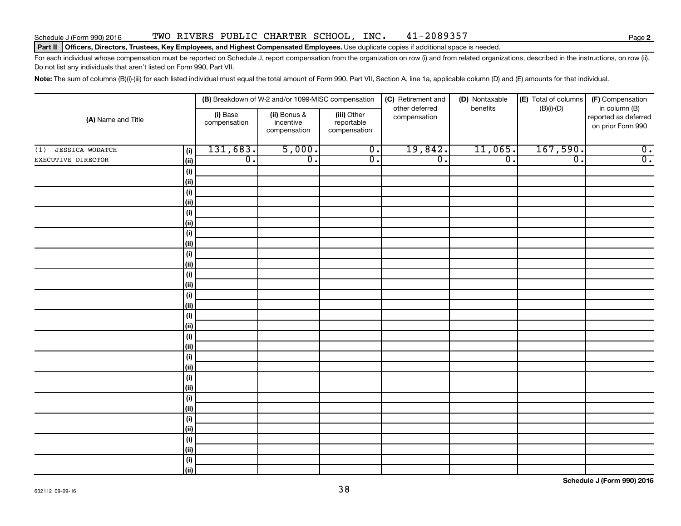### Schedule J (Form 990) 2016 TWO RIVERS PUBLIC CHARTER SCHOOL, INC. 41-2089357 Page

#### Part II | Officers, Directors, Trustees, Key Employees, and Highest Compensated Employees. Use duplicate copies if additional space is needed.

For each individual whose compensation must be reported on Schedule J, report compensation from the organization on row (i) and from related organizations, described in the instructions, on row (ii). Do not list any individuals that aren't listed on Form 990, Part VII.

Note: The sum of columns (B)(i)-(iii) for each listed individual must equal the total amount of Form 990, Part VII, Section A, line 1a, applicable column (D) and (E) amounts for that individual.

|                     |                     |                          | (B) Breakdown of W-2 and/or 1099-MISC compensation |                                           | (C) Retirement and<br>other deferred | (D) Nontaxable<br>benefits | (E) Total of columns | (F) Compensation<br>in column (B)         |
|---------------------|---------------------|--------------------------|----------------------------------------------------|-------------------------------------------|--------------------------------------|----------------------------|----------------------|-------------------------------------------|
| (A) Name and Title  |                     | (i) Base<br>compensation | (ii) Bonus &<br>incentive<br>compensation          | (iii) Other<br>reportable<br>compensation | compensation                         |                            | $(B)(i)-(D)$         | reported as deferred<br>on prior Form 990 |
| (1) JESSICA WODATCH | (i)                 | 131,683.                 | 5,000.                                             | $\overline{0}$ .                          | 19,842.                              | 11,065.                    | 167,590.             | $\overline{0}$ .                          |
| EXECUTIVE DIRECTOR  | (ii)                | $\overline{0}$ .         | $\overline{0}$ .                                   | $\overline{0}$ .                          | $\overline{0}$ .                     | $\overline{0}$ .           | $\overline{0}$ .     | $\overline{0}$ .                          |
|                     | (i)                 |                          |                                                    |                                           |                                      |                            |                      |                                           |
|                     | (ii)                |                          |                                                    |                                           |                                      |                            |                      |                                           |
|                     | (i)                 |                          |                                                    |                                           |                                      |                            |                      |                                           |
|                     | (ii)                |                          |                                                    |                                           |                                      |                            |                      |                                           |
|                     | (i)                 |                          |                                                    |                                           |                                      |                            |                      |                                           |
|                     | (ii)                |                          |                                                    |                                           |                                      |                            |                      |                                           |
|                     | (i)                 |                          |                                                    |                                           |                                      |                            |                      |                                           |
|                     | (ii)                |                          |                                                    |                                           |                                      |                            |                      |                                           |
|                     | (i)                 |                          |                                                    |                                           |                                      |                            |                      |                                           |
|                     | $\vert$ (ii)        |                          |                                                    |                                           |                                      |                            |                      |                                           |
|                     | (i)                 |                          |                                                    |                                           |                                      |                            |                      |                                           |
|                     | $\vert$ (ii)<br>(i) |                          |                                                    |                                           |                                      |                            |                      |                                           |
|                     | $\vert$ (ii)        |                          |                                                    |                                           |                                      |                            |                      |                                           |
|                     | (i)                 |                          |                                                    |                                           |                                      |                            |                      |                                           |
|                     | (ii)                |                          |                                                    |                                           |                                      |                            |                      |                                           |
|                     | (i)                 |                          |                                                    |                                           |                                      |                            |                      |                                           |
|                     | (ii)                |                          |                                                    |                                           |                                      |                            |                      |                                           |
|                     | (i)                 |                          |                                                    |                                           |                                      |                            |                      |                                           |
|                     | (ii)                |                          |                                                    |                                           |                                      |                            |                      |                                           |
|                     | (i)                 |                          |                                                    |                                           |                                      |                            |                      |                                           |
|                     | $\vert$ (ii)        |                          |                                                    |                                           |                                      |                            |                      |                                           |
|                     | (i)                 |                          |                                                    |                                           |                                      |                            |                      |                                           |
|                     | (ii)                |                          |                                                    |                                           |                                      |                            |                      |                                           |
|                     | (i)                 |                          |                                                    |                                           |                                      |                            |                      |                                           |
|                     | (ii)                |                          |                                                    |                                           |                                      |                            |                      |                                           |
|                     | (i)                 |                          |                                                    |                                           |                                      |                            |                      |                                           |
|                     | (i)                 |                          |                                                    |                                           |                                      |                            |                      |                                           |
|                     | (i)                 |                          |                                                    |                                           |                                      |                            |                      |                                           |
|                     | (ii)                |                          |                                                    |                                           |                                      |                            |                      |                                           |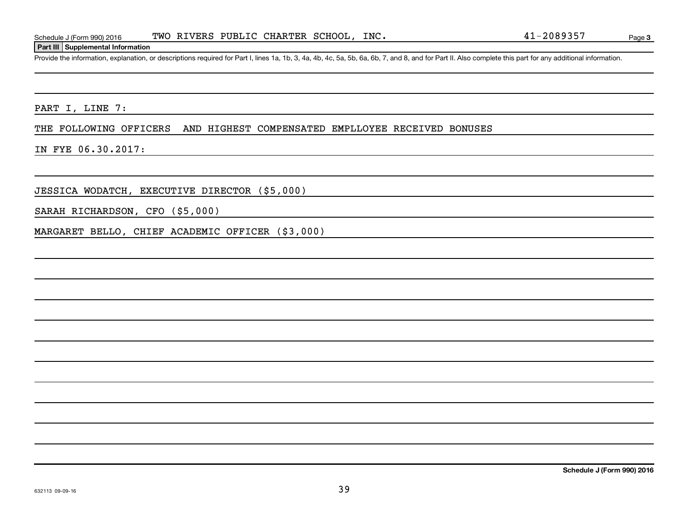#### **Part III Supplemental Information**

Provide the information, explanation, or descriptions required for Part I, lines 1a, 1b, 3, 4a, 4b, 4c, 5a, 5b, 6a, 6b, 7, and 8, and for Part II. Also complete this part for any additional information.

PART I, LINE 7:

THE FOLLOWING OFFICERS AND HIGHEST COMPENSATED EMPLLOYEE RECEIVED BONUSES

IN FYE 06.30.2017:

JESSICA WODATCH, EXECUTIVE DIRECTOR (\$5,000)

SARAH RICHARDSON, CFO (\$5,000)

MARGARET BELLO, CHIEF ACADEMIC OFFICER (\$3,000)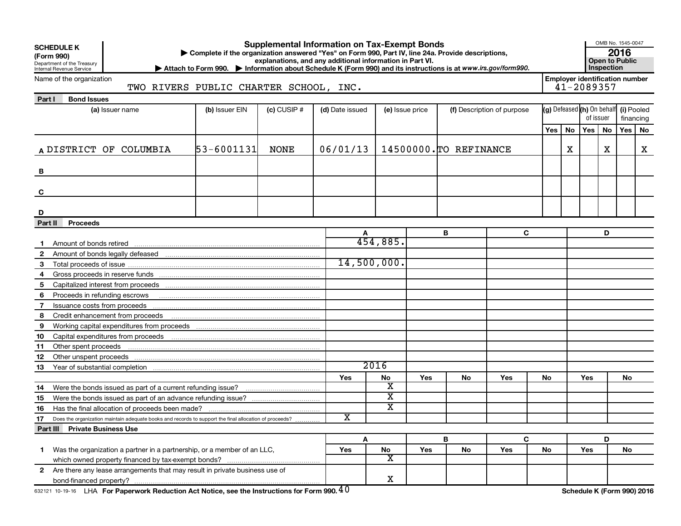|                | <b>SCHEDULE K</b><br>(Form 990)<br>Department of the Treasury<br>Internal Revenue Service | <b>Supplemental Information on Tax-Exempt Bonds</b><br>Complete if the organization answered "Yes" on Form 990, Part IV, line 24a. Provide descriptions,<br>explanations, and any additional information in Part VI.<br>> Attach to Form 990. > Information about Schedule K (Form 990) and its instructions is at www.irs.gov/form990. |                                        |               |                          |                         |            |                        |                            |     |                                                     |           |    | OMB No. 1545-0047<br>2016<br><b>Open to Public</b><br>Inspection |    |  |  |
|----------------|-------------------------------------------------------------------------------------------|-----------------------------------------------------------------------------------------------------------------------------------------------------------------------------------------------------------------------------------------------------------------------------------------------------------------------------------------|----------------------------------------|---------------|--------------------------|-------------------------|------------|------------------------|----------------------------|-----|-----------------------------------------------------|-----------|----|------------------------------------------------------------------|----|--|--|
|                | Name of the organization                                                                  |                                                                                                                                                                                                                                                                                                                                         | TWO RIVERS PUBLIC CHARTER SCHOOL, INC. |               |                          |                         |            |                        |                            |     | <b>Employer identification number</b><br>41-2089357 |           |    |                                                                  |    |  |  |
| Part I         | <b>Bond Issues</b>                                                                        |                                                                                                                                                                                                                                                                                                                                         |                                        |               |                          |                         |            |                        |                            |     |                                                     |           |    |                                                                  |    |  |  |
|                |                                                                                           | (a) Issuer name                                                                                                                                                                                                                                                                                                                         | (b) Issuer EIN                         | $(c)$ CUSIP # | (d) Date issued          | (e) Issue price         |            |                        | (f) Description of purpose |     | (g) Defeased (h) On behalf (i) Pooled               | of issuer |    | financing                                                        |    |  |  |
|                |                                                                                           |                                                                                                                                                                                                                                                                                                                                         |                                        |               |                          |                         |            |                        |                            | Yes | No                                                  | Yes       | No | Yes                                                              | No |  |  |
|                |                                                                                           | A DISTRICT OF COLUMBIA                                                                                                                                                                                                                                                                                                                  | 53-6001131                             | NONE          | 06/01/13                 |                         |            | 14500000. TO REFINANCE |                            |     | X                                                   |           | X. |                                                                  | X  |  |  |
|                |                                                                                           |                                                                                                                                                                                                                                                                                                                                         |                                        |               |                          |                         |            |                        |                            |     |                                                     |           |    |                                                                  |    |  |  |
| C              |                                                                                           |                                                                                                                                                                                                                                                                                                                                         |                                        |               |                          |                         |            |                        |                            |     |                                                     |           |    |                                                                  |    |  |  |
| D              |                                                                                           |                                                                                                                                                                                                                                                                                                                                         |                                        |               |                          |                         |            |                        |                            |     |                                                     |           |    |                                                                  |    |  |  |
| <b>Part II</b> | <b>Proceeds</b>                                                                           |                                                                                                                                                                                                                                                                                                                                         |                                        |               |                          |                         |            |                        |                            |     |                                                     |           |    |                                                                  |    |  |  |
|                |                                                                                           |                                                                                                                                                                                                                                                                                                                                         |                                        |               | A                        | 454,885.                |            | В                      | C                          |     |                                                     |           | D  |                                                                  |    |  |  |
| 2              |                                                                                           |                                                                                                                                                                                                                                                                                                                                         |                                        |               |                          |                         |            |                        |                            |     |                                                     |           |    |                                                                  |    |  |  |
| 3              |                                                                                           |                                                                                                                                                                                                                                                                                                                                         |                                        |               | 14,500,000.              |                         |            |                        |                            |     |                                                     |           |    |                                                                  |    |  |  |
| 4              |                                                                                           |                                                                                                                                                                                                                                                                                                                                         |                                        |               |                          |                         |            |                        |                            |     |                                                     |           |    |                                                                  |    |  |  |
| 5              |                                                                                           |                                                                                                                                                                                                                                                                                                                                         |                                        |               |                          |                         |            |                        |                            |     |                                                     |           |    |                                                                  |    |  |  |
| 6              |                                                                                           | Proceeds in refunding escrows <b>contained and the contained and proceeds</b> in refunding escrows                                                                                                                                                                                                                                      |                                        |               |                          |                         |            |                        |                            |     |                                                     |           |    |                                                                  |    |  |  |
|                |                                                                                           |                                                                                                                                                                                                                                                                                                                                         |                                        |               |                          |                         |            |                        |                            |     |                                                     |           |    |                                                                  |    |  |  |
| 8              |                                                                                           |                                                                                                                                                                                                                                                                                                                                         |                                        |               |                          |                         |            |                        |                            |     |                                                     |           |    |                                                                  |    |  |  |
| 9              |                                                                                           |                                                                                                                                                                                                                                                                                                                                         |                                        |               |                          |                         |            |                        |                            |     |                                                     |           |    |                                                                  |    |  |  |
| 10             |                                                                                           |                                                                                                                                                                                                                                                                                                                                         |                                        |               |                          |                         |            |                        |                            |     |                                                     |           |    |                                                                  |    |  |  |
| 11             | Other spent proceeds                                                                      |                                                                                                                                                                                                                                                                                                                                         |                                        |               |                          |                         |            |                        |                            |     |                                                     |           |    |                                                                  |    |  |  |
| 12             |                                                                                           |                                                                                                                                                                                                                                                                                                                                         |                                        |               |                          | 2016                    |            |                        |                            |     |                                                     |           |    |                                                                  |    |  |  |
| 13             |                                                                                           |                                                                                                                                                                                                                                                                                                                                         |                                        |               |                          |                         |            |                        |                            |     |                                                     |           |    |                                                                  |    |  |  |
|                |                                                                                           |                                                                                                                                                                                                                                                                                                                                         |                                        |               | Yes                      | No<br>х                 | <b>Yes</b> | No                     | Yes                        | No  |                                                     | Yes       |    | No                                                               |    |  |  |
| 14             |                                                                                           |                                                                                                                                                                                                                                                                                                                                         |                                        |               |                          | $\overline{\texttt{x}}$ |            |                        |                            |     |                                                     |           |    |                                                                  |    |  |  |
| 15             |                                                                                           |                                                                                                                                                                                                                                                                                                                                         |                                        |               |                          | $\overline{\textbf{x}}$ |            |                        |                            |     |                                                     |           |    |                                                                  |    |  |  |
| 16             |                                                                                           | Has the final allocation of proceeds been made?                                                                                                                                                                                                                                                                                         |                                        |               | $\overline{\texttt{x}}$  |                         |            |                        |                            |     |                                                     |           |    |                                                                  |    |  |  |
| 17             |                                                                                           | Does the organization maintain adequate books and records to support the final allocation of proceeds?                                                                                                                                                                                                                                  |                                        |               |                          |                         |            |                        |                            |     |                                                     |           |    |                                                                  |    |  |  |
|                | <b>Private Business Use</b><br>Part III                                                   |                                                                                                                                                                                                                                                                                                                                         |                                        |               |                          |                         |            |                        |                            |     |                                                     |           |    |                                                                  |    |  |  |
| 1              |                                                                                           | Was the organization a partner in a partnership, or a member of an LLC,                                                                                                                                                                                                                                                                 |                                        |               | A<br>Yes                 | No                      | Yes        | B<br>No                | C<br>Yes                   | No  |                                                     | Yes       | D  | No                                                               |    |  |  |
|                |                                                                                           |                                                                                                                                                                                                                                                                                                                                         |                                        |               |                          | $\overline{\texttt{x}}$ |            |                        |                            |     |                                                     |           |    |                                                                  |    |  |  |
|                |                                                                                           | 2 Are there any lease arrangements that may result in private business use of                                                                                                                                                                                                                                                           |                                        |               |                          |                         |            |                        |                            |     |                                                     |           |    |                                                                  |    |  |  |
|                |                                                                                           |                                                                                                                                                                                                                                                                                                                                         |                                        |               | $\overline{\phantom{a}}$ | X                       |            |                        |                            |     |                                                     |           |    |                                                                  |    |  |  |

 $_{\rm 632121-10-19-16}$  LHA For Paperwork Reduction Act Notice, see the Instructions for Form 990. $4\,0$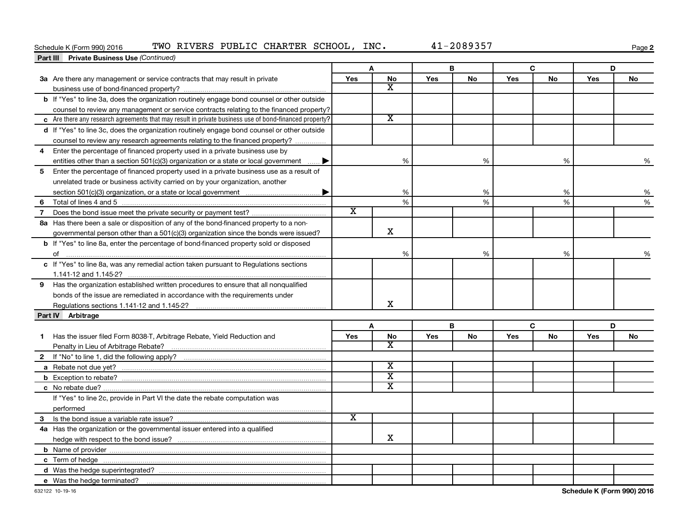## Schedule K (Form 990) 2016 TWO RIVERS PUBLIC CHARTER SCHOOL, INC.  $41-2089357$

**2**

|                | <b>Part III</b> Private Business Use (Continued)                                                       |                             |                         |     |    |     |    |     |    |
|----------------|--------------------------------------------------------------------------------------------------------|-----------------------------|-------------------------|-----|----|-----|----|-----|----|
|                |                                                                                                        |                             | A                       |     | В  |     | C  |     | D  |
|                | 3a Are there any management or service contracts that may result in private                            | Yes                         | <b>No</b>               | Yes | No | Yes | No | Yes | No |
|                |                                                                                                        |                             | X                       |     |    |     |    |     |    |
|                | b If "Yes" to line 3a, does the organization routinely engage bond counsel or other outside            |                             |                         |     |    |     |    |     |    |
|                | counsel to review any management or service contracts relating to the financed property?               |                             |                         |     |    |     |    |     |    |
|                | c Are there any research agreements that may result in private business use of bond-financed property? |                             | $\overline{\text{x}}$   |     |    |     |    |     |    |
|                | d If "Yes" to line 3c, does the organization routinely engage bond counsel or other outside            |                             |                         |     |    |     |    |     |    |
|                | counsel to review any research agreements relating to the financed property?                           |                             |                         |     |    |     |    |     |    |
| 4              | Enter the percentage of financed property used in a private business use by                            |                             |                         |     |    |     |    |     |    |
|                | entities other than a section 501(c)(3) organization or a state or local government $\ldots$           |                             | %                       |     | %  |     | %  |     | %  |
| 5              | Enter the percentage of financed property used in a private business use as a result of                |                             |                         |     |    |     |    |     |    |
|                | unrelated trade or business activity carried on by your organization, another                          |                             |                         |     |    |     |    |     |    |
|                |                                                                                                        |                             | %                       |     | %  |     | %  |     | %  |
| 6              |                                                                                                        |                             | %                       |     | %  |     | %  |     | %  |
| $\overline{7}$ |                                                                                                        | $\overline{\text{x}}$       |                         |     |    |     |    |     |    |
|                | 8a Has there been a sale or disposition of any of the bond-financed property to a non-                 |                             |                         |     |    |     |    |     |    |
|                | governmental person other than a 501(c)(3) organization since the bonds were issued?                   |                             | $\mathbf x$             |     |    |     |    |     |    |
|                | <b>b</b> If "Yes" to line 8a, enter the percentage of bond-financed property sold or disposed          |                             |                         |     |    |     |    |     |    |
|                |                                                                                                        |                             | %                       |     | %  |     | %  |     | %  |
|                | c If "Yes" to line 8a, was any remedial action taken pursuant to Regulations sections                  |                             |                         |     |    |     |    |     |    |
|                |                                                                                                        |                             |                         |     |    |     |    |     |    |
|                | 9 Has the organization established written procedures to ensure that all nonqualified                  |                             |                         |     |    |     |    |     |    |
|                | bonds of the issue are remediated in accordance with the requirements under                            |                             |                         |     |    |     |    |     |    |
|                |                                                                                                        |                             | x                       |     |    |     |    |     |    |
|                | Part IV Arbitrage                                                                                      |                             |                         |     |    |     |    |     |    |
|                |                                                                                                        |                             | A                       |     | В  |     | C  |     | D  |
| 1              | Has the issuer filed Form 8038-T, Arbitrage Rebate, Yield Reduction and                                | <b>Yes</b>                  | No                      | Yes | No | Yes | No | Yes | No |
|                |                                                                                                        |                             | x                       |     |    |     |    |     |    |
|                |                                                                                                        |                             |                         |     |    |     |    |     |    |
|                |                                                                                                        |                             | $\overline{\textbf{x}}$ |     |    |     |    |     |    |
|                |                                                                                                        |                             | $\overline{\text{x}}$   |     |    |     |    |     |    |
|                |                                                                                                        |                             | $\overline{\text{x}}$   |     |    |     |    |     |    |
|                | If "Yes" to line 2c, provide in Part VI the date the rebate computation was                            |                             |                         |     |    |     |    |     |    |
|                | performed                                                                                              |                             |                         |     |    |     |    |     |    |
|                |                                                                                                        | $\overline{\textnormal{x}}$ |                         |     |    |     |    |     |    |
|                | 4a Has the organization or the governmental issuer entered into a qualified                            |                             |                         |     |    |     |    |     |    |
|                |                                                                                                        |                             | X                       |     |    |     |    |     |    |
|                |                                                                                                        |                             |                         |     |    |     |    |     |    |
|                |                                                                                                        |                             |                         |     |    |     |    |     |    |
|                |                                                                                                        |                             |                         |     |    |     |    |     |    |
|                | e Was the hedge terminated?                                                                            |                             |                         |     |    |     |    |     |    |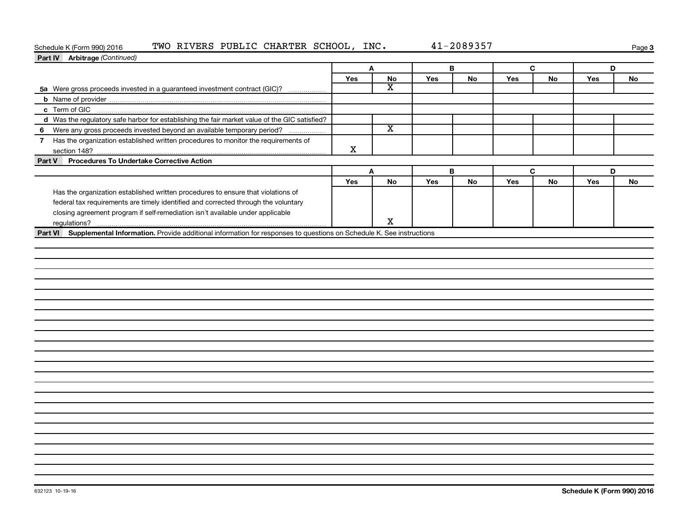## Schedule K (Form 990) 2016 TWO RIVERS PUBLIC CHARTER SCHOOL, INC.  $41-2089357$

|--|

| Part IV Arbitrage (Continued)                                                                 |     |                         |     |           |     |           |     |    |
|-----------------------------------------------------------------------------------------------|-----|-------------------------|-----|-----------|-----|-----------|-----|----|
|                                                                                               |     | A                       | B   |           | C   |           | D   |    |
|                                                                                               | Yes | No                      | Yes | No        | Yes | No        | Yes | No |
| 5a Were gross proceeds invested in a guaranteed investment contract (GIC)?                    |     | $\overline{\text{x}}$   |     |           |     |           |     |    |
|                                                                                               |     |                         |     |           |     |           |     |    |
|                                                                                               |     |                         |     |           |     |           |     |    |
| d Was the regulatory safe harbor for establishing the fair market value of the GIC satisfied? |     |                         |     |           |     |           |     |    |
| 6 Were any gross proceeds invested beyond an available temporary period?<br>.                 |     | $\overline{\texttt{x}}$ |     |           |     |           |     |    |
| 7 Has the organization established written procedures to monitor the requirements of          |     |                         |     |           |     |           |     |    |
|                                                                                               | X   |                         |     |           |     |           |     |    |
| Part V Procedures To Undertake Corrective Action                                              |     |                         |     |           |     |           |     |    |
|                                                                                               |     | A                       | B   |           | C   |           | D   |    |
|                                                                                               | Yes | <b>No</b>               | Yes | <b>No</b> | Yes | <b>No</b> | Yes | No |
| Has the organization established written procedures to ensure that violations of              |     |                         |     |           |     |           |     |    |
| federal tax requirements are timely identified and corrected through the voluntary            |     |                         |     |           |     |           |     |    |
| closing agreement program if self-remediation isn't available under applicable                |     |                         |     |           |     |           |     |    |
| requlations?                                                                                  |     | X                       |     |           |     |           |     |    |
|                                                                                               |     |                         |     |           |     |           |     |    |
|                                                                                               |     |                         |     |           |     |           |     |    |
|                                                                                               |     |                         |     |           |     |           |     |    |
|                                                                                               |     |                         |     |           |     |           |     |    |
|                                                                                               |     |                         |     |           |     |           |     |    |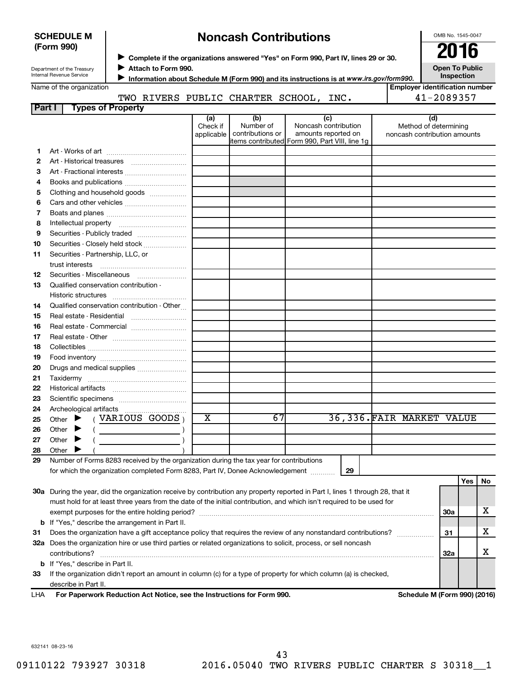| <b>SCHEDULE M</b> |  |
|-------------------|--|
| (Form 990)        |  |

## **Noncash Contributions**

OMB No. 1545-0047

| Department of the Treasury |
|----------------------------|
| Internal Revenue Service   |

◆ Complete if the organizations answered "Yes" on Form 990, Part IV, lines 29 or 30.<br>● Complete if the organizations answered "Yes" on Form 990, Part IV, lines 29 or 30. **Attach to Form 990.** J

**Open To Public Inspection**

|  | Name of the organization |
|--|--------------------------|
|  |                          |

**Information about Schedule M (Form 990) and its instructions is at**  *www.irs.gov/form990.*  $\blacktriangleright$ 

## **Employer identification number** TWO RIVERS PUBLIC CHARTER SCHOOL, INC. 41-2089357

| <b>Part I</b> | <b>Types of Property</b>                                                                                                            |                               |                                      |                                                    |                                                              |            |     |    |
|---------------|-------------------------------------------------------------------------------------------------------------------------------------|-------------------------------|--------------------------------------|----------------------------------------------------|--------------------------------------------------------------|------------|-----|----|
|               |                                                                                                                                     | (a)<br>Check if<br>applicable | (b)<br>Number of<br>contributions or | (c)<br>Noncash contribution<br>amounts reported on | (d)<br>Method of determining<br>noncash contribution amounts |            |     |    |
|               |                                                                                                                                     |                               |                                      | items contributed Form 990, Part VIII, line 1g     |                                                              |            |     |    |
| 1             |                                                                                                                                     |                               |                                      |                                                    |                                                              |            |     |    |
| 2             |                                                                                                                                     |                               |                                      |                                                    |                                                              |            |     |    |
| з             | Art - Fractional interests                                                                                                          |                               |                                      |                                                    |                                                              |            |     |    |
| 4             |                                                                                                                                     |                               |                                      |                                                    |                                                              |            |     |    |
| 5             | Clothing and household goods                                                                                                        |                               |                                      |                                                    |                                                              |            |     |    |
| 6             | Cars and other vehicles                                                                                                             |                               |                                      |                                                    |                                                              |            |     |    |
| 7             |                                                                                                                                     |                               |                                      |                                                    |                                                              |            |     |    |
| 8             |                                                                                                                                     |                               |                                      |                                                    |                                                              |            |     |    |
| 9             | Securities - Publicly traded                                                                                                        |                               |                                      |                                                    |                                                              |            |     |    |
| 10            | Securities - Closely held stock                                                                                                     |                               |                                      |                                                    |                                                              |            |     |    |
| 11            | Securities - Partnership, LLC, or<br>trust interests                                                                                |                               |                                      |                                                    |                                                              |            |     |    |
| 12            | Securities - Miscellaneous                                                                                                          |                               |                                      |                                                    |                                                              |            |     |    |
| 13            | Qualified conservation contribution -                                                                                               |                               |                                      |                                                    |                                                              |            |     |    |
|               |                                                                                                                                     |                               |                                      |                                                    |                                                              |            |     |    |
| 14            | Qualified conservation contribution - Other                                                                                         |                               |                                      |                                                    |                                                              |            |     |    |
| 15            | Real estate - Residential                                                                                                           |                               |                                      |                                                    |                                                              |            |     |    |
| 16            | Real estate - Commercial                                                                                                            |                               |                                      |                                                    |                                                              |            |     |    |
| 17            |                                                                                                                                     |                               |                                      |                                                    |                                                              |            |     |    |
| 18            |                                                                                                                                     |                               |                                      |                                                    |                                                              |            |     |    |
| 19            |                                                                                                                                     |                               |                                      |                                                    |                                                              |            |     |    |
| 20            | Drugs and medical supplies                                                                                                          |                               |                                      |                                                    |                                                              |            |     |    |
| 21            |                                                                                                                                     |                               |                                      |                                                    |                                                              |            |     |    |
| 22            |                                                                                                                                     |                               |                                      |                                                    |                                                              |            |     |    |
| 23            |                                                                                                                                     |                               |                                      |                                                    |                                                              |            |     |    |
| 24            |                                                                                                                                     |                               |                                      |                                                    |                                                              |            |     |    |
| 25            | $($ VARIOUS GOODS $)$<br>Other $\blacktriangleright$                                                                                | х                             | 67                                   |                                                    | 36,336.FAIR MARKET VALUE                                     |            |     |    |
| 26            | Other $\blacktriangleright$<br><u> 1990 - Johann Barbara, martx</u>                                                                 |                               |                                      |                                                    |                                                              |            |     |    |
| 27            | Other<br>▸                                                                                                                          |                               |                                      |                                                    |                                                              |            |     |    |
| 28            | Other $\blacktriangleright$                                                                                                         |                               |                                      |                                                    |                                                              |            |     |    |
| 29            | Number of Forms 8283 received by the organization during the tax year for contributions                                             |                               |                                      |                                                    |                                                              |            |     |    |
|               | for which the organization completed Form 8283, Part IV, Donee Acknowledgement                                                      |                               |                                      | 29                                                 |                                                              |            |     |    |
|               |                                                                                                                                     |                               |                                      |                                                    |                                                              |            | Yes | No |
|               | 30a During the year, did the organization receive by contribution any property reported in Part I, lines 1 through 28, that it      |                               |                                      |                                                    |                                                              |            |     |    |
|               | must hold for at least three years from the date of the initial contribution, and which isn't required to be used for               |                               |                                      |                                                    |                                                              |            |     |    |
|               |                                                                                                                                     |                               |                                      |                                                    |                                                              | 30a        |     | х  |
|               | <b>b</b> If "Yes," describe the arrangement in Part II.                                                                             |                               |                                      |                                                    |                                                              |            |     |    |
| 31            | Does the organization have a gift acceptance policy that requires the review of any nonstandard contributions?                      |                               |                                      |                                                    |                                                              | 31         |     | х  |
|               | 32a Does the organization hire or use third parties or related organizations to solicit, process, or sell noncash<br>contributions? |                               |                                      |                                                    |                                                              | <b>32a</b> |     | х  |
|               | <b>b</b> If "Yes," describe in Part II.                                                                                             |                               |                                      |                                                    |                                                              |            |     |    |
| 33            | If the organization didn't report an amount in column (c) for a type of property for which column (a) is checked,                   |                               |                                      |                                                    |                                                              |            |     |    |
|               | describe in Part II.                                                                                                                |                               |                                      |                                                    |                                                              |            |     |    |
|               | ation Act Notice are the Instructions for Form 000                                                                                  |                               |                                      |                                                    | O . L . J . L . BE (F 000) (0040)                            |            |     |    |

**For Paperwork Reduction Act Notice, see the Instructions for Form 990. Schedule M (Form 990) (2016)** LHA

632141 08-23-16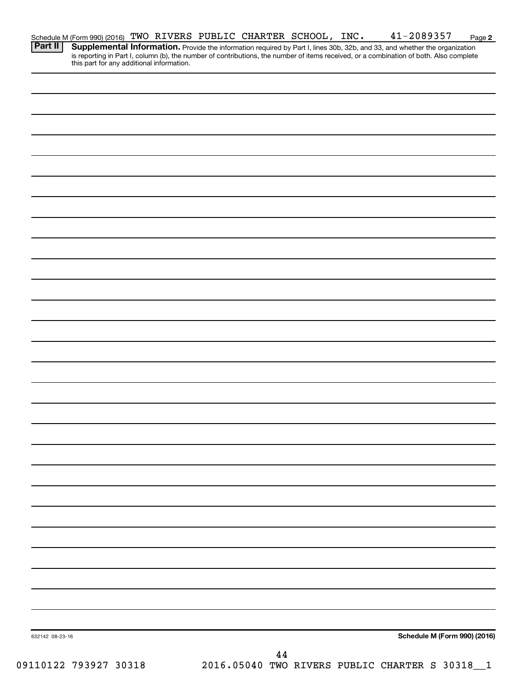|         | Schedule M (Form 990) (2016) TWO RIVERS PUBLIC CHARTER SCHOOL, INC. |  |  |  | $41 - 2089357$                                                                                                                                                                                                                                                                                                 | Page 2 |
|---------|---------------------------------------------------------------------|--|--|--|----------------------------------------------------------------------------------------------------------------------------------------------------------------------------------------------------------------------------------------------------------------------------------------------------------------|--------|
| Part II |                                                                     |  |  |  | Supplemental Information. Provide the information required by Part I, lines 30b, 32b, and 33, and whether the organization<br>is reporting in Part I, column (b), the number of contributions, the number of items received, or a combination of both. Also complete this part for any additional information. |        |
|         |                                                                     |  |  |  |                                                                                                                                                                                                                                                                                                                |        |
|         |                                                                     |  |  |  |                                                                                                                                                                                                                                                                                                                |        |
|         |                                                                     |  |  |  |                                                                                                                                                                                                                                                                                                                |        |
|         |                                                                     |  |  |  |                                                                                                                                                                                                                                                                                                                |        |
|         |                                                                     |  |  |  |                                                                                                                                                                                                                                                                                                                |        |
|         |                                                                     |  |  |  |                                                                                                                                                                                                                                                                                                                |        |
|         |                                                                     |  |  |  |                                                                                                                                                                                                                                                                                                                |        |
|         |                                                                     |  |  |  |                                                                                                                                                                                                                                                                                                                |        |
|         |                                                                     |  |  |  |                                                                                                                                                                                                                                                                                                                |        |
|         |                                                                     |  |  |  |                                                                                                                                                                                                                                                                                                                |        |
|         |                                                                     |  |  |  |                                                                                                                                                                                                                                                                                                                |        |
|         |                                                                     |  |  |  |                                                                                                                                                                                                                                                                                                                |        |
|         |                                                                     |  |  |  |                                                                                                                                                                                                                                                                                                                |        |
|         |                                                                     |  |  |  |                                                                                                                                                                                                                                                                                                                |        |
|         |                                                                     |  |  |  |                                                                                                                                                                                                                                                                                                                |        |
|         |                                                                     |  |  |  |                                                                                                                                                                                                                                                                                                                |        |
|         |                                                                     |  |  |  |                                                                                                                                                                                                                                                                                                                |        |
|         |                                                                     |  |  |  |                                                                                                                                                                                                                                                                                                                |        |
|         |                                                                     |  |  |  |                                                                                                                                                                                                                                                                                                                |        |
|         |                                                                     |  |  |  |                                                                                                                                                                                                                                                                                                                |        |
|         |                                                                     |  |  |  |                                                                                                                                                                                                                                                                                                                |        |
|         |                                                                     |  |  |  |                                                                                                                                                                                                                                                                                                                |        |
|         |                                                                     |  |  |  |                                                                                                                                                                                                                                                                                                                |        |
|         |                                                                     |  |  |  |                                                                                                                                                                                                                                                                                                                |        |
|         |                                                                     |  |  |  |                                                                                                                                                                                                                                                                                                                |        |
|         |                                                                     |  |  |  |                                                                                                                                                                                                                                                                                                                |        |
|         |                                                                     |  |  |  |                                                                                                                                                                                                                                                                                                                |        |
|         |                                                                     |  |  |  |                                                                                                                                                                                                                                                                                                                |        |
|         |                                                                     |  |  |  |                                                                                                                                                                                                                                                                                                                |        |
|         |                                                                     |  |  |  |                                                                                                                                                                                                                                                                                                                |        |
|         |                                                                     |  |  |  |                                                                                                                                                                                                                                                                                                                |        |
|         |                                                                     |  |  |  |                                                                                                                                                                                                                                                                                                                |        |
|         |                                                                     |  |  |  |                                                                                                                                                                                                                                                                                                                |        |
|         |                                                                     |  |  |  |                                                                                                                                                                                                                                                                                                                |        |
|         |                                                                     |  |  |  |                                                                                                                                                                                                                                                                                                                |        |
|         |                                                                     |  |  |  |                                                                                                                                                                                                                                                                                                                |        |
|         | 632142 08-23-16                                                     |  |  |  | Schedule M (Form 990) (2016)                                                                                                                                                                                                                                                                                   |        |

09110122 793927 30318 2016.05040 TWO RIVERS PUBLIC CHARTER S 30318\_1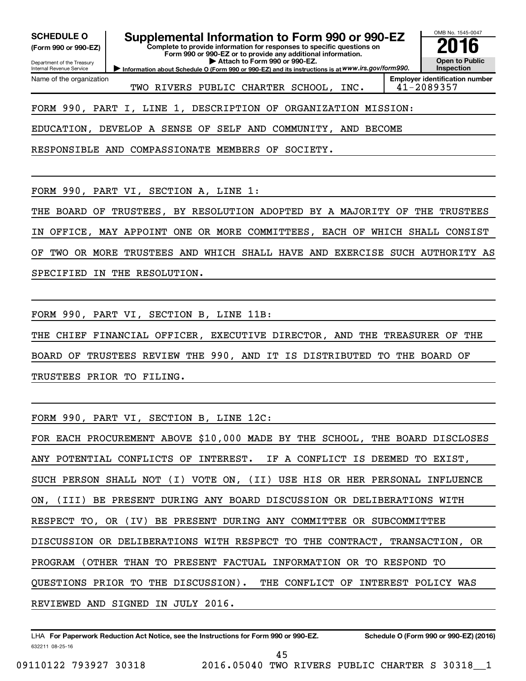**(Form 990 or 990-EZ)**

Department of the Treasury Internal Revenue Service

Name of the organization

## **SCHEDULE O Supplemental Information to Form 990 or 990-EZ 2016**

**Complete to provide information for responses to specific questions on Form 990 or 990-EZ or to provide any additional information. | Attach to Form 990 or 990-EZ.**

**Information about Schedule O (Form 990 or 990-EZ) and its instructions is at WWW.irs.gov/form990.** 

OMB No. 1545-0047 **Open to Public Inspection**

TWO RIVERS PUBLIC CHARTER SCHOOL, INC. | 41-2089357

**Employer identification number**

FORM 990, PART I, LINE 1, DESCRIPTION OF ORGANIZATION MISSION:

EDUCATION, DEVELOP A SENSE OF SELF AND COMMUNITY, AND BECOME

RESPONSIBLE AND COMPASSIONATE MEMBERS OF SOCIETY.

FORM 990, PART VI, SECTION A, LINE 1:

THE BOARD OF TRUSTEES, BY RESOLUTION ADOPTED BY A MAJORITY OF THE TRUSTEES IN OFFICE, MAY APPOINT ONE OR MORE COMMITTEES, EACH OF WHICH SHALL CONSIST OF TWO OR MORE TRUSTEES AND WHICH SHALL HAVE AND EXERCISE SUCH AUTHORITY AS SPECIFIED IN THE RESOLUTION.

FORM 990, PART VI, SECTION B, LINE 11B:

THE CHIEF FINANCIAL OFFICER, EXECUTIVE DIRECTOR, AND THE TREASURER OF THE BOARD OF TRUSTEES REVIEW THE 990, AND IT IS DISTRIBUTED TO THE BOARD OF TRUSTEES PRIOR TO FILING.

FORM 990, PART VI, SECTION B, LINE 12C:

| FOR EACH PROCUREMENT ABOVE \$10,000 MADE BY THE SCHOOL, THE BOARD DISCLOSES |
|-----------------------------------------------------------------------------|
| ANY POTENTIAL CONFLICTS OF INTEREST. IF A CONFLICT IS DEEMED TO EXIST,      |
| SUCH PERSON SHALL NOT (I) VOTE ON, (II) USE HIS OR HER PERSONAL INFLUENCE   |
| ON, (III) BE PRESENT DURING ANY BOARD DISCUSSION OR DELIBERATIONS WITH      |
| RESPECT TO, OR (IV) BE PRESENT DURING ANY COMMITTEE OR SUBCOMMITTEE         |
| DISCUSSION OR DELIBERATIONS WITH RESPECT TO THE CONTRACT, TRANSACTION, OR   |
| PROGRAM (OTHER THAN TO PRESENT FACTUAL INFORMATION OR TO RESPOND TO         |
| QUESTIONS PRIOR TO THE DISCUSSION). THE CONFLICT OF INTEREST POLICY WAS     |
| REVIEWED AND SIGNED IN JULY 2016.                                           |

632211 08-25-16 LHA For Paperwork Reduction Act Notice, see the Instructions for Form 990 or 990-EZ. Schedule O (Form 990 or 990-EZ) (2016)

45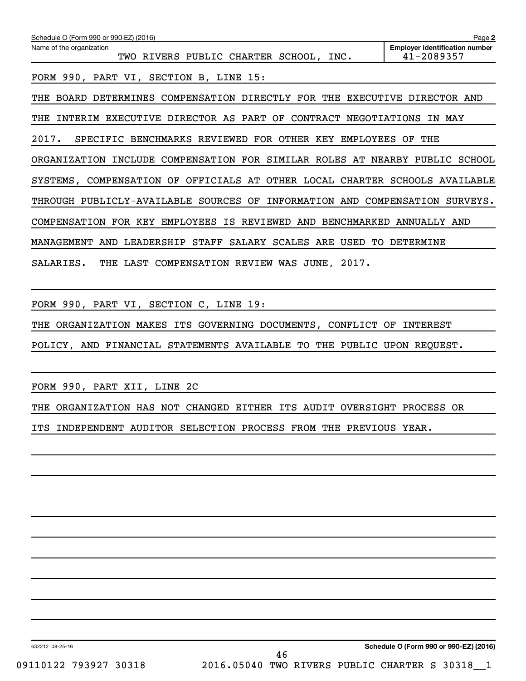| Schedule O (Form 990 or 990-EZ) (2016)                                                        | Page 2                                              |
|-----------------------------------------------------------------------------------------------|-----------------------------------------------------|
| Name of the organization<br>RIVERS<br>PUBLIC CHARTER SCHOOL, INC.<br>TWO                      | <b>Employer identification number</b><br>41-2089357 |
| FORM 990, PART VI, SECTION B, LINE 15:                                                        |                                                     |
| DETERMINES COMPENSATION DIRECTLY FOR THE EXECUTIVE<br><b>BOARD</b><br>THE                     | DIRECTOR AND                                        |
| EXECUTIVE DIRECTOR AS PART OF<br>CONTRACT NEGOTIATIONS<br>THE<br>INTERIM                      | IN MAY                                              |
| 2017.<br><b>BENCHMARKS</b><br>REVIEWED<br>FOR<br>OTHER<br><b>EMPLOYEES</b><br>SPECIFIC<br>KEY | THE<br>ΟF                                           |
| INCLUDE COMPENSATION FOR<br>SIMILAR ROLES<br>ORGANIZATION<br>AT                               | <b>NEARBY</b><br>PUBLIC SCHOOL                      |
| COMPENSATION<br>OFFICIALS AT<br>OTHER LOCAL CHARTER<br>SYSTEMS,<br>OF                         | SCHOOLS<br>AVAILABLE                                |
| THROUGH PUBLICLY-AVAILABLE SOURCES OF<br>INFORMATION AND COMPENSATION                         | SURVEYS.                                            |
| FOR KEY EMPLOYEES<br>IS<br>REVIEWED<br>AND<br>BENCHMARKED<br>COMPENSATION                     | ANNUALLY AND                                        |
| STAFF<br>SALARY<br>SCALES<br>ARE<br>MANAGEMENT<br>AND<br>LEADERSHIP<br>USED TO                | <b>DETERMINE</b>                                    |
| SALARIES.<br>WAS JUNE,<br>2017.<br>THE<br>LAST COMPENSATION REVIEW                            |                                                     |

FORM 990, PART VI, SECTION C, LINE 19:

THE ORGANIZATION MAKES ITS GOVERNING DOCUMENTS, CONFLICT OF INTEREST

POLICY, AND FINANCIAL STATEMENTS AVAILABLE TO THE PUBLIC UPON REQUEST.

FORM 990, PART XII, LINE 2C

THE ORGANIZATION HAS NOT CHANGED EITHER ITS AUDIT OVERSIGHT PROCESS OR

ITS INDEPENDENT AUDITOR SELECTION PROCESS FROM THE PREVIOUS YEAR.

632212 08-25-16

**Schedule O (Form 990 or 990-EZ) (2016)**

46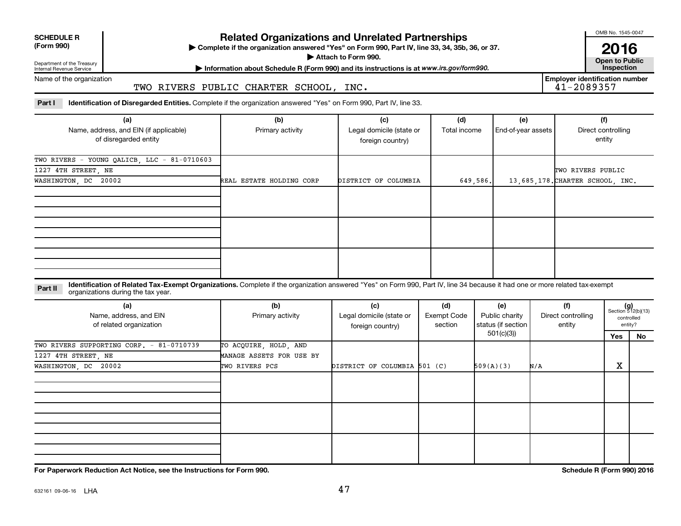| <b>SCHEDULE R</b> |  |
|-------------------|--|
|                   |  |

Name of the organization

## **Related Organizations and Unrelated Partnerships**

**(Form 990) Complete if the organization answered "Yes" on Form 990, Part IV, line 33, 34, 35b, 36, or 37.** |

**Attach to Form 990. Contract to Public** 

Department of the Treasury Internal Revenue Service

**Most Information about Schedule R (Form 990) and its instructions is at www.irs.gov/form990.** This pection **Employer identification number**

OMB No. 1545-0047

**2016**<br>Open to Public

Part I ldentification of Disregarded Entities. Complete if the organization answered "Yes" on Form 990, Part IV, line 33.

TWO RIVERS PUBLIC CHARTER SCHOOL, INC.

| (b)                      | (c)                      | (d)                  | (e)                | (f)                              |  |  |
|--------------------------|--------------------------|----------------------|--------------------|----------------------------------|--|--|
| Primary activity         | Legal domicile (state or | Total income         | End-of-year assets | Direct controlling               |  |  |
|                          | foreign country)         |                      |                    | entity                           |  |  |
|                          |                          |                      |                    |                                  |  |  |
|                          |                          |                      |                    |                                  |  |  |
|                          |                          |                      |                    | TWO RIVERS PUBLIC                |  |  |
| REAL ESTATE HOLDING CORP |                          |                      |                    | 13,685,178. CHARTER SCHOOL, INC. |  |  |
|                          |                          |                      |                    |                                  |  |  |
|                          |                          |                      |                    |                                  |  |  |
|                          |                          |                      |                    |                                  |  |  |
|                          |                          |                      |                    |                                  |  |  |
|                          |                          |                      |                    |                                  |  |  |
|                          |                          |                      |                    |                                  |  |  |
|                          |                          |                      |                    |                                  |  |  |
|                          |                          |                      |                    |                                  |  |  |
|                          |                          |                      |                    |                                  |  |  |
|                          |                          | DISTRICT OF COLUMBIA |                    | 649,586.                         |  |  |

**Part II** Identification of Related Tax-Exempt Organizations. Complete if the organization answered "Yes" on Form 990, Part IV, line 34 because it had one or more related tax-exempt<br>Complete it is a series of the two wears organizations during the tax year.

| (a)<br>Name, address, and EIN<br>of related organization | (b)<br>Primary activity  | (c)<br>Legal domicile (state or<br>foreign country) | (d)<br>Exempt Code<br>section | (e)<br>Public charity<br>status (if section | (f)<br>Direct controlling<br>entity |     | $(g)$<br>Section 512(b)(13)<br>controlled<br>entity? |
|----------------------------------------------------------|--------------------------|-----------------------------------------------------|-------------------------------|---------------------------------------------|-------------------------------------|-----|------------------------------------------------------|
|                                                          |                          |                                                     |                               | 501(c)(3)                                   |                                     | Yes | No                                                   |
| TWO RIVERS SUPPORTING CORP. - 81-0710739                 | TO ACQUIRE, HOLD, AND    |                                                     |                               |                                             |                                     |     |                                                      |
| 1227 4TH STREET, NE                                      | MANAGE ASSETS FOR USE BY |                                                     |                               |                                             |                                     |     |                                                      |
| WASHINGTON, DC 20002                                     | TWO RIVERS PCS           | DISTRICT OF COLUMBIA 501 (C)                        |                               | 509(A)(3)                                   | N/A                                 | x   |                                                      |
|                                                          |                          |                                                     |                               |                                             |                                     |     |                                                      |
|                                                          |                          |                                                     |                               |                                             |                                     |     |                                                      |
|                                                          |                          |                                                     |                               |                                             |                                     |     |                                                      |

**For Paperwork Reduction Act Notice, see the Instructions for Form 990. Schedule R (Form 990) 2016**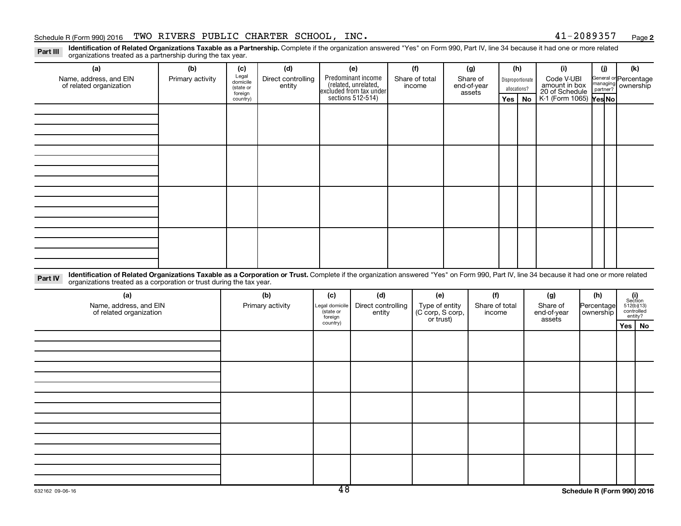**2**

Part III Identification of Related Organizations Taxable as a Partnership. Complete if the organization answered "Yes" on Form 990, Part IV, line 34 because it had one or more related<br>Read to the organizations tracted as a organizations treated as a partnership during the tax year.

| (a)                                                                                                                                                                                                                                                                        | (b)              | (c)                                                   | (d)                          |                      | (e)                                                                                       | (f)                      | (g)                               |                     | (h)                    | (i)                                                                     | (i)                                         | (k)                                   |    |
|----------------------------------------------------------------------------------------------------------------------------------------------------------------------------------------------------------------------------------------------------------------------------|------------------|-------------------------------------------------------|------------------------------|----------------------|-------------------------------------------------------------------------------------------|--------------------------|-----------------------------------|---------------------|------------------------|-------------------------------------------------------------------------|---------------------------------------------|---------------------------------------|----|
| Name, address, and EIN<br>of related organization                                                                                                                                                                                                                          | Primary activity | Legal<br>domicile<br>(state or<br>foreign<br>country) | Direct controlling<br>entity |                      | Predominant income<br>related, unrelated,<br>excluded from tax under<br>sections 512-514) | Share of total<br>income | Share of<br>end-of-year<br>assets | allocations?<br>Yes | Disproportionate<br>No | Code V-UBI<br>amount in box<br>20 of Schedule<br>K-1 (Form 1065) Yes No | General or Percentage<br>managing ownership |                                       |    |
|                                                                                                                                                                                                                                                                            |                  |                                                       |                              |                      |                                                                                           |                          |                                   |                     |                        |                                                                         |                                             |                                       |    |
|                                                                                                                                                                                                                                                                            |                  |                                                       |                              |                      |                                                                                           |                          |                                   |                     |                        |                                                                         |                                             |                                       |    |
|                                                                                                                                                                                                                                                                            |                  |                                                       |                              |                      |                                                                                           |                          |                                   |                     |                        |                                                                         |                                             |                                       |    |
|                                                                                                                                                                                                                                                                            |                  |                                                       |                              |                      |                                                                                           |                          |                                   |                     |                        |                                                                         |                                             |                                       |    |
|                                                                                                                                                                                                                                                                            |                  |                                                       |                              |                      |                                                                                           |                          |                                   |                     |                        |                                                                         |                                             |                                       |    |
|                                                                                                                                                                                                                                                                            |                  |                                                       |                              |                      |                                                                                           |                          |                                   |                     |                        |                                                                         |                                             |                                       |    |
|                                                                                                                                                                                                                                                                            |                  |                                                       |                              |                      |                                                                                           |                          |                                   |                     |                        |                                                                         |                                             |                                       |    |
|                                                                                                                                                                                                                                                                            |                  |                                                       |                              |                      |                                                                                           |                          |                                   |                     |                        |                                                                         |                                             |                                       |    |
|                                                                                                                                                                                                                                                                            |                  |                                                       |                              |                      |                                                                                           |                          |                                   |                     |                        |                                                                         |                                             |                                       |    |
|                                                                                                                                                                                                                                                                            |                  |                                                       |                              |                      |                                                                                           |                          |                                   |                     |                        |                                                                         |                                             |                                       |    |
|                                                                                                                                                                                                                                                                            |                  |                                                       |                              |                      |                                                                                           |                          |                                   |                     |                        |                                                                         |                                             |                                       |    |
|                                                                                                                                                                                                                                                                            |                  |                                                       |                              |                      |                                                                                           |                          |                                   |                     |                        |                                                                         |                                             |                                       |    |
|                                                                                                                                                                                                                                                                            |                  |                                                       |                              |                      |                                                                                           |                          |                                   |                     |                        |                                                                         |                                             |                                       |    |
|                                                                                                                                                                                                                                                                            |                  |                                                       |                              |                      |                                                                                           |                          |                                   |                     |                        |                                                                         |                                             |                                       |    |
|                                                                                                                                                                                                                                                                            |                  |                                                       |                              |                      |                                                                                           |                          |                                   |                     |                        |                                                                         |                                             |                                       |    |
|                                                                                                                                                                                                                                                                            |                  |                                                       |                              |                      |                                                                                           |                          |                                   |                     |                        |                                                                         |                                             |                                       |    |
| Identification of Related Organizations Taxable as a Corporation or Trust. Complete if the organization answered "Yes" on Form 990, Part IV, line 34 because it had one or more related<br>Part IV<br>organizations treated as a corporation or trust during the tax year. |                  |                                                       |                              |                      |                                                                                           |                          |                                   |                     |                        |                                                                         |                                             |                                       |    |
| (a)                                                                                                                                                                                                                                                                        |                  |                                                       | (b)                          | (c)                  | (d)                                                                                       | (e)                      | (f)                               |                     |                        | (g)                                                                     | (h)                                         | (i)<br>Section                        |    |
| Name, address, and EIN                                                                                                                                                                                                                                                     |                  |                                                       | Primary activity             | Legal domicile       | Direct controlling                                                                        | Type of entity           | Share of total                    |                     |                        | Share of                                                                | Percentage                                  |                                       |    |
| of related organization                                                                                                                                                                                                                                                    |                  |                                                       |                              | (state or<br>foreign | entity                                                                                    | (C corp, S corp,         | income                            |                     |                        | end-of-year                                                             | ownership                                   | $512(b)(13)$<br>controlled<br>entity? |    |
|                                                                                                                                                                                                                                                                            |                  |                                                       |                              | country)             |                                                                                           | or trust)                |                                   |                     |                        | assets                                                                  |                                             | Yes                                   | No |
|                                                                                                                                                                                                                                                                            |                  |                                                       |                              |                      |                                                                                           |                          |                                   |                     |                        |                                                                         |                                             |                                       |    |
|                                                                                                                                                                                                                                                                            |                  |                                                       |                              |                      |                                                                                           |                          |                                   |                     |                        |                                                                         |                                             |                                       |    |
|                                                                                                                                                                                                                                                                            |                  |                                                       |                              |                      |                                                                                           |                          |                                   |                     |                        |                                                                         |                                             |                                       |    |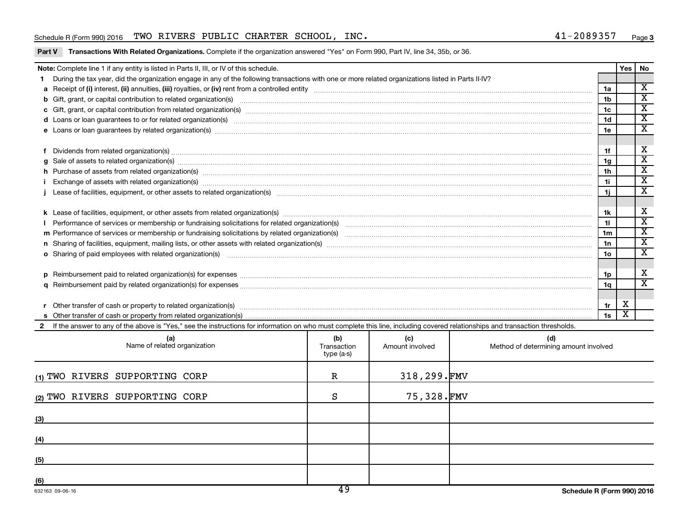### Schedule R (Form 990) 2016 Page TWO RIVERS PUBLIC CHARTER SCHOOL, INC. 41-2089357

Part V Transactions With Related Organizations. Complete if the organization answered "Yes" on Form 990, Part IV, line 34, 35b, or 36.

|                                                                                                                                                                                                                                | Note: Complete line 1 if any entity is listed in Parts II, III, or IV of this schedule.                                                                                                                                        |                    |                        |                                              |                 | Yes                     | No                                                     |  |  |
|--------------------------------------------------------------------------------------------------------------------------------------------------------------------------------------------------------------------------------|--------------------------------------------------------------------------------------------------------------------------------------------------------------------------------------------------------------------------------|--------------------|------------------------|----------------------------------------------|-----------------|-------------------------|--------------------------------------------------------|--|--|
|                                                                                                                                                                                                                                | During the tax year, did the organization engage in any of the following transactions with one or more related organizations listed in Parts II-IV?                                                                            |                    |                        |                                              |                 |                         |                                                        |  |  |
|                                                                                                                                                                                                                                |                                                                                                                                                                                                                                |                    |                        |                                              | 1a              |                         | $\overline{\mathbf{x}}$                                |  |  |
|                                                                                                                                                                                                                                |                                                                                                                                                                                                                                |                    |                        |                                              |                 |                         |                                                        |  |  |
|                                                                                                                                                                                                                                |                                                                                                                                                                                                                                |                    |                        |                                              |                 |                         |                                                        |  |  |
|                                                                                                                                                                                                                                | d Loans or loan guarantees to or for related organization(s) www.communities.com/www.communities.com/www.communities.com/www.communities.com/www.communities.com/www.communities.com/www.communities.com/www.communities.com/w |                    |                        |                                              | 1c<br>1d        |                         | $\overline{\textnormal{x}}$<br>$\overline{\mathtt{x}}$ |  |  |
|                                                                                                                                                                                                                                |                                                                                                                                                                                                                                |                    |                        |                                              | 1e              |                         | $\overline{\texttt{x}}$                                |  |  |
|                                                                                                                                                                                                                                | e Loans or loan guarantees by related organization(s) manufaction(s) entitled and account of the contract of the contract of the contract or contract or contract or contract or contract or contract or contract or contract  |                    |                        |                                              |                 |                         |                                                        |  |  |
|                                                                                                                                                                                                                                |                                                                                                                                                                                                                                |                    |                        |                                              | 1f              |                         | х                                                      |  |  |
|                                                                                                                                                                                                                                | g Sale of assets to related organization(s) manufactured contracts and contracts are contracted assets to related organization(s) manufactured contracts are contracted assets to related organization(s) manufactured contrac |                    |                        |                                              | 1g              |                         | $\overline{\texttt{x}}$                                |  |  |
|                                                                                                                                                                                                                                | h Purchase of assets from related organization(s) manufactured and content to content the content of assets from related organization(s) manufactured and content of the content of the content of the content of the content  |                    |                        |                                              | 1h              |                         | $\overline{\texttt{x}}$                                |  |  |
|                                                                                                                                                                                                                                |                                                                                                                                                                                                                                |                    |                        |                                              | 1i              |                         | $\overline{\mathtt{x}}$                                |  |  |
| j Lease of facilities, equipment, or other assets to related organization(s) matching material content content to the announcement of facilities, equipment, or other assets to related organization(s) matching material cont |                                                                                                                                                                                                                                |                    |                        |                                              |                 |                         | $\overline{\mathbf{x}}$                                |  |  |
|                                                                                                                                                                                                                                |                                                                                                                                                                                                                                |                    |                        |                                              | 1i.             |                         |                                                        |  |  |
|                                                                                                                                                                                                                                |                                                                                                                                                                                                                                |                    |                        |                                              | 1k              |                         | х                                                      |  |  |
|                                                                                                                                                                                                                                |                                                                                                                                                                                                                                |                    |                        |                                              | 11              |                         | $\overline{\mathtt{x}}$                                |  |  |
|                                                                                                                                                                                                                                |                                                                                                                                                                                                                                |                    |                        |                                              | 1 <sub>m</sub>  |                         | $\overline{\mathbf{X}}$                                |  |  |
|                                                                                                                                                                                                                                |                                                                                                                                                                                                                                |                    |                        |                                              | 1n              |                         | $\overline{\text{x}}$                                  |  |  |
|                                                                                                                                                                                                                                | o Sharing of paid employees with related organization(s) manufactured content to the state of the state of the state of the state organization(s) manufactured and state of the state of the state of the state of the state o |                    |                        |                                              | 10 <sub>o</sub> |                         | $\overline{\texttt{x}}$                                |  |  |
|                                                                                                                                                                                                                                |                                                                                                                                                                                                                                |                    |                        |                                              |                 |                         |                                                        |  |  |
|                                                                                                                                                                                                                                |                                                                                                                                                                                                                                |                    |                        |                                              |                 |                         | х                                                      |  |  |
|                                                                                                                                                                                                                                |                                                                                                                                                                                                                                |                    |                        |                                              | 1p<br>1q        |                         | $\overline{\texttt{x}}$                                |  |  |
|                                                                                                                                                                                                                                |                                                                                                                                                                                                                                |                    |                        |                                              |                 |                         |                                                        |  |  |
|                                                                                                                                                                                                                                |                                                                                                                                                                                                                                |                    |                        |                                              |                 | х                       |                                                        |  |  |
|                                                                                                                                                                                                                                | Other transfer of cash or property to related organization(s) www.communities.com/www.communities/communities/                                                                                                                 |                    |                        |                                              | 1r              | $\overline{\mathbf{X}}$ |                                                        |  |  |
|                                                                                                                                                                                                                                |                                                                                                                                                                                                                                |                    |                        |                                              | 1s              |                         |                                                        |  |  |
|                                                                                                                                                                                                                                | 2 If the answer to any of the above is "Yes," see the instructions for information on who must complete this line, including covered relationships and transaction thresholds.                                                 |                    |                        |                                              |                 |                         |                                                        |  |  |
|                                                                                                                                                                                                                                | (a)<br>Name of related organization                                                                                                                                                                                            | (b)<br>Transaction | (c)<br>Amount involved | (d)<br>Method of determining amount involved |                 |                         |                                                        |  |  |

| (a)<br>Name of related organization | (D)<br>Transaction<br>type (a-s) | (C)<br>Amount involved | (d)<br>Method of determining amount involved |
|-------------------------------------|----------------------------------|------------------------|----------------------------------------------|
| (1) TWO RIVERS SUPPORTING CORP      | $\mathbf R$                      | 318,299.FMV            |                                              |
| (2) TWO RIVERS SUPPORTING CORP      | S                                | 75,328.FMV             |                                              |
| (3)                                 |                                  |                        |                                              |
| (4)                                 |                                  |                        |                                              |
| (5)                                 |                                  |                        |                                              |
| (6)                                 | $\overline{\phantom{a}}$         |                        |                                              |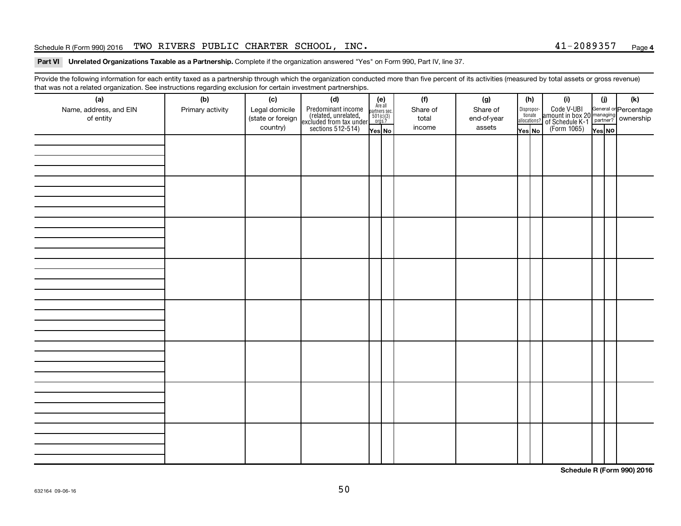### Schedule R (Form 990) 2016 Page TWO RIVERS PUBLIC CHARTER SCHOOL, INC. 41-2089357

#### Part VI Unrelated Organizations Taxable as a Partnership. Complete if the organization answered "Yes" on Form 990, Part IV, line 37.

Provide the following information for each entity taxed as a partnership through which the organization conducted more than five percent of its activities (measured by total assets or gross revenue) that was not a related organization. See instructions regarding exclusion for certain investment partnerships.

| mat mad not a rolated organization. Occ included for regarding excludion for coltain invectment partneremper.<br>(a) | (b)              | (c)                                 | (d)                                                                                        |                                                          | (f)               | (g)                     |                                  | (h) | (i)                                                                                                 | (j)    | (k) |
|----------------------------------------------------------------------------------------------------------------------|------------------|-------------------------------------|--------------------------------------------------------------------------------------------|----------------------------------------------------------|-------------------|-------------------------|----------------------------------|-----|-----------------------------------------------------------------------------------------------------|--------|-----|
| Name, address, and EIN<br>of entity                                                                                  | Primary activity | Legal domicile<br>(state or foreign | Predominant income<br>(related, unrelated,<br>excluded from tax under<br>sections 512-514) | (e)<br>Are all<br>partners sec.<br>$501(c)(3)$<br>orgs.? | Share of<br>total | Share of<br>end-of-year | Disproportionate<br>allocations? |     | Code V-UBI<br>amount in box 20 managing<br>of Schedule K-1<br>(Form 1065)<br>$\sqrt{\text{res}}$ No |        |     |
|                                                                                                                      |                  | country)                            |                                                                                            | Yes No                                                   | income            | assets                  | Yes No                           |     |                                                                                                     | Yes NO |     |
|                                                                                                                      |                  |                                     |                                                                                            |                                                          |                   |                         |                                  |     |                                                                                                     |        |     |
|                                                                                                                      |                  |                                     |                                                                                            |                                                          |                   |                         |                                  |     |                                                                                                     |        |     |
|                                                                                                                      |                  |                                     |                                                                                            |                                                          |                   |                         |                                  |     |                                                                                                     |        |     |
|                                                                                                                      |                  |                                     |                                                                                            |                                                          |                   |                         |                                  |     |                                                                                                     |        |     |
|                                                                                                                      |                  |                                     |                                                                                            |                                                          |                   |                         |                                  |     |                                                                                                     |        |     |
|                                                                                                                      |                  |                                     |                                                                                            |                                                          |                   |                         |                                  |     |                                                                                                     |        |     |
|                                                                                                                      |                  |                                     |                                                                                            |                                                          |                   |                         |                                  |     |                                                                                                     |        |     |
|                                                                                                                      |                  |                                     |                                                                                            |                                                          |                   |                         |                                  |     |                                                                                                     |        |     |
|                                                                                                                      |                  |                                     |                                                                                            |                                                          |                   |                         |                                  |     |                                                                                                     |        |     |
|                                                                                                                      |                  |                                     |                                                                                            |                                                          |                   |                         |                                  |     |                                                                                                     |        |     |
|                                                                                                                      |                  |                                     |                                                                                            |                                                          |                   |                         |                                  |     |                                                                                                     |        |     |
|                                                                                                                      |                  |                                     |                                                                                            |                                                          |                   |                         |                                  |     |                                                                                                     |        |     |
|                                                                                                                      |                  |                                     |                                                                                            |                                                          |                   |                         |                                  |     |                                                                                                     |        |     |
|                                                                                                                      |                  |                                     |                                                                                            |                                                          |                   |                         |                                  |     |                                                                                                     |        |     |
|                                                                                                                      |                  |                                     |                                                                                            |                                                          |                   |                         |                                  |     |                                                                                                     |        |     |
|                                                                                                                      |                  |                                     |                                                                                            |                                                          |                   |                         |                                  |     |                                                                                                     |        |     |
|                                                                                                                      |                  |                                     |                                                                                            |                                                          |                   |                         |                                  |     |                                                                                                     |        |     |
|                                                                                                                      |                  |                                     |                                                                                            |                                                          |                   |                         |                                  |     |                                                                                                     |        |     |
|                                                                                                                      |                  |                                     |                                                                                            |                                                          |                   |                         |                                  |     |                                                                                                     |        |     |
|                                                                                                                      |                  |                                     |                                                                                            |                                                          |                   |                         |                                  |     |                                                                                                     |        |     |
|                                                                                                                      |                  |                                     |                                                                                            |                                                          |                   |                         |                                  |     |                                                                                                     |        |     |
|                                                                                                                      |                  |                                     |                                                                                            |                                                          |                   |                         |                                  |     |                                                                                                     |        |     |
|                                                                                                                      |                  |                                     |                                                                                            |                                                          |                   |                         |                                  |     |                                                                                                     |        |     |
|                                                                                                                      |                  |                                     |                                                                                            |                                                          |                   |                         |                                  |     |                                                                                                     |        |     |
|                                                                                                                      |                  |                                     |                                                                                            |                                                          |                   |                         |                                  |     |                                                                                                     |        |     |
|                                                                                                                      |                  |                                     |                                                                                            |                                                          |                   |                         |                                  |     |                                                                                                     |        |     |

**Schedule R (Form 990) 2016**